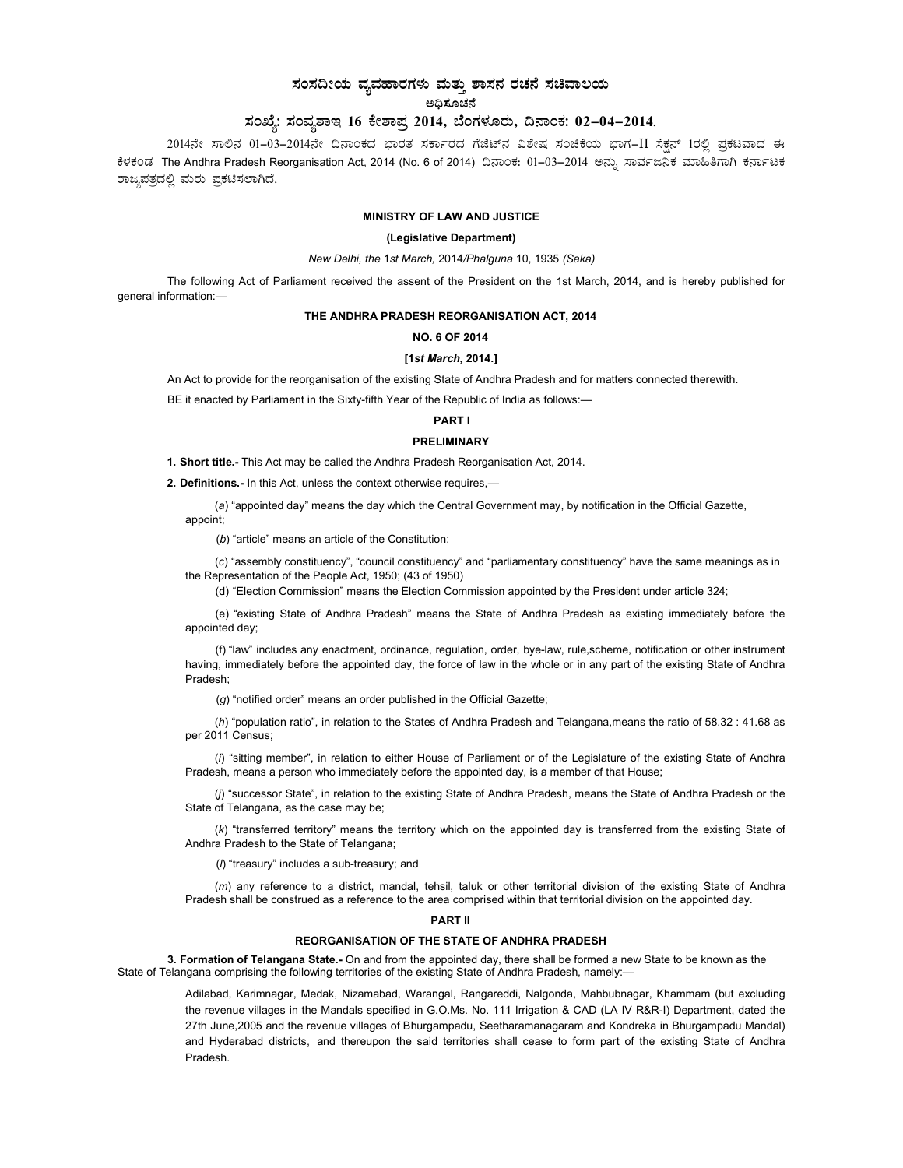# ಸಂಸದೀಯ ವ್ಯವಹಾರಗಳು ಮತ್ತು ಶಾಸನ ರಚನೆ ಸಚಿವಾಲಯ ಅಧಿಸೂಚನೆ

# ಸಂಖ್ಯೆ: ಸಂವ್ಯಶಾಇ 16 ಕೇಶಾಪ್ರ 2014, ಬೆಂಗಳೂರು, ದಿನಾಂಕ: 02-04-2014.

2014ನೇ ಸಾಲಿನ 01-03-2014ನೇ ದಿನಾಂಕದ ಭಾರತ ಸರ್ಕಾರದ ಗೆಜೆಟ್ನ ವಿಶೇಷ ಸಂಚಿಕೆಯ ಭಾಗ-II ಸೆಕ್ಷನ್ 1ರಲ್ಲಿ ಪ್ರಕಟವಾದ ಈ ಕೆಳಕಂಡ The Andhra Pradesh Reorganisation Act, 2014 (No. 6 of 2014) ದಿನಾಂಕ: 01–03–2014 ಅನ್ಸು ಸಾರ್ವಜನಿಕ ಮಾಹಿತಿಗಾಗಿ ಕರ್ನಾಟಕ ರಾಜ್ಯಪತ್ರದಲ್ಲಿ ಮರು ಪ್ರಕಟಿಸಲಾಗಿದೆ.

# MINISTRY OF LAW AND JUSTICE

### (Legislative Department)

New Delhi, the 1st March, 2014/Phalguna 10, 1935 (Saka)

The following Act of Parliament received the assent of the President on the 1st March, 2014, and is hereby published for general information:—

# THE ANDHRA PRADESH REORGANISATION ACT, 2014

#### NO. 6 OF 2014

### [1st March, 2014.]

An Act to provide for the reorganisation of the existing State of Andhra Pradesh and for matters connected therewith.

BE it enacted by Parliament in the Sixty-fifth Year of the Republic of India as follows:-

# PART I

# PRELIMINARY

1. Short title.- This Act may be called the Andhra Pradesh Reorganisation Act, 2014.

2. Definitions.- In this Act, unless the context otherwise requires,—

(a) "appointed day" means the day which the Central Government may, by notification in the Official Gazette, appoint;

(b) "article" means an article of the Constitution;

(c) "assembly constituency", "council constituency" and "parliamentary constituency" have the same meanings as in the Representation of the People Act, 1950; (43 of 1950)

(d) "Election Commission" means the Election Commission appointed by the President under article 324;

(e) "existing State of Andhra Pradesh" means the State of Andhra Pradesh as existing immediately before the appointed day;

(f) "law" includes any enactment, ordinance, regulation, order, bye-law, rule,scheme, notification or other instrument having, immediately before the appointed day, the force of law in the whole or in any part of the existing State of Andhra Pradesh;

(g) "notified order" means an order published in the Official Gazette;

(h) "population ratio", in relation to the States of Andhra Pradesh and Telangana,means the ratio of 58.32 : 41.68 as per 2011 Census;

(i) "sitting member", in relation to either House of Parliament or of the Legislature of the existing State of Andhra Pradesh, means a person who immediately before the appointed day, is a member of that House;

(j) "successor State", in relation to the existing State of Andhra Pradesh, means the State of Andhra Pradesh or the State of Telangana, as the case may be;

(k) "transferred territory" means the territory which on the appointed day is transferred from the existing State of Andhra Pradesh to the State of Telangana;

(I) "treasury" includes a sub-treasury; and

(m) any reference to a district, mandal, tehsil, taluk or other territorial division of the existing State of Andhra Pradesh shall be construed as a reference to the area comprised within that territorial division on the appointed day.

### PART II

#### REORGANISATION OF THE STATE OF ANDHRA PRADESH

3. Formation of Telangana State.- On and from the appointed day, there shall be formed a new State to be known as the State of Telangana comprising the following territories of the existing State of Andhra Pradesh, namely:—

> Adilabad, Karimnagar, Medak, Nizamabad, Warangal, Rangareddi, Nalgonda, Mahbubnagar, Khammam (but excluding the revenue villages in the Mandals specified in G.O.Ms. No. 111 Irrigation & CAD (LA IV R&R-I) Department, dated the 27th June,2005 and the revenue villages of Bhurgampadu, Seetharamanagaram and Kondreka in Bhurgampadu Mandal) and Hyderabad districts, and thereupon the said territories shall cease to form part of the existing State of Andhra Pradesh.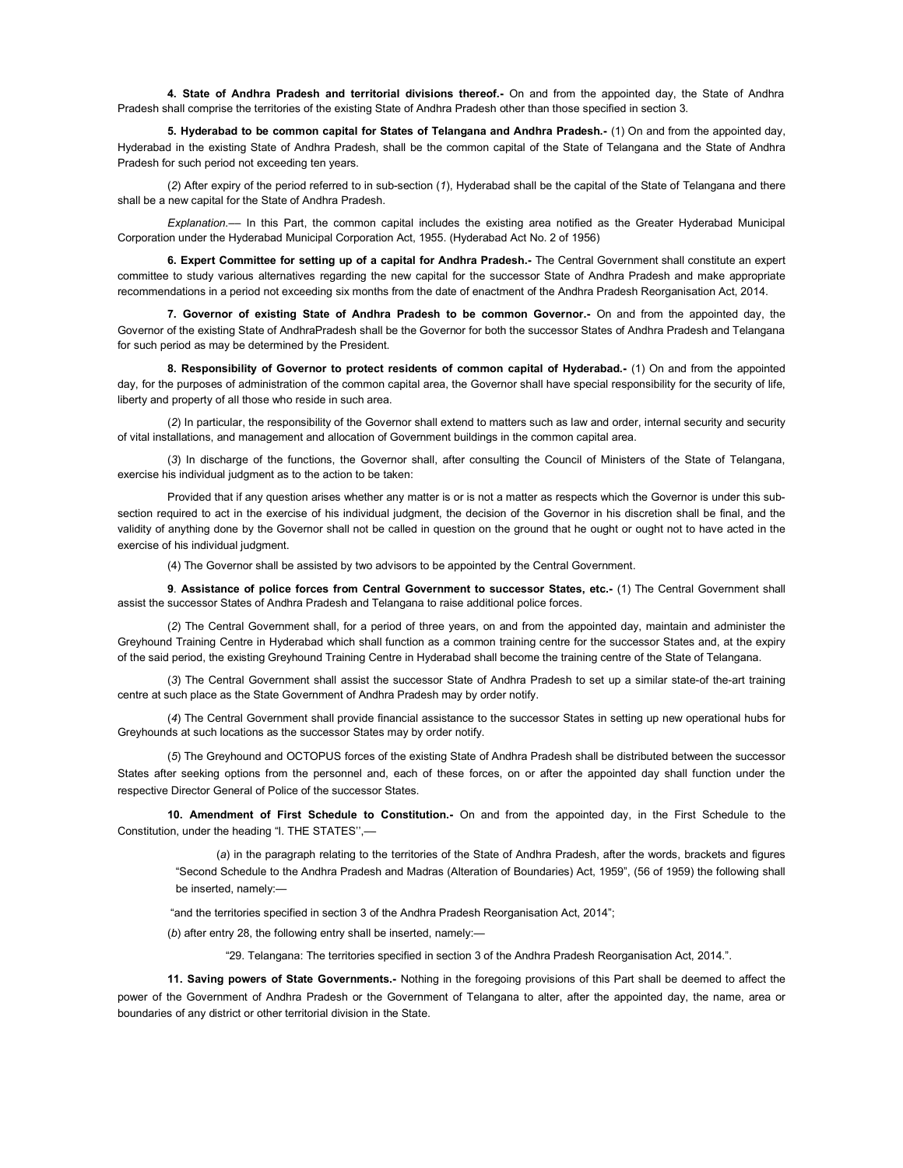4. State of Andhra Pradesh and territorial divisions thereof.- On and from the appointed day, the State of Andhra Pradesh shall comprise the territories of the existing State of Andhra Pradesh other than those specified in section 3.

5. Hyderabad to be common capital for States of Telangana and Andhra Pradesh.- (1) On and from the appointed day, Hyderabad in the existing State of Andhra Pradesh, shall be the common capital of the State of Telangana and the State of Andhra Pradesh for such period not exceeding ten years.

(2) After expiry of the period referred to in sub-section (1), Hyderabad shall be the capital of the State of Telangana and there shall be a new capital for the State of Andhra Pradesh.

Explanation.–– In this Part, the common capital includes the existing area notified as the Greater Hyderabad Municipal Corporation under the Hyderabad Municipal Corporation Act, 1955. (Hyderabad Act No. 2 of 1956)

6. Expert Committee for setting up of a capital for Andhra Pradesh.- The Central Government shall constitute an expert committee to study various alternatives regarding the new capital for the successor State of Andhra Pradesh and make appropriate recommendations in a period not exceeding six months from the date of enactment of the Andhra Pradesh Reorganisation Act, 2014.

7. Governor of existing State of Andhra Pradesh to be common Governor.- On and from the appointed day, the Governor of the existing State of AndhraPradesh shall be the Governor for both the successor States of Andhra Pradesh and Telangana for such period as may be determined by the President.

8. Responsibility of Governor to protect residents of common capital of Hyderabad.- (1) On and from the appointed day, for the purposes of administration of the common capital area, the Governor shall have special responsibility for the security of life, liberty and property of all those who reside in such area.

(2) In particular, the responsibility of the Governor shall extend to matters such as law and order, internal security and security of vital installations, and management and allocation of Government buildings in the common capital area.

(3) In discharge of the functions, the Governor shall, after consulting the Council of Ministers of the State of Telangana, exercise his individual judgment as to the action to be taken:

Provided that if any question arises whether any matter is or is not a matter as respects which the Governor is under this subsection required to act in the exercise of his individual judgment, the decision of the Governor in his discretion shall be final, and the validity of anything done by the Governor shall not be called in question on the ground that he ought or ought not to have acted in the exercise of his individual judgment.

(4) The Governor shall be assisted by two advisors to be appointed by the Central Government.

9. Assistance of police forces from Central Government to successor States, etc.- (1) The Central Government shall assist the successor States of Andhra Pradesh and Telangana to raise additional police forces.

(2) The Central Government shall, for a period of three years, on and from the appointed day, maintain and administer the Greyhound Training Centre in Hyderabad which shall function as a common training centre for the successor States and, at the expiry of the said period, the existing Greyhound Training Centre in Hyderabad shall become the training centre of the State of Telangana.

(3) The Central Government shall assist the successor State of Andhra Pradesh to set up a similar state-of the-art training centre at such place as the State Government of Andhra Pradesh may by order notify.

(4) The Central Government shall provide financial assistance to the successor States in setting up new operational hubs for Greyhounds at such locations as the successor States may by order notify.

(5) The Greyhound and OCTOPUS forces of the existing State of Andhra Pradesh shall be distributed between the successor States after seeking options from the personnel and, each of these forces, on or after the appointed day shall function under the respective Director General of Police of the successor States.

10. Amendment of First Schedule to Constitution.- On and from the appointed day, in the First Schedule to the Constitution, under the heading "I. THE STATES'',––

(a) in the paragraph relating to the territories of the State of Andhra Pradesh, after the words, brackets and figures "Second Schedule to the Andhra Pradesh and Madras (Alteration of Boundaries) Act, 1959", (56 of 1959) the following shall be inserted, namely:-

"and the territories specified in section 3 of the Andhra Pradesh Reorganisation Act, 2014";

(b) after entry 28, the following entry shall be inserted, namely:—

"29. Telangana: The territories specified in section 3 of the Andhra Pradesh Reorganisation Act, 2014.".

11. Saving powers of State Governments.- Nothing in the foregoing provisions of this Part shall be deemed to affect the power of the Government of Andhra Pradesh or the Government of Telangana to alter, after the appointed day, the name, area or boundaries of any district or other territorial division in the State.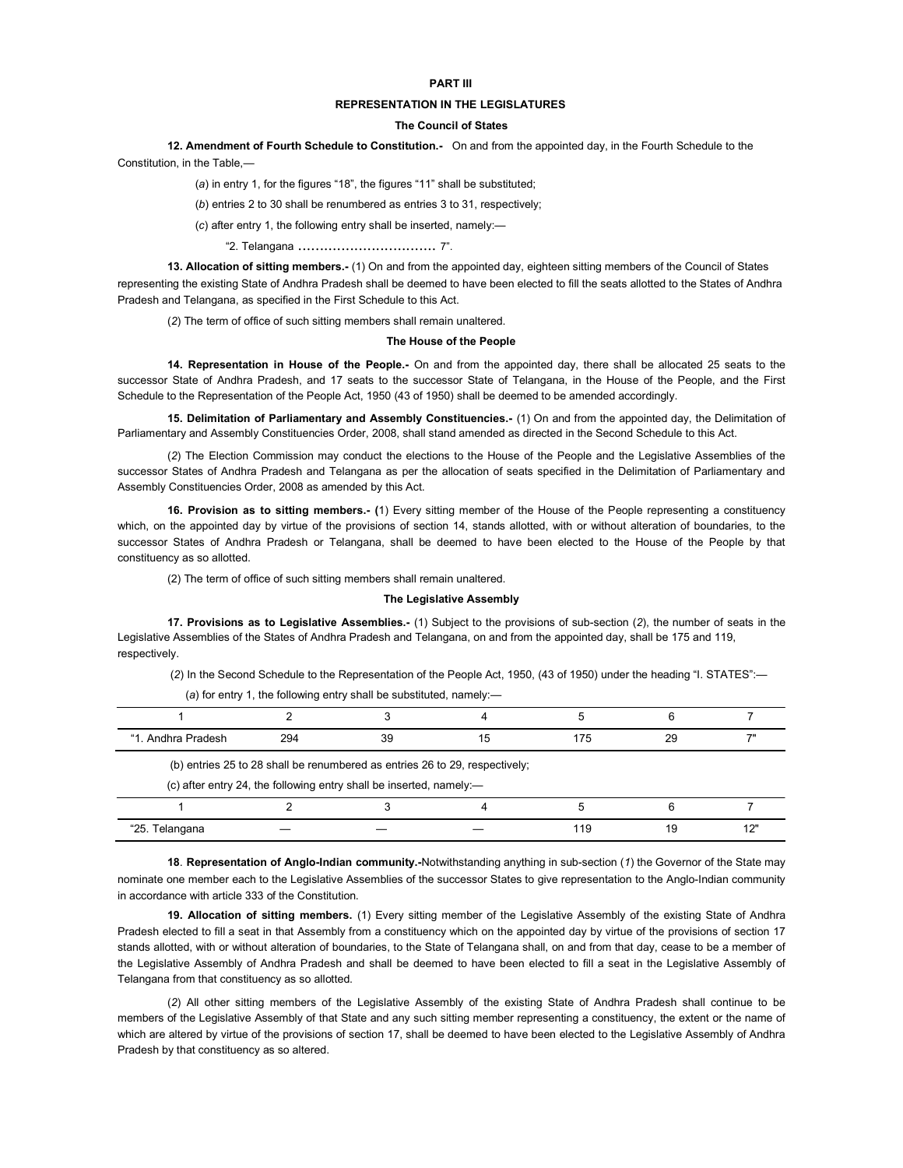# PART III

# REPRESENTATION IN THE LEGISLATURES

# The Council of States

12. Amendment of Fourth Schedule to Constitution.- On and from the appointed day, in the Fourth Schedule to the Constitution, in the Table,—

(a) in entry 1, for the figures "18", the figures "11" shall be substituted;

(b) entries 2 to 30 shall be renumbered as entries 3 to 31, respectively;

(c) after entry 1, the following entry shall be inserted, namely:—

"2. Telangana ................................ 7".

13. Allocation of sitting members.- (1) On and from the appointed day, eighteen sitting members of the Council of States representing the existing State of Andhra Pradesh shall be deemed to have been elected to fill the seats allotted to the States of Andhra Pradesh and Telangana, as specified in the First Schedule to this Act.

(2) The term of office of such sitting members shall remain unaltered.

#### The House of the People

14. Representation in House of the People.- On and from the appointed day, there shall be allocated 25 seats to the successor State of Andhra Pradesh, and 17 seats to the successor State of Telangana, in the House of the People, and the First Schedule to the Representation of the People Act, 1950 (43 of 1950) shall be deemed to be amended accordingly.

15. Delimitation of Parliamentary and Assembly Constituencies.- (1) On and from the appointed day, the Delimitation of Parliamentary and Assembly Constituencies Order, 2008, shall stand amended as directed in the Second Schedule to this Act.

(2) The Election Commission may conduct the elections to the House of the People and the Legislative Assemblies of the successor States of Andhra Pradesh and Telangana as per the allocation of seats specified in the Delimitation of Parliamentary and Assembly Constituencies Order, 2008 as amended by this Act.

16. Provision as to sitting members.- (1) Every sitting member of the House of the People representing a constituency which, on the appointed day by virtue of the provisions of section 14, stands allotted, with or without alteration of boundaries, to the successor States of Andhra Pradesh or Telangana, shall be deemed to have been elected to the House of the People by that constituency as so allotted.

(2) The term of office of such sitting members shall remain unaltered.

# The Legislative Assembly

17. Provisions as to Legislative Assemblies.- (1) Subject to the provisions of sub-section (2), the number of seats in the Legislative Assemblies of the States of Andhra Pradesh and Telangana, on and from the appointed day, shall be 175 and 119, respectively.

(2) In the Second Schedule to the Representation of the People Act, 1950, (43 of 1950) under the heading "I. STATES":—

| "1. Andhra Pradesh | 294 | 39                                                                  | 15                                                                          | 175 | 29 |     |
|--------------------|-----|---------------------------------------------------------------------|-----------------------------------------------------------------------------|-----|----|-----|
|                    |     |                                                                     | (b) entries 25 to 28 shall be renumbered as entries 26 to 29, respectively; |     |    |     |
|                    |     | (c) after entry 24, the following entry shall be inserted, namely:- |                                                                             |     |    |     |
|                    |     |                                                                     |                                                                             |     |    |     |
| "25. Telangana     |     |                                                                     |                                                                             | 119 | 19 | 12" |
|                    |     |                                                                     |                                                                             |     |    |     |

(a) for entry 1, the following entry shall be substituted, namely:—

18. Representation of Anglo-Indian community.-Notwithstanding anything in sub-section (1) the Governor of the State may nominate one member each to the Legislative Assemblies of the successor States to give representation to the Anglo-Indian community in accordance with article 333 of the Constitution.

19. Allocation of sitting members. (1) Every sitting member of the Legislative Assembly of the existing State of Andhra Pradesh elected to fill a seat in that Assembly from a constituency which on the appointed day by virtue of the provisions of section 17 stands allotted, with or without alteration of boundaries, to the State of Telangana shall, on and from that day, cease to be a member of the Legislative Assembly of Andhra Pradesh and shall be deemed to have been elected to fill a seat in the Legislative Assembly of Telangana from that constituency as so allotted.

(2) All other sitting members of the Legislative Assembly of the existing State of Andhra Pradesh shall continue to be members of the Legislative Assembly of that State and any such sitting member representing a constituency, the extent or the name of which are altered by virtue of the provisions of section 17, shall be deemed to have been elected to the Legislative Assembly of Andhra Pradesh by that constituency as so altered.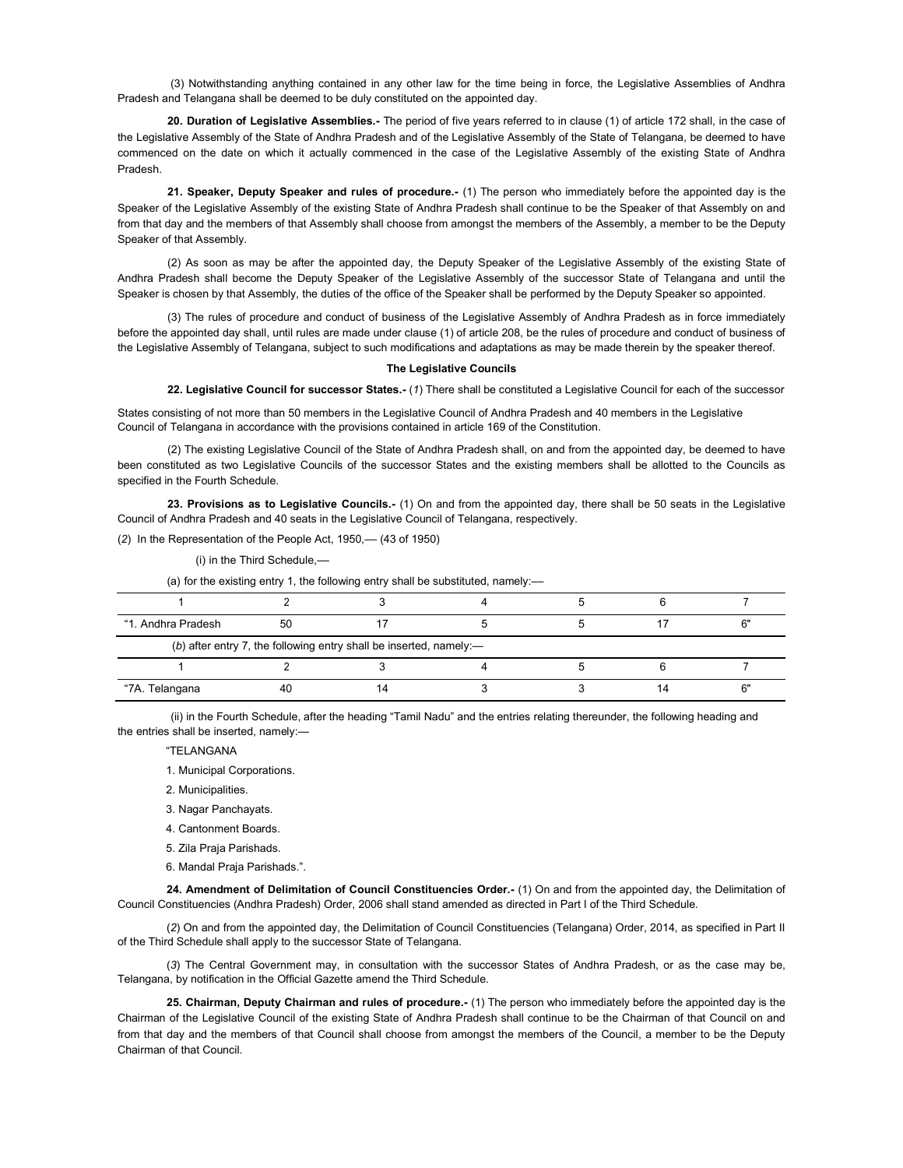(3) Notwithstanding anything contained in any other law for the time being in force, the Legislative Assemblies of Andhra Pradesh and Telangana shall be deemed to be duly constituted on the appointed day.

20. Duration of Legislative Assemblies.- The period of five years referred to in clause (1) of article 172 shall, in the case of the Legislative Assembly of the State of Andhra Pradesh and of the Legislative Assembly of the State of Telangana, be deemed to have commenced on the date on which it actually commenced in the case of the Legislative Assembly of the existing State of Andhra Pradesh.

21. Speaker, Deputy Speaker and rules of procedure.- (1) The person who immediately before the appointed day is the Speaker of the Legislative Assembly of the existing State of Andhra Pradesh shall continue to be the Speaker of that Assembly on and from that day and the members of that Assembly shall choose from amongst the members of the Assembly, a member to be the Deputy Speaker of that Assembly.

(2) As soon as may be after the appointed day, the Deputy Speaker of the Legislative Assembly of the existing State of Andhra Pradesh shall become the Deputy Speaker of the Legislative Assembly of the successor State of Telangana and until the Speaker is chosen by that Assembly, the duties of the office of the Speaker shall be performed by the Deputy Speaker so appointed.

(3) The rules of procedure and conduct of business of the Legislative Assembly of Andhra Pradesh as in force immediately before the appointed day shall, until rules are made under clause (1) of article 208, be the rules of procedure and conduct of business of the Legislative Assembly of Telangana, subject to such modifications and adaptations as may be made therein by the speaker thereof.

#### The Legislative Councils

22. Legislative Council for successor States.- (1) There shall be constituted a Legislative Council for each of the successor

States consisting of not more than 50 members in the Legislative Council of Andhra Pradesh and 40 members in the Legislative Council of Telangana in accordance with the provisions contained in article 169 of the Constitution.

(2) The existing Legislative Council of the State of Andhra Pradesh shall, on and from the appointed day, be deemed to have been constituted as two Legislative Councils of the successor States and the existing members shall be allotted to the Councils as specified in the Fourth Schedule.

23. Provisions as to Legislative Councils.- (1) On and from the appointed day, there shall be 50 seats in the Legislative Council of Andhra Pradesh and 40 seats in the Legislative Council of Telangana, respectively.

(2) In the Representation of the People Act, 1950,— (43 of 1950)

(i) in the Third Schedule,––

(a) for the existing entry 1, the following entry shall be substituted, namely:-

| "1. Andhra Pradesh | 50                                                                    |  |  |  |
|--------------------|-----------------------------------------------------------------------|--|--|--|
|                    | (b) after entry 7, the following entry shall be inserted, namely: $-$ |  |  |  |
|                    |                                                                       |  |  |  |
| "7A. Telangana     | 40                                                                    |  |  |  |

(ii) in the Fourth Schedule, after the heading "Tamil Nadu" and the entries relating thereunder, the following heading and the entries shall be inserted, namely:—

"TELANGANA

1. Municipal Corporations.

2. Municipalities.

- 3. Nagar Panchayats.
- 4. Cantonment Boards.
- 5. Zila Praja Parishads.
- 6. Mandal Praja Parishads.".

24. Amendment of Delimitation of Council Constituencies Order.- (1) On and from the appointed day, the Delimitation of Council Constituencies (Andhra Pradesh) Order, 2006 shall stand amended as directed in Part I of the Third Schedule.

(2) On and from the appointed day, the Delimitation of Council Constituencies (Telangana) Order, 2014, as specified in Part II of the Third Schedule shall apply to the successor State of Telangana.

(3) The Central Government may, in consultation with the successor States of Andhra Pradesh, or as the case may be, Telangana, by notification in the Official Gazette amend the Third Schedule.

25. Chairman, Deputy Chairman and rules of procedure.- (1) The person who immediately before the appointed day is the Chairman of the Legislative Council of the existing State of Andhra Pradesh shall continue to be the Chairman of that Council on and from that day and the members of that Council shall choose from amongst the members of the Council, a member to be the Deputy Chairman of that Council.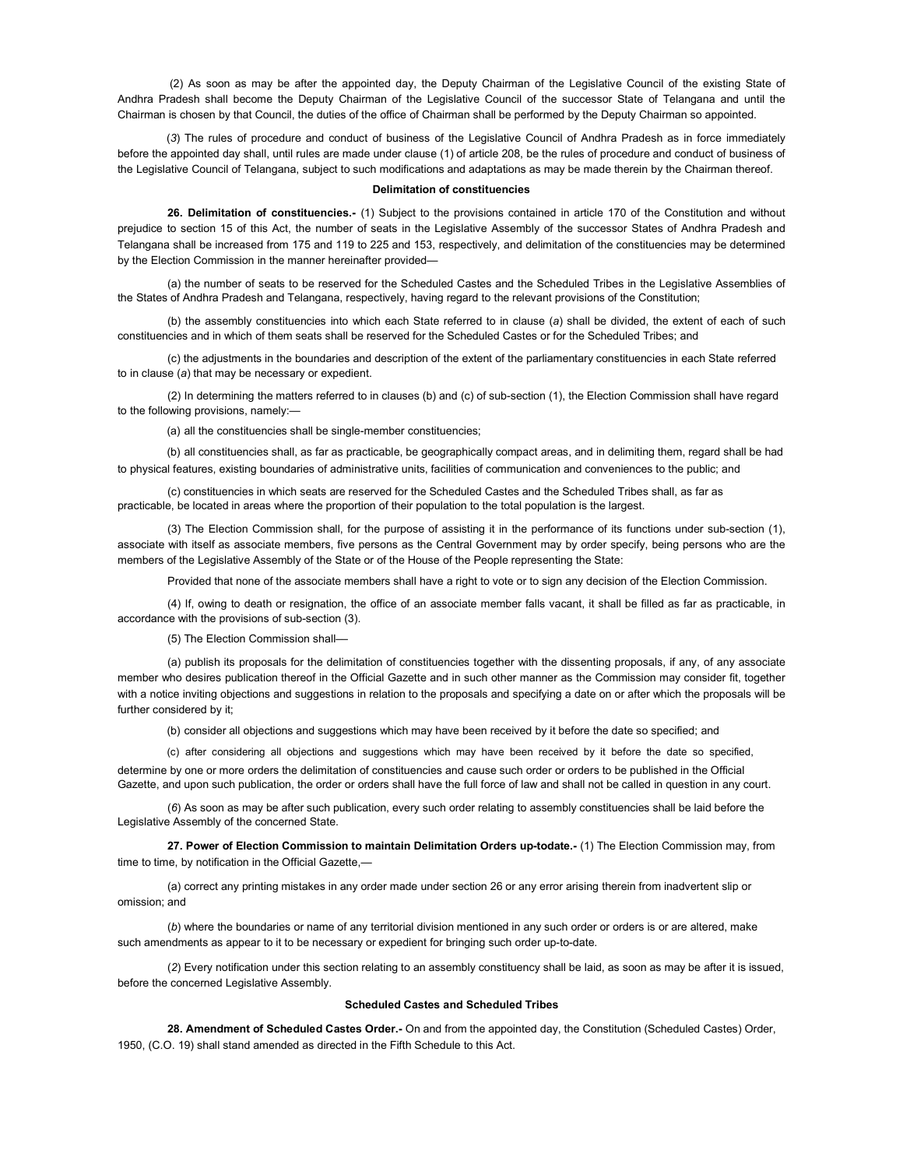(2) As soon as may be after the appointed day, the Deputy Chairman of the Legislative Council of the existing State of Andhra Pradesh shall become the Deputy Chairman of the Legislative Council of the successor State of Telangana and until the Chairman is chosen by that Council, the duties of the office of Chairman shall be performed by the Deputy Chairman so appointed.

(3) The rules of procedure and conduct of business of the Legislative Council of Andhra Pradesh as in force immediately before the appointed day shall, until rules are made under clause (1) of article 208, be the rules of procedure and conduct of business of the Legislative Council of Telangana, subject to such modifications and adaptations as may be made therein by the Chairman thereof.

#### Delimitation of constituencies

26. Delimitation of constituencies.- (1) Subject to the provisions contained in article 170 of the Constitution and without prejudice to section 15 of this Act, the number of seats in the Legislative Assembly of the successor States of Andhra Pradesh and Telangana shall be increased from 175 and 119 to 225 and 153, respectively, and delimitation of the constituencies may be determined by the Election Commission in the manner hereinafter provided—

(a) the number of seats to be reserved for the Scheduled Castes and the Scheduled Tribes in the Legislative Assemblies of the States of Andhra Pradesh and Telangana, respectively, having regard to the relevant provisions of the Constitution;

(b) the assembly constituencies into which each State referred to in clause (a) shall be divided, the extent of each of such constituencies and in which of them seats shall be reserved for the Scheduled Castes or for the Scheduled Tribes; and

(c) the adjustments in the boundaries and description of the extent of the parliamentary constituencies in each State referred to in clause (a) that may be necessary or expedient.

(2) In determining the matters referred to in clauses (b) and (c) of sub-section (1), the Election Commission shall have regard to the following provisions, namely:—

(a) all the constituencies shall be single-member constituencies;

(b) all constituencies shall, as far as practicable, be geographically compact areas, and in delimiting them, regard shall be had to physical features, existing boundaries of administrative units, facilities of communication and conveniences to the public; and

(c) constituencies in which seats are reserved for the Scheduled Castes and the Scheduled Tribes shall, as far as practicable, be located in areas where the proportion of their population to the total population is the largest.

(3) The Election Commission shall, for the purpose of assisting it in the performance of its functions under sub-section (1), associate with itself as associate members, five persons as the Central Government may by order specify, being persons who are the members of the Legislative Assembly of the State or of the House of the People representing the State:

Provided that none of the associate members shall have a right to vote or to sign any decision of the Election Commission.

(4) If, owing to death or resignation, the office of an associate member falls vacant, it shall be filled as far as practicable, in accordance with the provisions of sub-section (3).

(5) The Election Commission shall––

(a) publish its proposals for the delimitation of constituencies together with the dissenting proposals, if any, of any associate member who desires publication thereof in the Official Gazette and in such other manner as the Commission may consider fit, together with a notice inviting objections and suggestions in relation to the proposals and specifying a date on or after which the proposals will be further considered by it:

(b) consider all objections and suggestions which may have been received by it before the date so specified; and

(c) after considering all objections and suggestions which may have been received by it before the date so specified, determine by one or more orders the delimitation of constituencies and cause such order or orders to be published in the Official Gazette, and upon such publication, the order or orders shall have the full force of law and shall not be called in question in any court.

(6) As soon as may be after such publication, every such order relating to assembly constituencies shall be laid before the Legislative Assembly of the concerned State.

27. Power of Election Commission to maintain Delimitation Orders up-todate.- (1) The Election Commission may, from time to time, by notification in the Official Gazette,—

(a) correct any printing mistakes in any order made under section 26 or any error arising therein from inadvertent slip or omission; and

(b) where the boundaries or name of any territorial division mentioned in any such order or orders is or are altered, make such amendments as appear to it to be necessary or expedient for bringing such order up-to-date.

(2) Every notification under this section relating to an assembly constituency shall be laid, as soon as may be after it is issued, before the concerned Legislative Assembly.

### Scheduled Castes and Scheduled Tribes

28. Amendment of Scheduled Castes Order.- On and from the appointed day, the Constitution (Scheduled Castes) Order, 1950, (C.O. 19) shall stand amended as directed in the Fifth Schedule to this Act.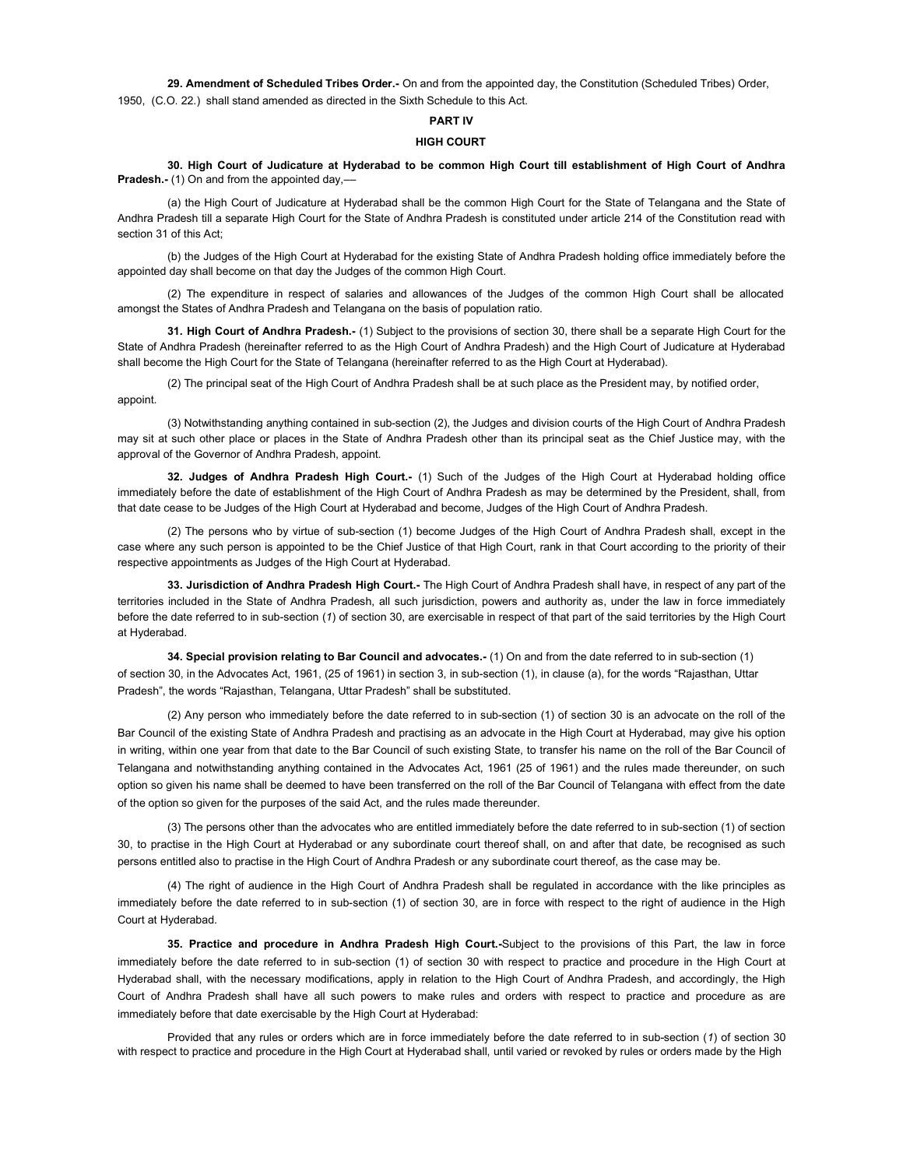29. Amendment of Scheduled Tribes Order.- On and from the appointed day, the Constitution (Scheduled Tribes) Order, 1950, (C.O. 22.) shall stand amended as directed in the Sixth Schedule to this Act.

# PART IV

# HIGH COURT

30. High Court of Judicature at Hyderabad to be common High Court till establishment of High Court of Andhra Pradesh.- (1) On and from the appointed day,-

(a) the High Court of Judicature at Hyderabad shall be the common High Court for the State of Telangana and the State of Andhra Pradesh till a separate High Court for the State of Andhra Pradesh is constituted under article 214 of the Constitution read with section 31 of this Act;

(b) the Judges of the High Court at Hyderabad for the existing State of Andhra Pradesh holding office immediately before the appointed day shall become on that day the Judges of the common High Court.

(2) The expenditure in respect of salaries and allowances of the Judges of the common High Court shall be allocated amongst the States of Andhra Pradesh and Telangana on the basis of population ratio.

31. High Court of Andhra Pradesh.- (1) Subject to the provisions of section 30, there shall be a separate High Court for the State of Andhra Pradesh (hereinafter referred to as the High Court of Andhra Pradesh) and the High Court of Judicature at Hyderabad shall become the High Court for the State of Telangana (hereinafter referred to as the High Court at Hyderabad).

(2) The principal seat of the High Court of Andhra Pradesh shall be at such place as the President may, by notified order, appoint.

(3) Notwithstanding anything contained in sub-section (2), the Judges and division courts of the High Court of Andhra Pradesh may sit at such other place or places in the State of Andhra Pradesh other than its principal seat as the Chief Justice may, with the approval of the Governor of Andhra Pradesh, appoint.

32. Judges of Andhra Pradesh High Court.- (1) Such of the Judges of the High Court at Hyderabad holding office immediately before the date of establishment of the High Court of Andhra Pradesh as may be determined by the President, shall, from that date cease to be Judges of the High Court at Hyderabad and become, Judges of the High Court of Andhra Pradesh.

(2) The persons who by virtue of sub-section (1) become Judges of the High Court of Andhra Pradesh shall, except in the case where any such person is appointed to be the Chief Justice of that High Court, rank in that Court according to the priority of their respective appointments as Judges of the High Court at Hyderabad.

33. Jurisdiction of Andhra Pradesh High Court.- The High Court of Andhra Pradesh shall have, in respect of any part of the territories included in the State of Andhra Pradesh, all such jurisdiction, powers and authority as, under the law in force immediately before the date referred to in sub-section (1) of section 30, are exercisable in respect of that part of the said territories by the High Court at Hyderabad.

34. Special provision relating to Bar Council and advocates.- (1) On and from the date referred to in sub-section (1) of section 30, in the Advocates Act, 1961, (25 of 1961) in section 3, in sub-section (1), in clause (a), for the words "Rajasthan, Uttar Pradesh", the words "Rajasthan, Telangana, Uttar Pradesh" shall be substituted.

(2) Any person who immediately before the date referred to in sub-section (1) of section 30 is an advocate on the roll of the Bar Council of the existing State of Andhra Pradesh and practising as an advocate in the High Court at Hyderabad, may give his option in writing, within one year from that date to the Bar Council of such existing State, to transfer his name on the roll of the Bar Council of Telangana and notwithstanding anything contained in the Advocates Act, 1961 (25 of 1961) and the rules made thereunder, on such option so given his name shall be deemed to have been transferred on the roll of the Bar Council of Telangana with effect from the date of the option so given for the purposes of the said Act, and the rules made thereunder.

(3) The persons other than the advocates who are entitled immediately before the date referred to in sub-section (1) of section 30, to practise in the High Court at Hyderabad or any subordinate court thereof shall, on and after that date, be recognised as such persons entitled also to practise in the High Court of Andhra Pradesh or any subordinate court thereof, as the case may be.

(4) The right of audience in the High Court of Andhra Pradesh shall be regulated in accordance with the like principles as immediately before the date referred to in sub-section (1) of section 30, are in force with respect to the right of audience in the High Court at Hyderabad.

35. Practice and procedure in Andhra Pradesh High Court.-Subject to the provisions of this Part, the law in force immediately before the date referred to in sub-section (1) of section 30 with respect to practice and procedure in the High Court at Hyderabad shall, with the necessary modifications, apply in relation to the High Court of Andhra Pradesh, and accordingly, the High Court of Andhra Pradesh shall have all such powers to make rules and orders with respect to practice and procedure as are immediately before that date exercisable by the High Court at Hyderabad:

Provided that any rules or orders which are in force immediately before the date referred to in sub-section (1) of section 30 with respect to practice and procedure in the High Court at Hyderabad shall, until varied or revoked by rules or orders made by the High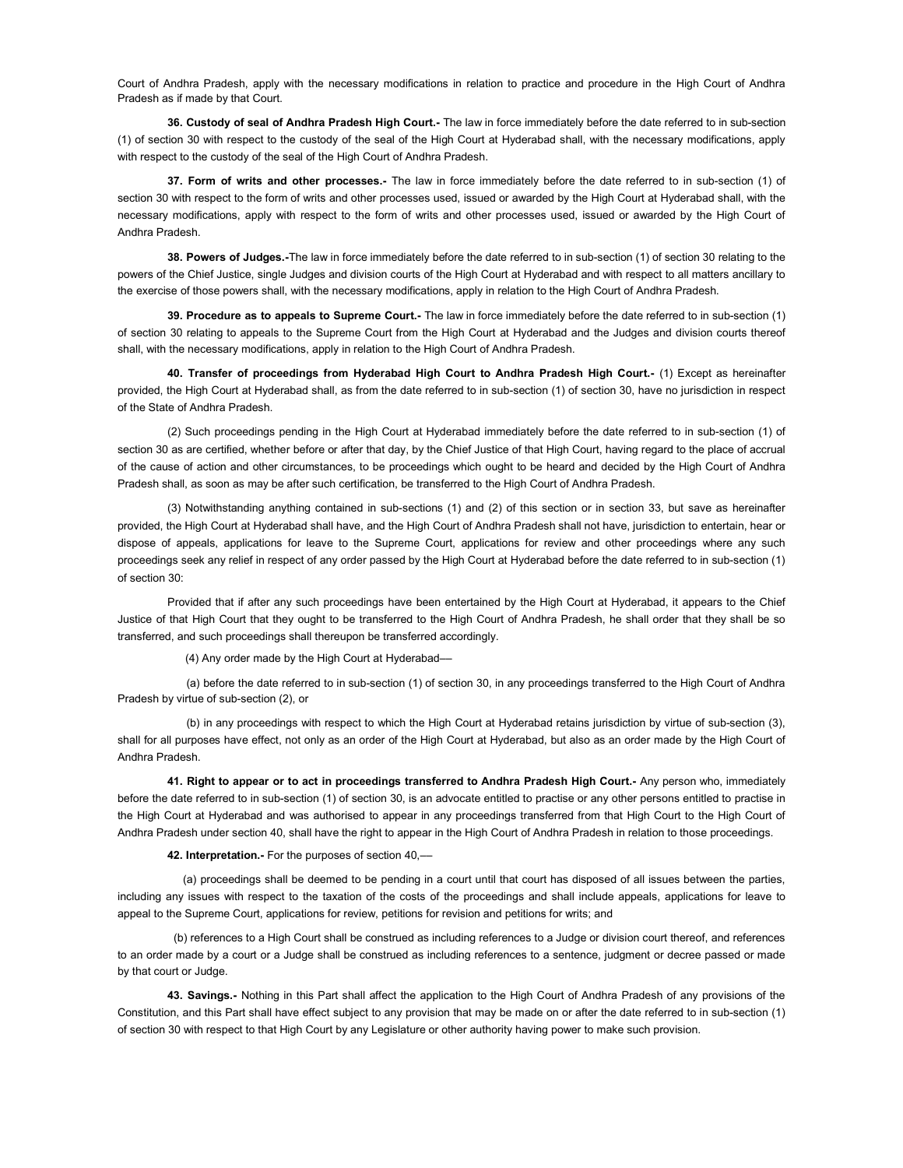Court of Andhra Pradesh, apply with the necessary modifications in relation to practice and procedure in the High Court of Andhra Pradesh as if made by that Court.

36. Custody of seal of Andhra Pradesh High Court.- The law in force immediately before the date referred to in sub-section (1) of section 30 with respect to the custody of the seal of the High Court at Hyderabad shall, with the necessary modifications, apply with respect to the custody of the seal of the High Court of Andhra Pradesh.

37. Form of writs and other processes.- The law in force immediately before the date referred to in sub-section (1) of section 30 with respect to the form of writs and other processes used, issued or awarded by the High Court at Hyderabad shall, with the necessary modifications, apply with respect to the form of writs and other processes used, issued or awarded by the High Court of Andhra Pradesh.

38. Powers of Judges.-The law in force immediately before the date referred to in sub-section (1) of section 30 relating to the powers of the Chief Justice, single Judges and division courts of the High Court at Hyderabad and with respect to all matters ancillary to the exercise of those powers shall, with the necessary modifications, apply in relation to the High Court of Andhra Pradesh.

39. Procedure as to appeals to Supreme Court.- The law in force immediately before the date referred to in sub-section (1) of section 30 relating to appeals to the Supreme Court from the High Court at Hyderabad and the Judges and division courts thereof shall, with the necessary modifications, apply in relation to the High Court of Andhra Pradesh.

40. Transfer of proceedings from Hyderabad High Court to Andhra Pradesh High Court.- (1) Except as hereinafter provided, the High Court at Hyderabad shall, as from the date referred to in sub-section (1) of section 30, have no jurisdiction in respect of the State of Andhra Pradesh.

(2) Such proceedings pending in the High Court at Hyderabad immediately before the date referred to in sub-section (1) of section 30 as are certified, whether before or after that day, by the Chief Justice of that High Court, having regard to the place of accrual of the cause of action and other circumstances, to be proceedings which ought to be heard and decided by the High Court of Andhra Pradesh shall, as soon as may be after such certification, be transferred to the High Court of Andhra Pradesh.

(3) Notwithstanding anything contained in sub-sections (1) and (2) of this section or in section 33, but save as hereinafter provided, the High Court at Hyderabad shall have, and the High Court of Andhra Pradesh shall not have, jurisdiction to entertain, hear or dispose of appeals, applications for leave to the Supreme Court, applications for review and other proceedings where any such proceedings seek any relief in respect of any order passed by the High Court at Hyderabad before the date referred to in sub-section (1) of section 30:

Provided that if after any such proceedings have been entertained by the High Court at Hyderabad, it appears to the Chief Justice of that High Court that they ought to be transferred to the High Court of Andhra Pradesh, he shall order that they shall be so transferred, and such proceedings shall thereupon be transferred accordingly.

(4) Any order made by the High Court at Hyderabad––

(a) before the date referred to in sub-section (1) of section 30, in any proceedings transferred to the High Court of Andhra Pradesh by virtue of sub-section (2), or

(b) in any proceedings with respect to which the High Court at Hyderabad retains jurisdiction by virtue of sub-section (3), shall for all purposes have effect, not only as an order of the High Court at Hyderabad, but also as an order made by the High Court of Andhra Pradesh.

41. Right to appear or to act in proceedings transferred to Andhra Pradesh High Court.- Any person who, immediately before the date referred to in sub-section (1) of section 30, is an advocate entitled to practise or any other persons entitled to practise in the High Court at Hyderabad and was authorised to appear in any proceedings transferred from that High Court to the High Court of Andhra Pradesh under section 40, shall have the right to appear in the High Court of Andhra Pradesh in relation to those proceedings.

42. Interpretation.- For the purposes of section 40,-

(a) proceedings shall be deemed to be pending in a court until that court has disposed of all issues between the parties, including any issues with respect to the taxation of the costs of the proceedings and shall include appeals, applications for leave to appeal to the Supreme Court, applications for review, petitions for revision and petitions for writs; and

(b) references to a High Court shall be construed as including references to a Judge or division court thereof, and references to an order made by a court or a Judge shall be construed as including references to a sentence, judgment or decree passed or made by that court or Judge.

43. Savings.- Nothing in this Part shall affect the application to the High Court of Andhra Pradesh of any provisions of the Constitution, and this Part shall have effect subject to any provision that may be made on or after the date referred to in sub-section (1) of section 30 with respect to that High Court by any Legislature or other authority having power to make such provision.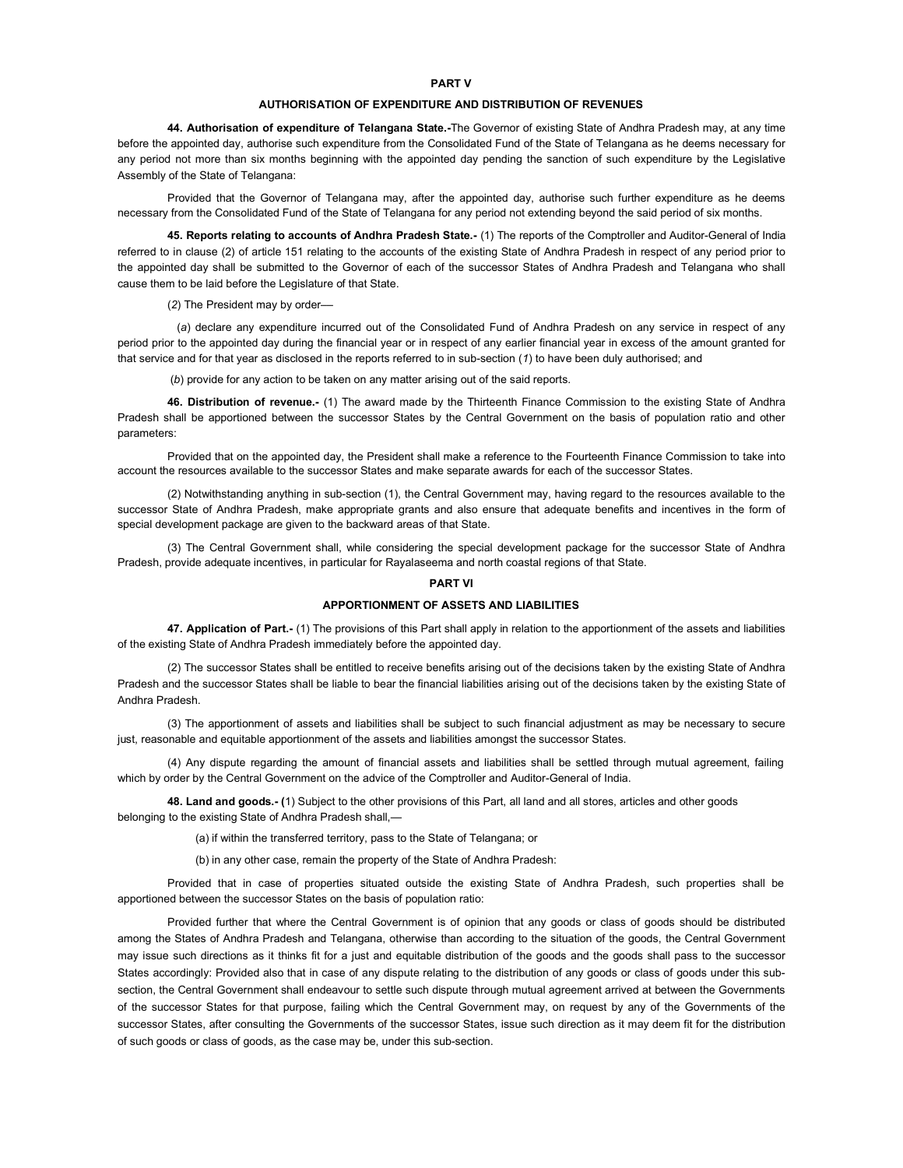### PART V

# AUTHORISATION OF EXPENDITURE AND DISTRIBUTION OF REVENUES

44. Authorisation of expenditure of Telangana State.-The Governor of existing State of Andhra Pradesh may, at any time before the appointed day, authorise such expenditure from the Consolidated Fund of the State of Telangana as he deems necessary for any period not more than six months beginning with the appointed day pending the sanction of such expenditure by the Legislative Assembly of the State of Telangana:

Provided that the Governor of Telangana may, after the appointed day, authorise such further expenditure as he deems necessary from the Consolidated Fund of the State of Telangana for any period not extending beyond the said period of six months.

45. Reports relating to accounts of Andhra Pradesh State.- (1) The reports of the Comptroller and Auditor-General of India referred to in clause (2) of article 151 relating to the accounts of the existing State of Andhra Pradesh in respect of any period prior to the appointed day shall be submitted to the Governor of each of the successor States of Andhra Pradesh and Telangana who shall cause them to be laid before the Legislature of that State.

(2) The President may by order––

(a) declare any expenditure incurred out of the Consolidated Fund of Andhra Pradesh on any service in respect of any period prior to the appointed day during the financial year or in respect of any earlier financial year in excess of the amount granted for that service and for that year as disclosed in the reports referred to in sub-section (1) to have been duly authorised; and

(b) provide for any action to be taken on any matter arising out of the said reports.

46. Distribution of revenue.- (1) The award made by the Thirteenth Finance Commission to the existing State of Andhra Pradesh shall be apportioned between the successor States by the Central Government on the basis of population ratio and other parameters:

Provided that on the appointed day, the President shall make a reference to the Fourteenth Finance Commission to take into account the resources available to the successor States and make separate awards for each of the successor States.

(2) Notwithstanding anything in sub-section (1), the Central Government may, having regard to the resources available to the successor State of Andhra Pradesh, make appropriate grants and also ensure that adequate benefits and incentives in the form of special development package are given to the backward areas of that State.

(3) The Central Government shall, while considering the special development package for the successor State of Andhra Pradesh, provide adequate incentives, in particular for Rayalaseema and north coastal regions of that State.

### PART VI

# APPORTIONMENT OF ASSETS AND LIABILITIES

47. Application of Part.- (1) The provisions of this Part shall apply in relation to the apportionment of the assets and liabilities of the existing State of Andhra Pradesh immediately before the appointed day.

(2) The successor States shall be entitled to receive benefits arising out of the decisions taken by the existing State of Andhra Pradesh and the successor States shall be liable to bear the financial liabilities arising out of the decisions taken by the existing State of Andhra Pradesh.

(3) The apportionment of assets and liabilities shall be subject to such financial adjustment as may be necessary to secure just, reasonable and equitable apportionment of the assets and liabilities amongst the successor States.

(4) Any dispute regarding the amount of financial assets and liabilities shall be settled through mutual agreement, failing which by order by the Central Government on the advice of the Comptroller and Auditor-General of India.

48. Land and goods.- (1) Subject to the other provisions of this Part, all land and all stores, articles and other goods belonging to the existing State of Andhra Pradesh shall,—

(a) if within the transferred territory, pass to the State of Telangana; or

(b) in any other case, remain the property of the State of Andhra Pradesh:

Provided that in case of properties situated outside the existing State of Andhra Pradesh, such properties shall be apportioned between the successor States on the basis of population ratio:

Provided further that where the Central Government is of opinion that any goods or class of goods should be distributed among the States of Andhra Pradesh and Telangana, otherwise than according to the situation of the goods, the Central Government may issue such directions as it thinks fit for a just and equitable distribution of the goods and the goods shall pass to the successor States accordingly: Provided also that in case of any dispute relating to the distribution of any goods or class of goods under this subsection, the Central Government shall endeavour to settle such dispute through mutual agreement arrived at between the Governments of the successor States for that purpose, failing which the Central Government may, on request by any of the Governments of the successor States, after consulting the Governments of the successor States, issue such direction as it may deem fit for the distribution of such goods or class of goods, as the case may be, under this sub-section.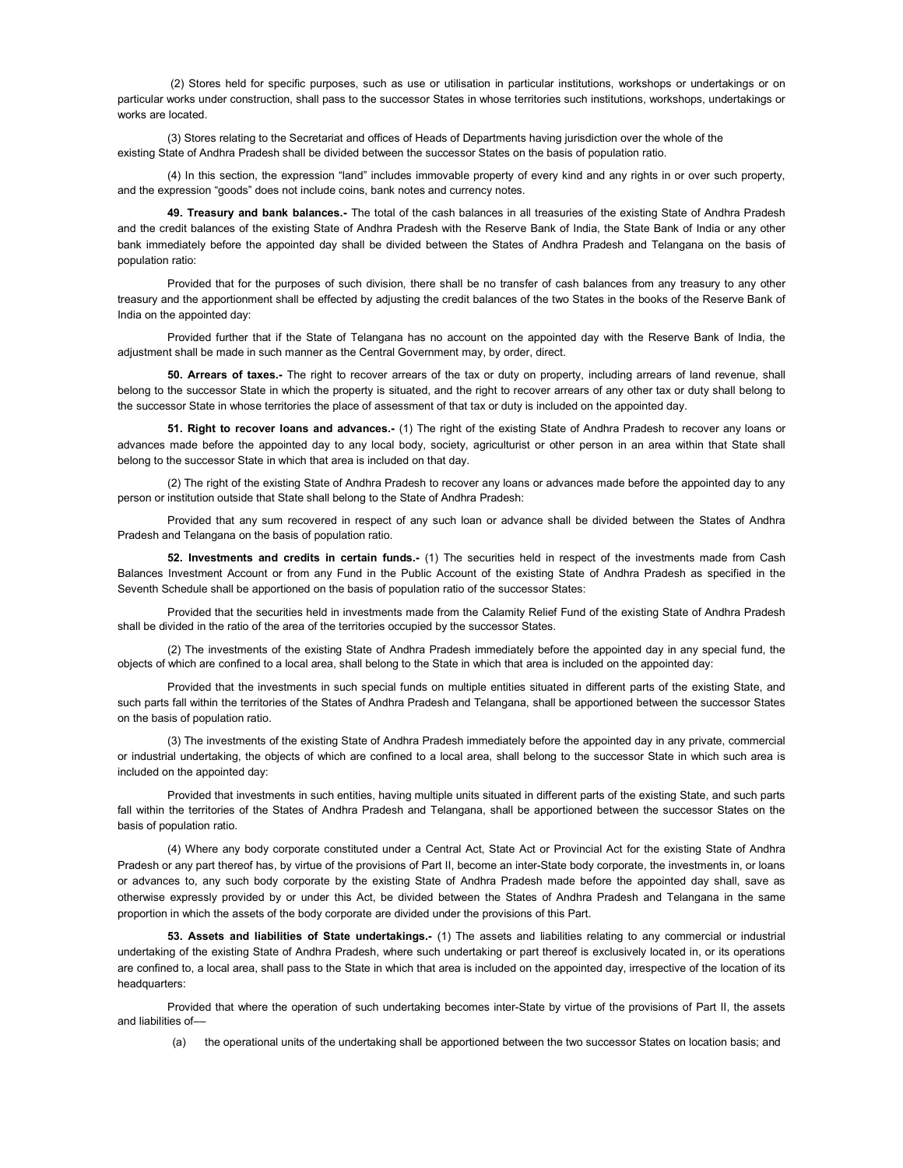(2) Stores held for specific purposes, such as use or utilisation in particular institutions, workshops or undertakings or on particular works under construction, shall pass to the successor States in whose territories such institutions, workshops, undertakings or works are located.

(3) Stores relating to the Secretariat and offices of Heads of Departments having jurisdiction over the whole of the existing State of Andhra Pradesh shall be divided between the successor States on the basis of population ratio.

(4) In this section, the expression "land" includes immovable property of every kind and any rights in or over such property, and the expression "goods" does not include coins, bank notes and currency notes.

49. Treasury and bank balances.- The total of the cash balances in all treasuries of the existing State of Andhra Pradesh and the credit balances of the existing State of Andhra Pradesh with the Reserve Bank of India, the State Bank of India or any other bank immediately before the appointed day shall be divided between the States of Andhra Pradesh and Telangana on the basis of population ratio:

Provided that for the purposes of such division, there shall be no transfer of cash balances from any treasury to any other treasury and the apportionment shall be effected by adjusting the credit balances of the two States in the books of the Reserve Bank of India on the appointed day:

Provided further that if the State of Telangana has no account on the appointed day with the Reserve Bank of India, the adjustment shall be made in such manner as the Central Government may, by order, direct.

50. Arrears of taxes.- The right to recover arrears of the tax or duty on property, including arrears of land revenue, shall belong to the successor State in which the property is situated, and the right to recover arrears of any other tax or duty shall belong to the successor State in whose territories the place of assessment of that tax or duty is included on the appointed day.

51. Right to recover loans and advances.- (1) The right of the existing State of Andhra Pradesh to recover any loans or advances made before the appointed day to any local body, society, agriculturist or other person in an area within that State shall belong to the successor State in which that area is included on that day.

(2) The right of the existing State of Andhra Pradesh to recover any loans or advances made before the appointed day to any person or institution outside that State shall belong to the State of Andhra Pradesh:

Provided that any sum recovered in respect of any such loan or advance shall be divided between the States of Andhra Pradesh and Telangana on the basis of population ratio.

52. Investments and credits in certain funds.- (1) The securities held in respect of the investments made from Cash Balances Investment Account or from any Fund in the Public Account of the existing State of Andhra Pradesh as specified in the Seventh Schedule shall be apportioned on the basis of population ratio of the successor States:

Provided that the securities held in investments made from the Calamity Relief Fund of the existing State of Andhra Pradesh shall be divided in the ratio of the area of the territories occupied by the successor States.

(2) The investments of the existing State of Andhra Pradesh immediately before the appointed day in any special fund, the objects of which are confined to a local area, shall belong to the State in which that area is included on the appointed day:

Provided that the investments in such special funds on multiple entities situated in different parts of the existing State, and such parts fall within the territories of the States of Andhra Pradesh and Telangana, shall be apportioned between the successor States on the basis of population ratio.

(3) The investments of the existing State of Andhra Pradesh immediately before the appointed day in any private, commercial or industrial undertaking, the objects of which are confined to a local area, shall belong to the successor State in which such area is included on the appointed day:

Provided that investments in such entities, having multiple units situated in different parts of the existing State, and such parts fall within the territories of the States of Andhra Pradesh and Telangana, shall be apportioned between the successor States on the basis of population ratio.

(4) Where any body corporate constituted under a Central Act, State Act or Provincial Act for the existing State of Andhra Pradesh or any part thereof has, by virtue of the provisions of Part II, become an inter-State body corporate, the investments in, or loans or advances to, any such body corporate by the existing State of Andhra Pradesh made before the appointed day shall, save as otherwise expressly provided by or under this Act, be divided between the States of Andhra Pradesh and Telangana in the same proportion in which the assets of the body corporate are divided under the provisions of this Part.

53. Assets and liabilities of State undertakings.- (1) The assets and liabilities relating to any commercial or industrial undertaking of the existing State of Andhra Pradesh, where such undertaking or part thereof is exclusively located in, or its operations are confined to, a local area, shall pass to the State in which that area is included on the appointed day, irrespective of the location of its headquarters:

Provided that where the operation of such undertaking becomes inter-State by virtue of the provisions of Part II, the assets and liabilities of––

(a) the operational units of the undertaking shall be apportioned between the two successor States on location basis; and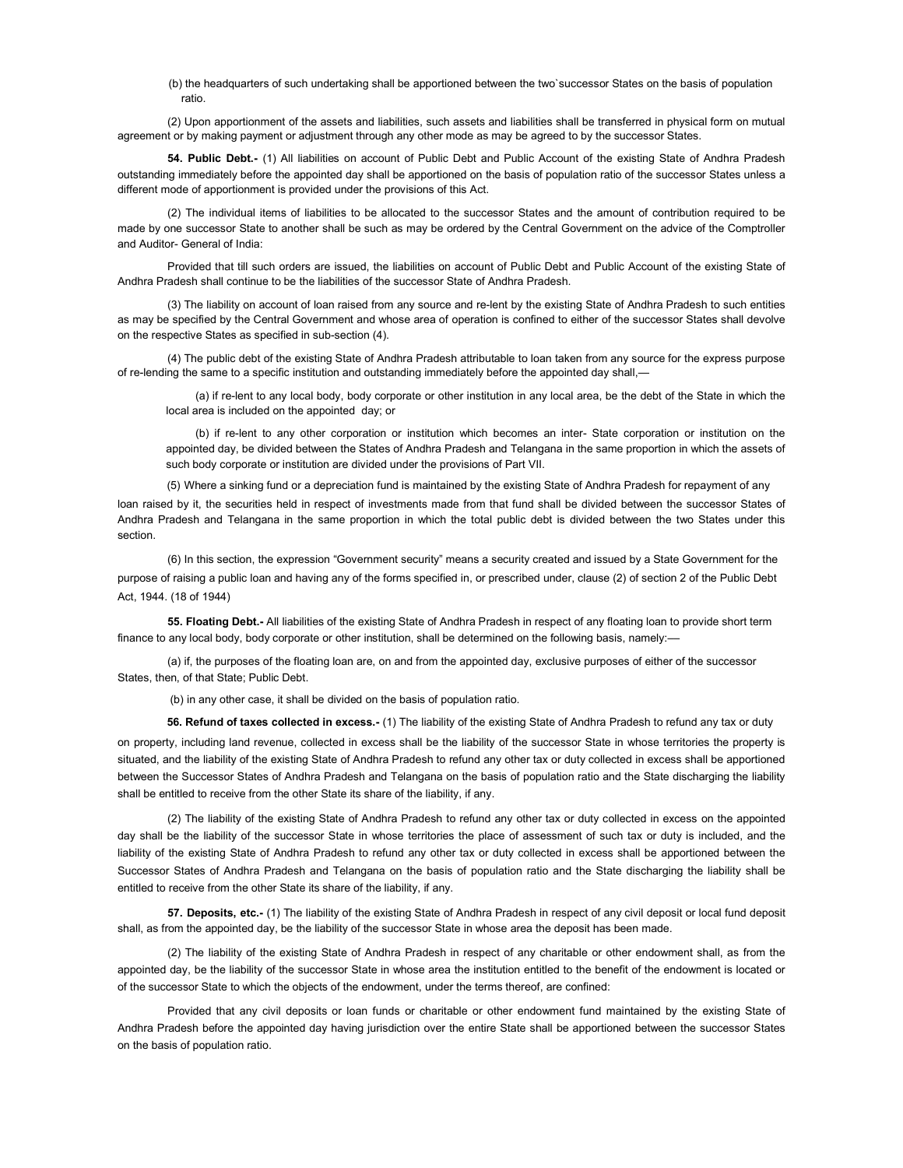(b) the headquarters of such undertaking shall be apportioned between the two`successor States on the basis of population ratio.

(2) Upon apportionment of the assets and liabilities, such assets and liabilities shall be transferred in physical form on mutual agreement or by making payment or adjustment through any other mode as may be agreed to by the successor States.

54. Public Debt.- (1) All liabilities on account of Public Debt and Public Account of the existing State of Andhra Pradesh outstanding immediately before the appointed day shall be apportioned on the basis of population ratio of the successor States unless a different mode of apportionment is provided under the provisions of this Act.

(2) The individual items of liabilities to be allocated to the successor States and the amount of contribution required to be made by one successor State to another shall be such as may be ordered by the Central Government on the advice of the Comptroller and Auditor- General of India:

Provided that till such orders are issued, the liabilities on account of Public Debt and Public Account of the existing State of Andhra Pradesh shall continue to be the liabilities of the successor State of Andhra Pradesh.

(3) The liability on account of loan raised from any source and re-lent by the existing State of Andhra Pradesh to such entities as may be specified by the Central Government and whose area of operation is confined to either of the successor States shall devolve on the respective States as specified in sub-section (4).

(4) The public debt of the existing State of Andhra Pradesh attributable to loan taken from any source for the express purpose of re-lending the same to a specific institution and outstanding immediately before the appointed day shall,—

(a) if re-lent to any local body, body corporate or other institution in any local area, be the debt of the State in which the local area is included on the appointed day; or

(b) if re-lent to any other corporation or institution which becomes an inter- State corporation or institution on the appointed day, be divided between the States of Andhra Pradesh and Telangana in the same proportion in which the assets of such body corporate or institution are divided under the provisions of Part VII.

(5) Where a sinking fund or a depreciation fund is maintained by the existing State of Andhra Pradesh for repayment of any loan raised by it, the securities held in respect of investments made from that fund shall be divided between the successor States of Andhra Pradesh and Telangana in the same proportion in which the total public debt is divided between the two States under this section.

(6) In this section, the expression "Government security" means a security created and issued by a State Government for the purpose of raising a public loan and having any of the forms specified in, or prescribed under, clause (2) of section 2 of the Public Debt Act, 1944. (18 of 1944)

55. Floating Debt.- All liabilities of the existing State of Andhra Pradesh in respect of any floating loan to provide short term finance to any local body, body corporate or other institution, shall be determined on the following basis, namely:-

(a) if, the purposes of the floating loan are, on and from the appointed day, exclusive purposes of either of the successor States, then, of that State; Public Debt.

(b) in any other case, it shall be divided on the basis of population ratio.

56. Refund of taxes collected in excess.- (1) The liability of the existing State of Andhra Pradesh to refund any tax or duty

on property, including land revenue, collected in excess shall be the liability of the successor State in whose territories the property is situated, and the liability of the existing State of Andhra Pradesh to refund any other tax or duty collected in excess shall be apportioned between the Successor States of Andhra Pradesh and Telangana on the basis of population ratio and the State discharging the liability shall be entitled to receive from the other State its share of the liability, if any.

(2) The liability of the existing State of Andhra Pradesh to refund any other tax or duty collected in excess on the appointed day shall be the liability of the successor State in whose territories the place of assessment of such tax or duty is included, and the liability of the existing State of Andhra Pradesh to refund any other tax or duty collected in excess shall be apportioned between the Successor States of Andhra Pradesh and Telangana on the basis of population ratio and the State discharging the liability shall be entitled to receive from the other State its share of the liability, if any.

57. Deposits, etc.- (1) The liability of the existing State of Andhra Pradesh in respect of any civil deposit or local fund deposit shall, as from the appointed day, be the liability of the successor State in whose area the deposit has been made.

(2) The liability of the existing State of Andhra Pradesh in respect of any charitable or other endowment shall, as from the appointed day, be the liability of the successor State in whose area the institution entitled to the benefit of the endowment is located or of the successor State to which the objects of the endowment, under the terms thereof, are confined:

Provided that any civil deposits or loan funds or charitable or other endowment fund maintained by the existing State of Andhra Pradesh before the appointed day having jurisdiction over the entire State shall be apportioned between the successor States on the basis of population ratio.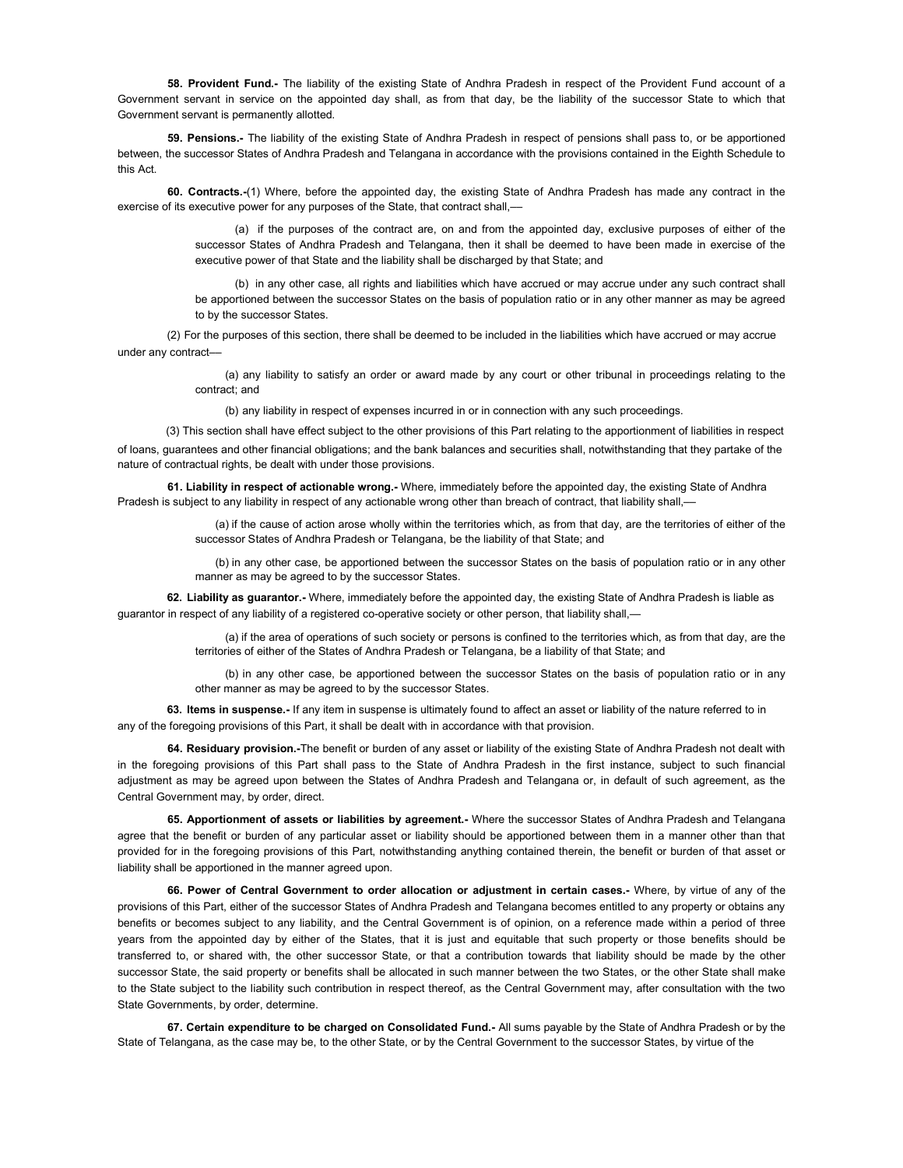58. Provident Fund.- The liability of the existing State of Andhra Pradesh in respect of the Provident Fund account of a Government servant in service on the appointed day shall, as from that day, be the liability of the successor State to which that Government servant is permanently allotted.

59. Pensions.- The liability of the existing State of Andhra Pradesh in respect of pensions shall pass to, or be apportioned between, the successor States of Andhra Pradesh and Telangana in accordance with the provisions contained in the Eighth Schedule to this Act.

60. Contracts.-(1) Where, before the appointed day, the existing State of Andhra Pradesh has made any contract in the exercise of its executive power for any purposes of the State, that contract shall,-

> (a) if the purposes of the contract are, on and from the appointed day, exclusive purposes of either of the successor States of Andhra Pradesh and Telangana, then it shall be deemed to have been made in exercise of the executive power of that State and the liability shall be discharged by that State; and

> (b) in any other case, all rights and liabilities which have accrued or may accrue under any such contract shall be apportioned between the successor States on the basis of population ratio or in any other manner as may be agreed to by the successor States.

(2) For the purposes of this section, there shall be deemed to be included in the liabilities which have accrued or may accrue under any contract––

> (a) any liability to satisfy an order or award made by any court or other tribunal in proceedings relating to the contract; and

(b) any liability in respect of expenses incurred in or in connection with any such proceedings.

(3) This section shall have effect subject to the other provisions of this Part relating to the apportionment of liabilities in respect of loans, guarantees and other financial obligations; and the bank balances and securities shall, notwithstanding that they partake of the nature of contractual rights, be dealt with under those provisions.

61. Liability in respect of actionable wrong.- Where, immediately before the appointed day, the existing State of Andhra Pradesh is subject to any liability in respect of any actionable wrong other than breach of contract, that liability shall,––

> (a) if the cause of action arose wholly within the territories which, as from that day, are the territories of either of the successor States of Andhra Pradesh or Telangana, be the liability of that State; and

> (b) in any other case, be apportioned between the successor States on the basis of population ratio or in any other manner as may be agreed to by the successor States.

62. Liability as guarantor.- Where, immediately before the appointed day, the existing State of Andhra Pradesh is liable as guarantor in respect of any liability of a registered co-operative society or other person, that liability shall,-

> (a) if the area of operations of such society or persons is confined to the territories which, as from that day, are the territories of either of the States of Andhra Pradesh or Telangana, be a liability of that State; and

> (b) in any other case, be apportioned between the successor States on the basis of population ratio or in any other manner as may be agreed to by the successor States.

63. Items in suspense.- If any item in suspense is ultimately found to affect an asset or liability of the nature referred to in any of the foregoing provisions of this Part, it shall be dealt with in accordance with that provision.

64. Residuary provision.-The benefit or burden of any asset or liability of the existing State of Andhra Pradesh not dealt with in the foregoing provisions of this Part shall pass to the State of Andhra Pradesh in the first instance, subject to such financial adjustment as may be agreed upon between the States of Andhra Pradesh and Telangana or, in default of such agreement, as the Central Government may, by order, direct.

65. Apportionment of assets or liabilities by agreement.- Where the successor States of Andhra Pradesh and Telangana agree that the benefit or burden of any particular asset or liability should be apportioned between them in a manner other than that provided for in the foregoing provisions of this Part, notwithstanding anything contained therein, the benefit or burden of that asset or liability shall be apportioned in the manner agreed upon.

66. Power of Central Government to order allocation or adjustment in certain cases.- Where, by virtue of any of the provisions of this Part, either of the successor States of Andhra Pradesh and Telangana becomes entitled to any property or obtains any benefits or becomes subject to any liability, and the Central Government is of opinion, on a reference made within a period of three years from the appointed day by either of the States, that it is just and equitable that such property or those benefits should be transferred to, or shared with, the other successor State, or that a contribution towards that liability should be made by the other successor State, the said property or benefits shall be allocated in such manner between the two States, or the other State shall make to the State subject to the liability such contribution in respect thereof, as the Central Government may, after consultation with the two State Governments, by order, determine.

67. Certain expenditure to be charged on Consolidated Fund.- All sums payable by the State of Andhra Pradesh or by the State of Telangana, as the case may be, to the other State, or by the Central Government to the successor States, by virtue of the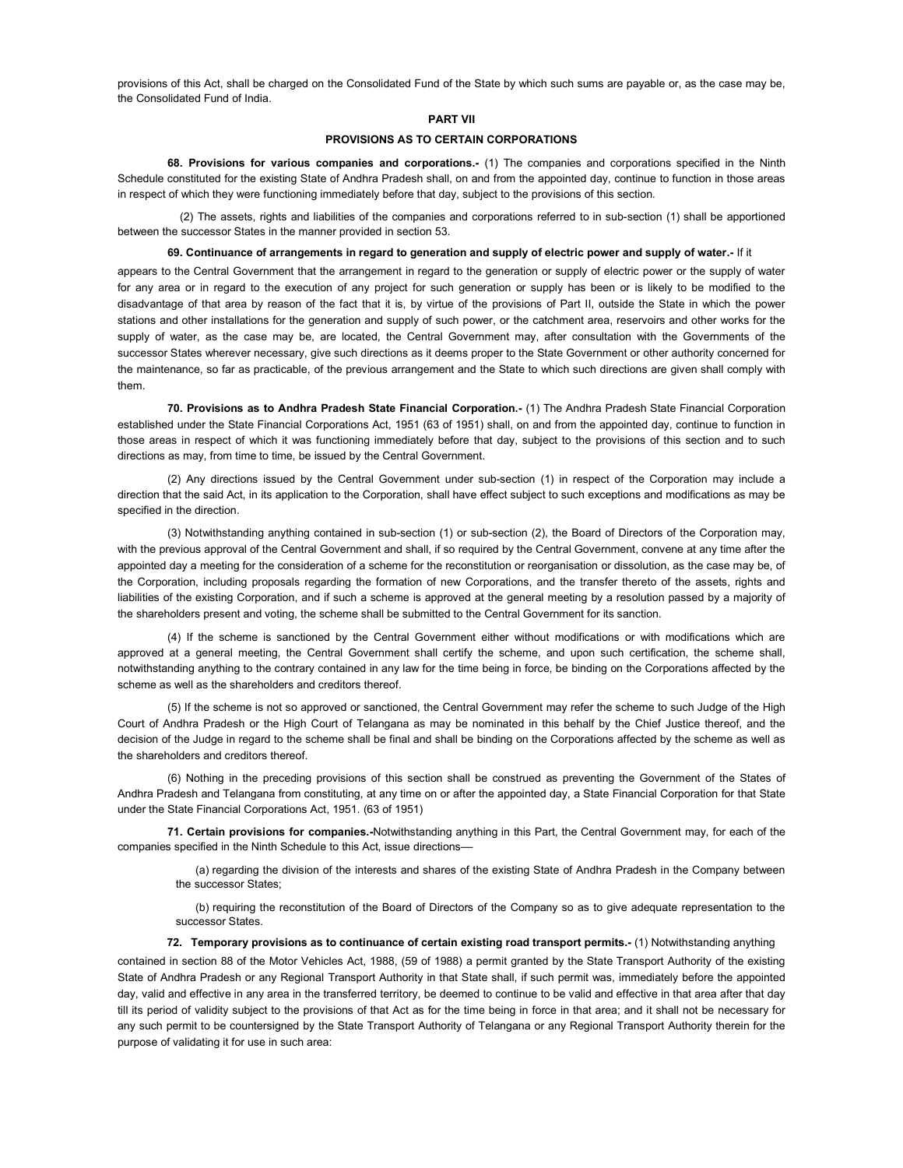provisions of this Act, shall be charged on the Consolidated Fund of the State by which such sums are payable or, as the case may be, the Consolidated Fund of India.

### PART VII

## PROVISIONS AS TO CERTAIN CORPORATIONS

68. Provisions for various companies and corporations.- (1) The companies and corporations specified in the Ninth Schedule constituted for the existing State of Andhra Pradesh shall, on and from the appointed day, continue to function in those areas in respect of which they were functioning immediately before that day, subject to the provisions of this section.

(2) The assets, rights and liabilities of the companies and corporations referred to in sub-section (1) shall be apportioned between the successor States in the manner provided in section 53.

69. Continuance of arrangements in regard to generation and supply of electric power and supply of water.- If it

appears to the Central Government that the arrangement in regard to the generation or supply of electric power or the supply of water for any area or in regard to the execution of any project for such generation or supply has been or is likely to be modified to the disadvantage of that area by reason of the fact that it is, by virtue of the provisions of Part II, outside the State in which the power stations and other installations for the generation and supply of such power, or the catchment area, reservoirs and other works for the supply of water, as the case may be, are located, the Central Government may, after consultation with the Governments of the successor States wherever necessary, give such directions as it deems proper to the State Government or other authority concerned for the maintenance, so far as practicable, of the previous arrangement and the State to which such directions are given shall comply with them.

70. Provisions as to Andhra Pradesh State Financial Corporation.- (1) The Andhra Pradesh State Financial Corporation established under the State Financial Corporations Act, 1951 (63 of 1951) shall, on and from the appointed day, continue to function in those areas in respect of which it was functioning immediately before that day, subject to the provisions of this section and to such directions as may, from time to time, be issued by the Central Government.

(2) Any directions issued by the Central Government under sub-section (1) in respect of the Corporation may include a direction that the said Act, in its application to the Corporation, shall have effect subject to such exceptions and modifications as may be specified in the direction.

(3) Notwithstanding anything contained in sub-section (1) or sub-section (2), the Board of Directors of the Corporation may, with the previous approval of the Central Government and shall, if so required by the Central Government, convene at any time after the appointed day a meeting for the consideration of a scheme for the reconstitution or reorganisation or dissolution, as the case may be, of the Corporation, including proposals regarding the formation of new Corporations, and the transfer thereto of the assets, rights and liabilities of the existing Corporation, and if such a scheme is approved at the general meeting by a resolution passed by a majority of the shareholders present and voting, the scheme shall be submitted to the Central Government for its sanction.

(4) If the scheme is sanctioned by the Central Government either without modifications or with modifications which are approved at a general meeting, the Central Government shall certify the scheme, and upon such certification, the scheme shall, notwithstanding anything to the contrary contained in any law for the time being in force, be binding on the Corporations affected by the scheme as well as the shareholders and creditors thereof.

(5) If the scheme is not so approved or sanctioned, the Central Government may refer the scheme to such Judge of the High Court of Andhra Pradesh or the High Court of Telangana as may be nominated in this behalf by the Chief Justice thereof, and the decision of the Judge in regard to the scheme shall be final and shall be binding on the Corporations affected by the scheme as well as the shareholders and creditors thereof.

(6) Nothing in the preceding provisions of this section shall be construed as preventing the Government of the States of Andhra Pradesh and Telangana from constituting, at any time on or after the appointed day, a State Financial Corporation for that State under the State Financial Corporations Act, 1951. (63 of 1951)

71. Certain provisions for companies.-Notwithstanding anything in this Part, the Central Government may, for each of the companies specified in the Ninth Schedule to this Act, issue directions––

(a) regarding the division of the interests and shares of the existing State of Andhra Pradesh in the Company between the successor States;

(b) requiring the reconstitution of the Board of Directors of the Company so as to give adequate representation to the successor States.

72. Temporary provisions as to continuance of certain existing road transport permits.- (1) Notwithstanding anything

contained in section 88 of the Motor Vehicles Act, 1988, (59 of 1988) a permit granted by the State Transport Authority of the existing State of Andhra Pradesh or any Regional Transport Authority in that State shall, if such permit was, immediately before the appointed day, valid and effective in any area in the transferred territory, be deemed to continue to be valid and effective in that area after that day till its period of validity subject to the provisions of that Act as for the time being in force in that area; and it shall not be necessary for any such permit to be countersigned by the State Transport Authority of Telangana or any Regional Transport Authority therein for the purpose of validating it for use in such area: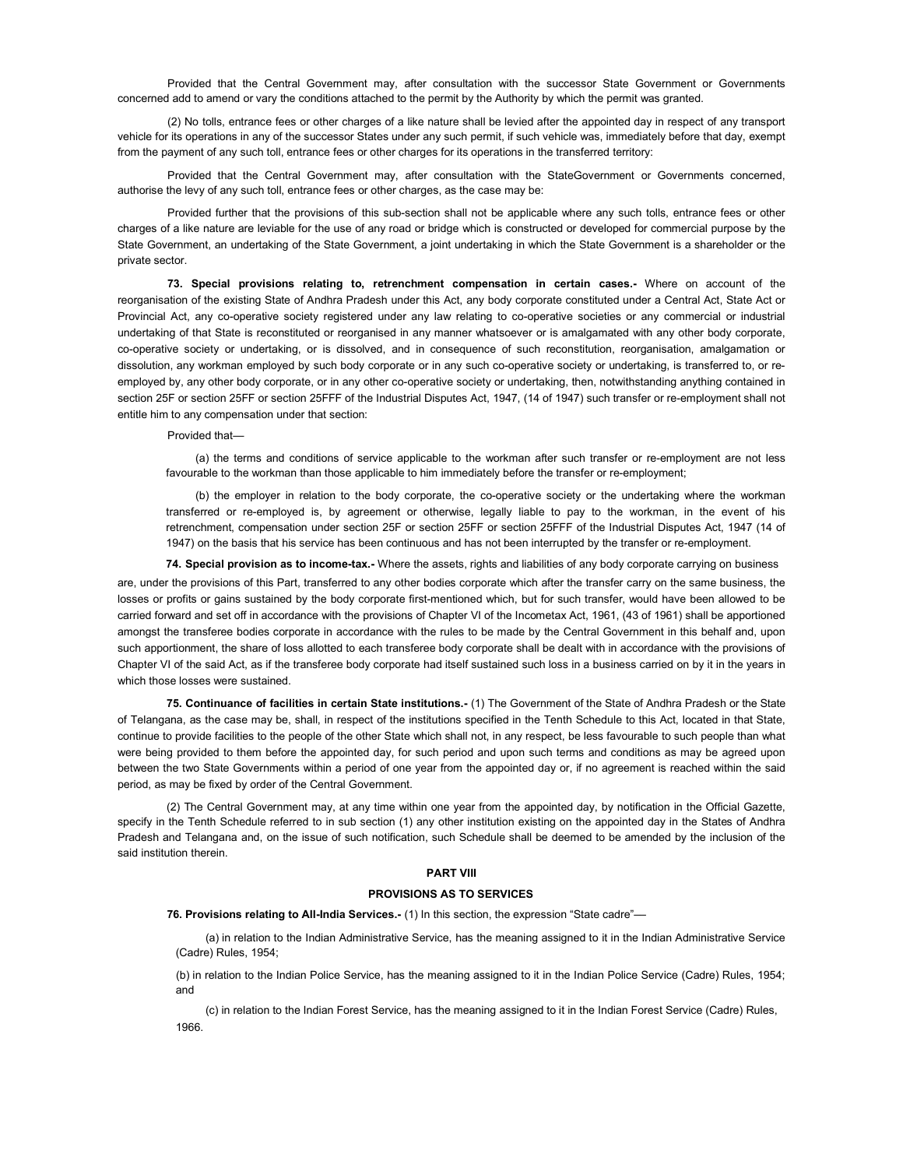Provided that the Central Government may, after consultation with the successor State Government or Governments concerned add to amend or vary the conditions attached to the permit by the Authority by which the permit was granted.

(2) No tolls, entrance fees or other charges of a like nature shall be levied after the appointed day in respect of any transport vehicle for its operations in any of the successor States under any such permit, if such vehicle was, immediately before that day, exempt from the payment of any such toll, entrance fees or other charges for its operations in the transferred territory:

Provided that the Central Government may, after consultation with the StateGovernment or Governments concerned, authorise the levy of any such toll, entrance fees or other charges, as the case may be:

Provided further that the provisions of this sub-section shall not be applicable where any such tolls, entrance fees or other charges of a like nature are leviable for the use of any road or bridge which is constructed or developed for commercial purpose by the State Government, an undertaking of the State Government, a joint undertaking in which the State Government is a shareholder or the private sector.

73. Special provisions relating to, retrenchment compensation in certain cases.- Where on account of the reorganisation of the existing State of Andhra Pradesh under this Act, any body corporate constituted under a Central Act, State Act or Provincial Act, any co-operative society registered under any law relating to co-operative societies or any commercial or industrial undertaking of that State is reconstituted or reorganised in any manner whatsoever or is amalgamated with any other body corporate, co-operative society or undertaking, or is dissolved, and in consequence of such reconstitution, reorganisation, amalgamation or dissolution, any workman employed by such body corporate or in any such co-operative society or undertaking, is transferred to, or reemployed by, any other body corporate, or in any other co-operative society or undertaking, then, notwithstanding anything contained in section 25F or section 25FF or section 25FFF of the Industrial Disputes Act, 1947, (14 of 1947) such transfer or re-employment shall not entitle him to any compensation under that section:

Provided that—

(a) the terms and conditions of service applicable to the workman after such transfer or re-employment are not less favourable to the workman than those applicable to him immediately before the transfer or re-employment;

(b) the employer in relation to the body corporate, the co-operative society or the undertaking where the workman transferred or re-employed is, by agreement or otherwise, legally liable to pay to the workman, in the event of his retrenchment, compensation under section 25F or section 25FF or section 25FFF of the Industrial Disputes Act, 1947 (14 of 1947) on the basis that his service has been continuous and has not been interrupted by the transfer or re-employment.

74. Special provision as to income-tax.- Where the assets, rights and liabilities of any body corporate carrying on business

are, under the provisions of this Part, transferred to any other bodies corporate which after the transfer carry on the same business, the losses or profits or gains sustained by the body corporate first-mentioned which, but for such transfer, would have been allowed to be carried forward and set off in accordance with the provisions of Chapter VI of the Incometax Act, 1961, (43 of 1961) shall be apportioned amongst the transferee bodies corporate in accordance with the rules to be made by the Central Government in this behalf and, upon such apportionment, the share of loss allotted to each transferee body corporate shall be dealt with in accordance with the provisions of Chapter VI of the said Act, as if the transferee body corporate had itself sustained such loss in a business carried on by it in the years in which those losses were sustained.

75. Continuance of facilities in certain State institutions.- (1) The Government of the State of Andhra Pradesh or the State of Telangana, as the case may be, shall, in respect of the institutions specified in the Tenth Schedule to this Act, located in that State, continue to provide facilities to the people of the other State which shall not, in any respect, be less favourable to such people than what were being provided to them before the appointed day, for such period and upon such terms and conditions as may be agreed upon between the two State Governments within a period of one year from the appointed day or, if no agreement is reached within the said period, as may be fixed by order of the Central Government.

(2) The Central Government may, at any time within one year from the appointed day, by notification in the Official Gazette, specify in the Tenth Schedule referred to in sub section (1) any other institution existing on the appointed day in the States of Andhra Pradesh and Telangana and, on the issue of such notification, such Schedule shall be deemed to be amended by the inclusion of the said institution therein.

### PART VIII

#### PROVISIONS AS TO SERVICES

76. Provisions relating to All-India Services.- (1) In this section, the expression "State cadre"-

(a) in relation to the Indian Administrative Service, has the meaning assigned to it in the Indian Administrative Service (Cadre) Rules, 1954;

(b) in relation to the Indian Police Service, has the meaning assigned to it in the Indian Police Service (Cadre) Rules, 1954; and

(c) in relation to the Indian Forest Service, has the meaning assigned to it in the Indian Forest Service (Cadre) Rules, 1966.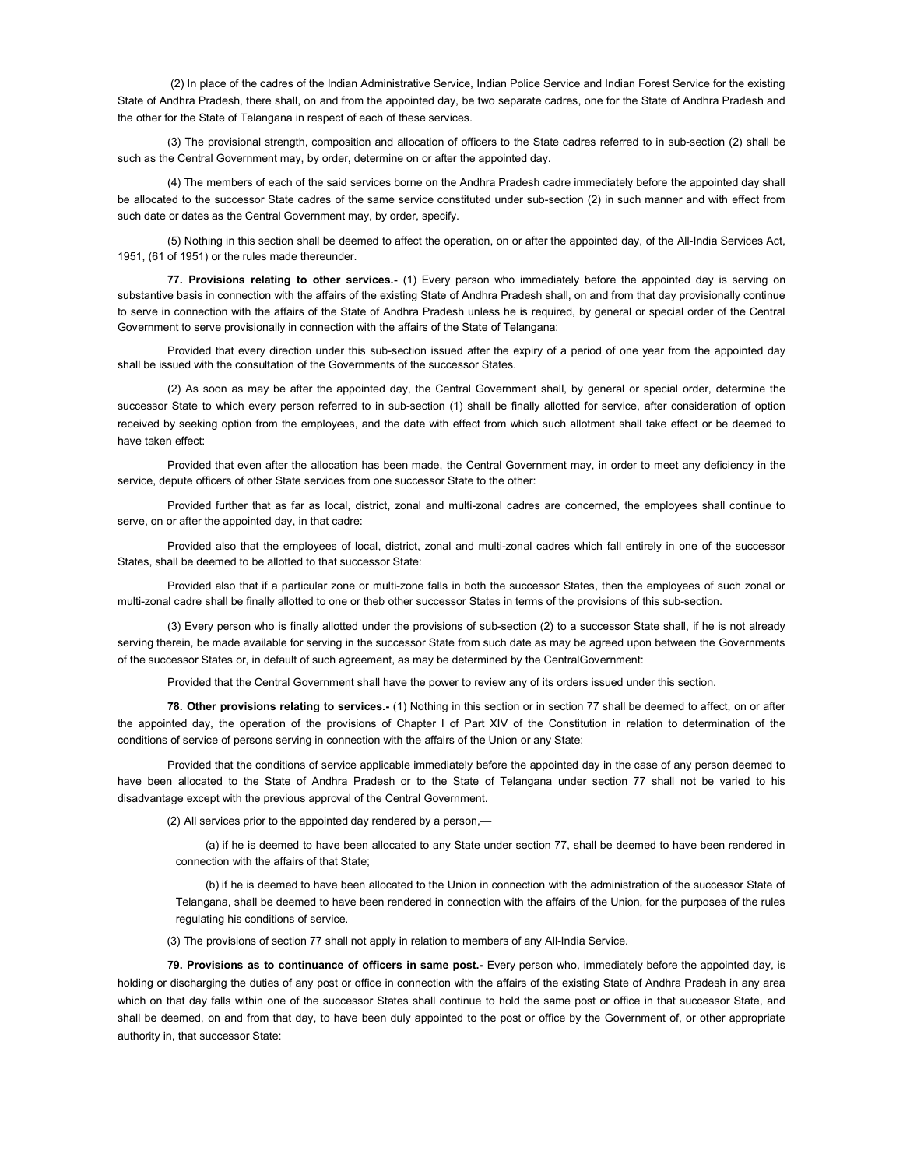(2) In place of the cadres of the Indian Administrative Service, Indian Police Service and Indian Forest Service for the existing State of Andhra Pradesh, there shall, on and from the appointed day, be two separate cadres, one for the State of Andhra Pradesh and the other for the State of Telangana in respect of each of these services.

(3) The provisional strength, composition and allocation of officers to the State cadres referred to in sub-section (2) shall be such as the Central Government may, by order, determine on or after the appointed day.

(4) The members of each of the said services borne on the Andhra Pradesh cadre immediately before the appointed day shall be allocated to the successor State cadres of the same service constituted under sub-section (2) in such manner and with effect from such date or dates as the Central Government may, by order, specify.

(5) Nothing in this section shall be deemed to affect the operation, on or after the appointed day, of the All-India Services Act, 1951, (61 of 1951) or the rules made thereunder.

77. Provisions relating to other services.- (1) Every person who immediately before the appointed day is serving on substantive basis in connection with the affairs of the existing State of Andhra Pradesh shall, on and from that day provisionally continue to serve in connection with the affairs of the State of Andhra Pradesh unless he is required, by general or special order of the Central Government to serve provisionally in connection with the affairs of the State of Telangana:

Provided that every direction under this sub-section issued after the expiry of a period of one year from the appointed day shall be issued with the consultation of the Governments of the successor States.

(2) As soon as may be after the appointed day, the Central Government shall, by general or special order, determine the successor State to which every person referred to in sub-section (1) shall be finally allotted for service, after consideration of option received by seeking option from the employees, and the date with effect from which such allotment shall take effect or be deemed to have taken effect:

Provided that even after the allocation has been made, the Central Government may, in order to meet any deficiency in the service, depute officers of other State services from one successor State to the other:

Provided further that as far as local, district, zonal and multi-zonal cadres are concerned, the employees shall continue to serve, on or after the appointed day, in that cadre:

Provided also that the employees of local, district, zonal and multi-zonal cadres which fall entirely in one of the successor States, shall be deemed to be allotted to that successor State:

Provided also that if a particular zone or multi-zone falls in both the successor States, then the employees of such zonal or multi-zonal cadre shall be finally allotted to one or theb other successor States in terms of the provisions of this sub-section.

(3) Every person who is finally allotted under the provisions of sub-section (2) to a successor State shall, if he is not already serving therein, be made available for serving in the successor State from such date as may be agreed upon between the Governments of the successor States or, in default of such agreement, as may be determined by the CentralGovernment:

Provided that the Central Government shall have the power to review any of its orders issued under this section.

78. Other provisions relating to services.- (1) Nothing in this section or in section 77 shall be deemed to affect, on or after the appointed day, the operation of the provisions of Chapter I of Part XIV of the Constitution in relation to determination of the conditions of service of persons serving in connection with the affairs of the Union or any State:

Provided that the conditions of service applicable immediately before the appointed day in the case of any person deemed to have been allocated to the State of Andhra Pradesh or to the State of Telangana under section 77 shall not be varied to his disadvantage except with the previous approval of the Central Government.

(2) All services prior to the appointed day rendered by a person,—

(a) if he is deemed to have been allocated to any State under section 77, shall be deemed to have been rendered in connection with the affairs of that State;

(b) if he is deemed to have been allocated to the Union in connection with the administration of the successor State of Telangana, shall be deemed to have been rendered in connection with the affairs of the Union, for the purposes of the rules regulating his conditions of service.

(3) The provisions of section 77 shall not apply in relation to members of any All-India Service.

79. Provisions as to continuance of officers in same post.- Every person who, immediately before the appointed day, is holding or discharging the duties of any post or office in connection with the affairs of the existing State of Andhra Pradesh in any area which on that day falls within one of the successor States shall continue to hold the same post or office in that successor State, and shall be deemed, on and from that day, to have been duly appointed to the post or office by the Government of, or other appropriate authority in, that successor State: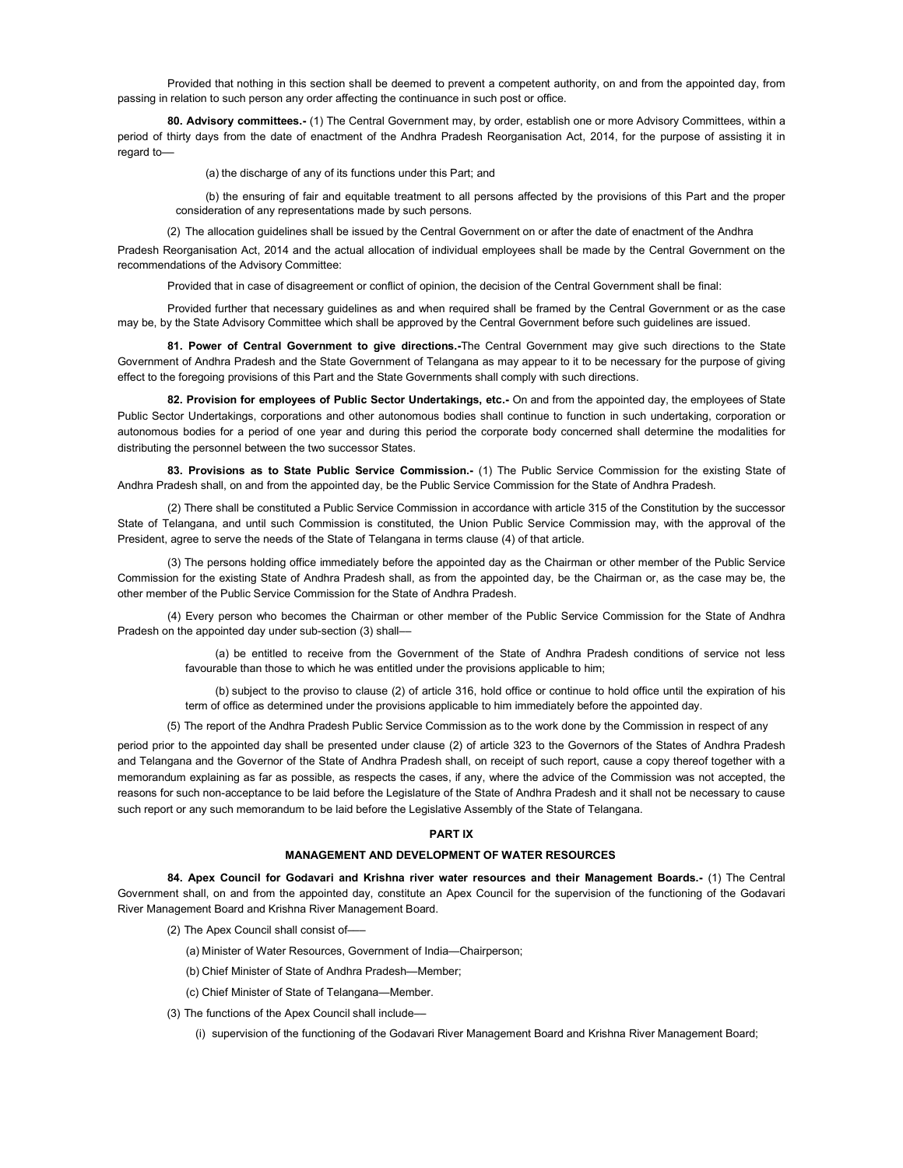Provided that nothing in this section shall be deemed to prevent a competent authority, on and from the appointed day, from passing in relation to such person any order affecting the continuance in such post or office.

80. Advisory committees.- (1) The Central Government may, by order, establish one or more Advisory Committees, within a period of thirty days from the date of enactment of the Andhra Pradesh Reorganisation Act, 2014, for the purpose of assisting it in regard to––

(a) the discharge of any of its functions under this Part; and

(b) the ensuring of fair and equitable treatment to all persons affected by the provisions of this Part and the proper consideration of any representations made by such persons.

(2) The allocation guidelines shall be issued by the Central Government on or after the date of enactment of the Andhra

Pradesh Reorganisation Act, 2014 and the actual allocation of individual employees shall be made by the Central Government on the recommendations of the Advisory Committee:

Provided that in case of disagreement or conflict of opinion, the decision of the Central Government shall be final:

Provided further that necessary guidelines as and when required shall be framed by the Central Government or as the case may be, by the State Advisory Committee which shall be approved by the Central Government before such guidelines are issued.

81. Power of Central Government to give directions.-The Central Government may give such directions to the State Government of Andhra Pradesh and the State Government of Telangana as may appear to it to be necessary for the purpose of giving effect to the foregoing provisions of this Part and the State Governments shall comply with such directions.

82. Provision for employees of Public Sector Undertakings, etc.- On and from the appointed day, the employees of State Public Sector Undertakings, corporations and other autonomous bodies shall continue to function in such undertaking, corporation or autonomous bodies for a period of one year and during this period the corporate body concerned shall determine the modalities for distributing the personnel between the two successor States.

83. Provisions as to State Public Service Commission.- (1) The Public Service Commission for the existing State of Andhra Pradesh shall, on and from the appointed day, be the Public Service Commission for the State of Andhra Pradesh.

(2) There shall be constituted a Public Service Commission in accordance with article 315 of the Constitution by the successor State of Telangana, and until such Commission is constituted, the Union Public Service Commission may, with the approval of the President, agree to serve the needs of the State of Telangana in terms clause (4) of that article.

(3) The persons holding office immediately before the appointed day as the Chairman or other member of the Public Service Commission for the existing State of Andhra Pradesh shall, as from the appointed day, be the Chairman or, as the case may be, the other member of the Public Service Commission for the State of Andhra Pradesh.

(4) Every person who becomes the Chairman or other member of the Public Service Commission for the State of Andhra Pradesh on the appointed day under sub-section (3) shall––

(a) be entitled to receive from the Government of the State of Andhra Pradesh conditions of service not less favourable than those to which he was entitled under the provisions applicable to him;

(b) subject to the proviso to clause (2) of article 316, hold office or continue to hold office until the expiration of his term of office as determined under the provisions applicable to him immediately before the appointed day.

(5) The report of the Andhra Pradesh Public Service Commission as to the work done by the Commission in respect of any

period prior to the appointed day shall be presented under clause (2) of article 323 to the Governors of the States of Andhra Pradesh and Telangana and the Governor of the State of Andhra Pradesh shall, on receipt of such report, cause a copy thereof together with a memorandum explaining as far as possible, as respects the cases, if any, where the advice of the Commission was not accepted, the reasons for such non-acceptance to be laid before the Legislature of the State of Andhra Pradesh and it shall not be necessary to cause such report or any such memorandum to be laid before the Legislative Assembly of the State of Telangana.

# PART IX

### MANAGEMENT AND DEVELOPMENT OF WATER RESOURCES

84. Apex Council for Godavari and Krishna river water resources and their Management Boards.- (1) The Central Government shall, on and from the appointed day, constitute an Apex Council for the supervision of the functioning of the Godavari River Management Board and Krishna River Management Board.

- (2) The Apex Council shall consist of–––
	- (a) Minister of Water Resources, Government of India—Chairperson;
	- (b) Chief Minister of State of Andhra Pradesh—Member;
	- (c) Chief Minister of State of Telangana—Member.
- (3) The functions of the Apex Council shall include––
	- (i) supervision of the functioning of the Godavari River Management Board and Krishna River Management Board;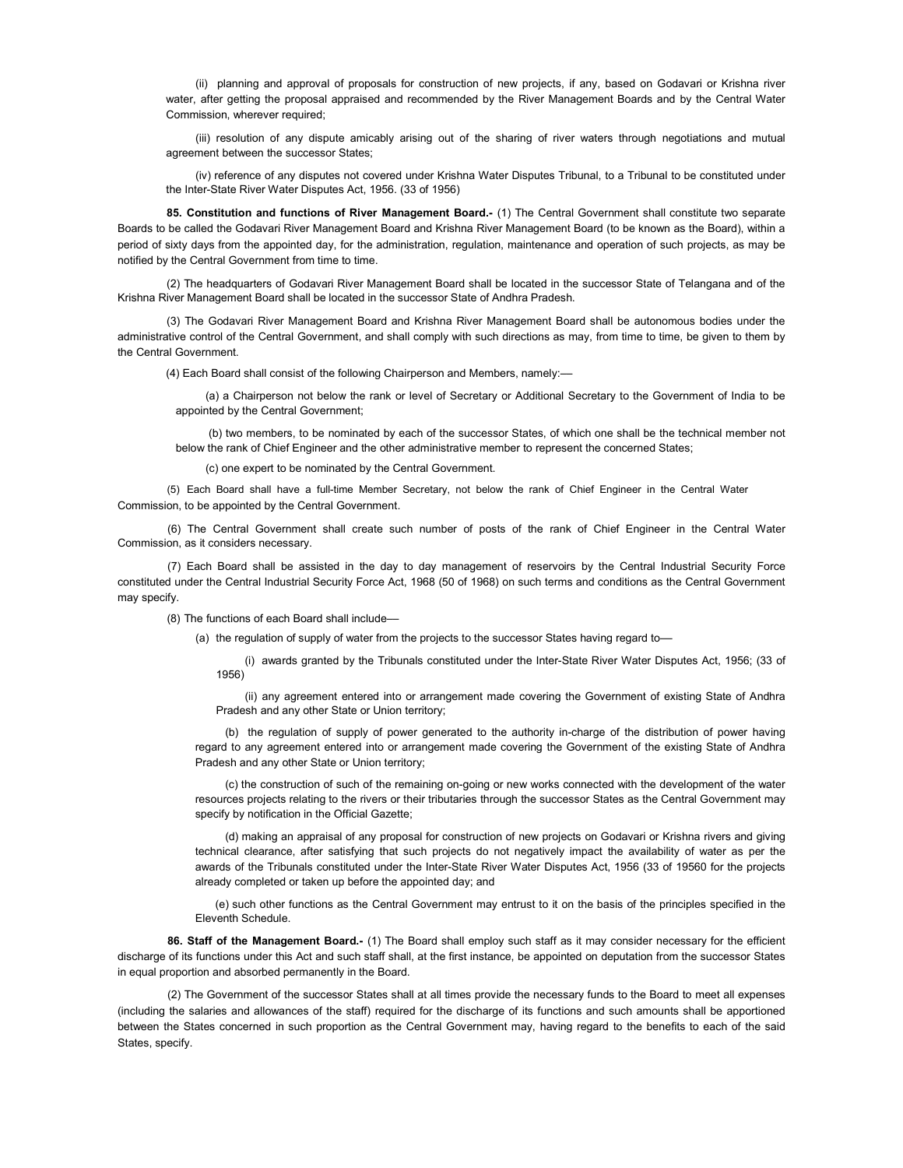(ii) planning and approval of proposals for construction of new projects, if any, based on Godavari or Krishna river water, after getting the proposal appraised and recommended by the River Management Boards and by the Central Water Commission, wherever required;

(iii) resolution of any dispute amicably arising out of the sharing of river waters through negotiations and mutual agreement between the successor States;

(iv) reference of any disputes not covered under Krishna Water Disputes Tribunal, to a Tribunal to be constituted under the Inter-State River Water Disputes Act, 1956. (33 of 1956)

85. Constitution and functions of River Management Board.- (1) The Central Government shall constitute two separate Boards to be called the Godavari River Management Board and Krishna River Management Board (to be known as the Board), within a period of sixty days from the appointed day, for the administration, regulation, maintenance and operation of such projects, as may be notified by the Central Government from time to time.

(2) The headquarters of Godavari River Management Board shall be located in the successor State of Telangana and of the Krishna River Management Board shall be located in the successor State of Andhra Pradesh.

(3) The Godavari River Management Board and Krishna River Management Board shall be autonomous bodies under the administrative control of the Central Government, and shall comply with such directions as may, from time to time, be given to them by the Central Government.

(4) Each Board shall consist of the following Chairperson and Members, namely:––

(a) a Chairperson not below the rank or level of Secretary or Additional Secretary to the Government of India to be appointed by the Central Government;

(b) two members, to be nominated by each of the successor States, of which one shall be the technical member not below the rank of Chief Engineer and the other administrative member to represent the concerned States;

(c) one expert to be nominated by the Central Government.

(5) Each Board shall have a full-time Member Secretary, not below the rank of Chief Engineer in the Central Water Commission, to be appointed by the Central Government.

(6) The Central Government shall create such number of posts of the rank of Chief Engineer in the Central Water Commission, as it considers necessary.

(7) Each Board shall be assisted in the day to day management of reservoirs by the Central Industrial Security Force constituted under the Central Industrial Security Force Act, 1968 (50 of 1968) on such terms and conditions as the Central Government may specify.

(8) The functions of each Board shall include––

(a) the regulation of supply of water from the projects to the successor States having regard to-

(i) awards granted by the Tribunals constituted under the Inter-State River Water Disputes Act, 1956; (33 of 1956)

(ii) any agreement entered into or arrangement made covering the Government of existing State of Andhra Pradesh and any other State or Union territory;

(b) the regulation of supply of power generated to the authority in-charge of the distribution of power having regard to any agreement entered into or arrangement made covering the Government of the existing State of Andhra Pradesh and any other State or Union territory;

(c) the construction of such of the remaining on-going or new works connected with the development of the water resources projects relating to the rivers or their tributaries through the successor States as the Central Government may specify by notification in the Official Gazette;

(d) making an appraisal of any proposal for construction of new projects on Godavari or Krishna rivers and giving technical clearance, after satisfying that such projects do not negatively impact the availability of water as per the awards of the Tribunals constituted under the Inter-State River Water Disputes Act, 1956 (33 of 19560 for the projects already completed or taken up before the appointed day; and

(e) such other functions as the Central Government may entrust to it on the basis of the principles specified in the Eleventh Schedule.

86. Staff of the Management Board.- (1) The Board shall employ such staff as it may consider necessary for the efficient discharge of its functions under this Act and such staff shall, at the first instance, be appointed on deputation from the successor States in equal proportion and absorbed permanently in the Board.

(2) The Government of the successor States shall at all times provide the necessary funds to the Board to meet all expenses (including the salaries and allowances of the staff) required for the discharge of its functions and such amounts shall be apportioned between the States concerned in such proportion as the Central Government may, having regard to the benefits to each of the said States, specify.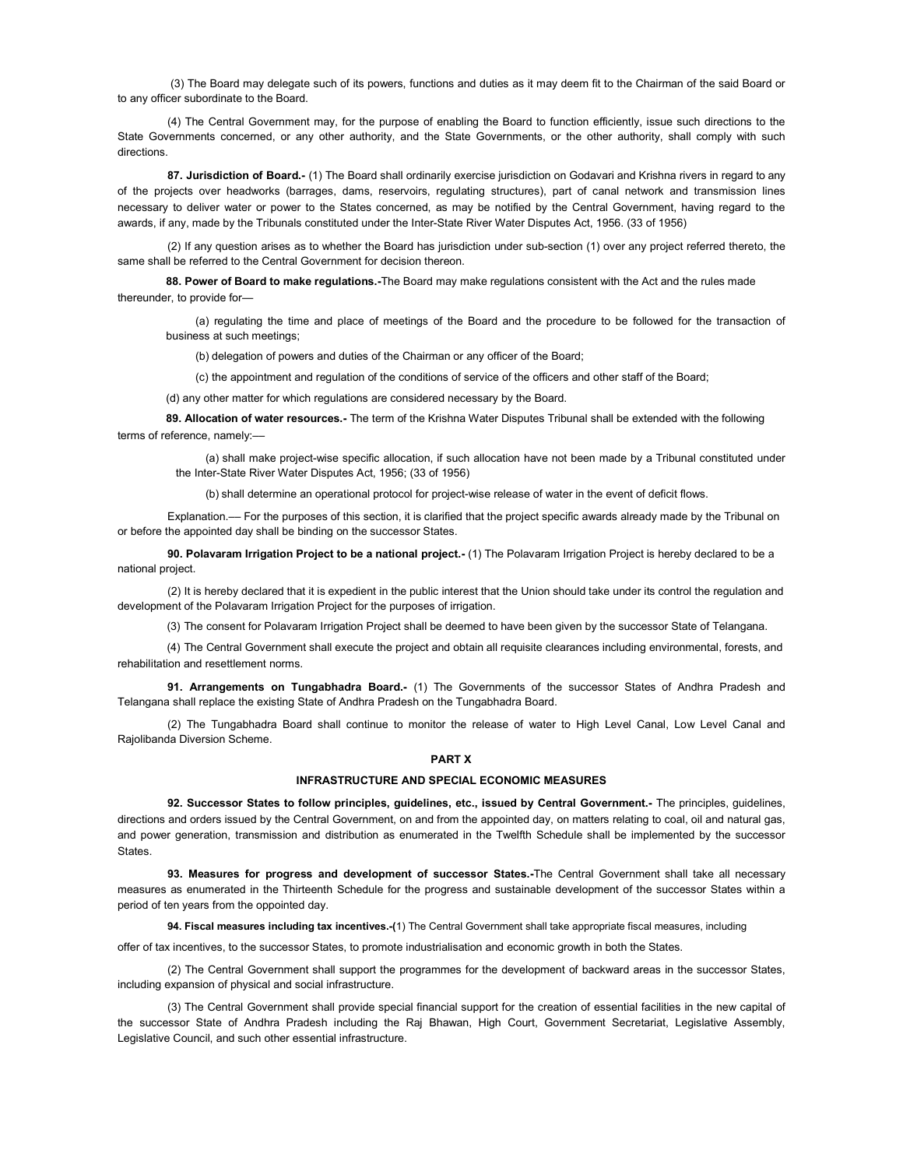(3) The Board may delegate such of its powers, functions and duties as it may deem fit to the Chairman of the said Board or to any officer subordinate to the Board.

(4) The Central Government may, for the purpose of enabling the Board to function efficiently, issue such directions to the State Governments concerned, or any other authority, and the State Governments, or the other authority, shall comply with such directions.

87. Jurisdiction of Board.- (1) The Board shall ordinarily exercise jurisdiction on Godavari and Krishna rivers in regard to any of the projects over headworks (barrages, dams, reservoirs, regulating structures), part of canal network and transmission lines necessary to deliver water or power to the States concerned, as may be notified by the Central Government, having regard to the awards, if any, made by the Tribunals constituted under the Inter-State River Water Disputes Act, 1956. (33 of 1956)

(2) If any question arises as to whether the Board has jurisdiction under sub-section (1) over any project referred thereto, the same shall be referred to the Central Government for decision thereon.

88. Power of Board to make regulations.-The Board may make regulations consistent with the Act and the rules made thereunder, to provide for—

(a) regulating the time and place of meetings of the Board and the procedure to be followed for the transaction of business at such meetings;

(b) delegation of powers and duties of the Chairman or any officer of the Board;

(c) the appointment and regulation of the conditions of service of the officers and other staff of the Board;

(d) any other matter for which regulations are considered necessary by the Board.

89. Allocation of water resources.- The term of the Krishna Water Disputes Tribunal shall be extended with the following terms of reference, namely:––

(a) shall make project-wise specific allocation, if such allocation have not been made by a Tribunal constituted under the Inter-State River Water Disputes Act, 1956; (33 of 1956)

(b) shall determine an operational protocol for project-wise release of water in the event of deficit flows.

Explanation.–– For the purposes of this section, it is clarified that the project specific awards already made by the Tribunal on or before the appointed day shall be binding on the successor States.

90. Polavaram Irrigation Project to be a national project.- (1) The Polavaram Irrigation Project is hereby declared to be a national project.

(2) It is hereby declared that it is expedient in the public interest that the Union should take under its control the regulation and development of the Polavaram Irrigation Project for the purposes of irrigation.

(3) The consent for Polavaram Irrigation Project shall be deemed to have been given by the successor State of Telangana.

(4) The Central Government shall execute the project and obtain all requisite clearances including environmental, forests, and rehabilitation and resettlement norms.

91. Arrangements on Tungabhadra Board.- (1) The Governments of the successor States of Andhra Pradesh and Telangana shall replace the existing State of Andhra Pradesh on the Tungabhadra Board.

(2) The Tungabhadra Board shall continue to monitor the release of water to High Level Canal, Low Level Canal and Rajolibanda Diversion Scheme.

# PART X

# INFRASTRUCTURE AND SPECIAL ECONOMIC MEASURES

92. Successor States to follow principles, guidelines, etc., issued by Central Government.- The principles, guidelines, directions and orders issued by the Central Government, on and from the appointed day, on matters relating to coal, oil and natural gas, and power generation, transmission and distribution as enumerated in the Twelfth Schedule shall be implemented by the successor **States** 

93. Measures for progress and development of successor States.-The Central Government shall take all necessary measures as enumerated in the Thirteenth Schedule for the progress and sustainable development of the successor States within a period of ten years from the oppointed day.

94. Fiscal measures including tax incentives.-(1) The Central Government shall take appropriate fiscal measures, including

offer of tax incentives, to the successor States, to promote industrialisation and economic growth in both the States.

(2) The Central Government shall support the programmes for the development of backward areas in the successor States, including expansion of physical and social infrastructure.

(3) The Central Government shall provide special financial support for the creation of essential facilities in the new capital of the successor State of Andhra Pradesh including the Raj Bhawan, High Court, Government Secretariat, Legislative Assembly, Legislative Council, and such other essential infrastructure.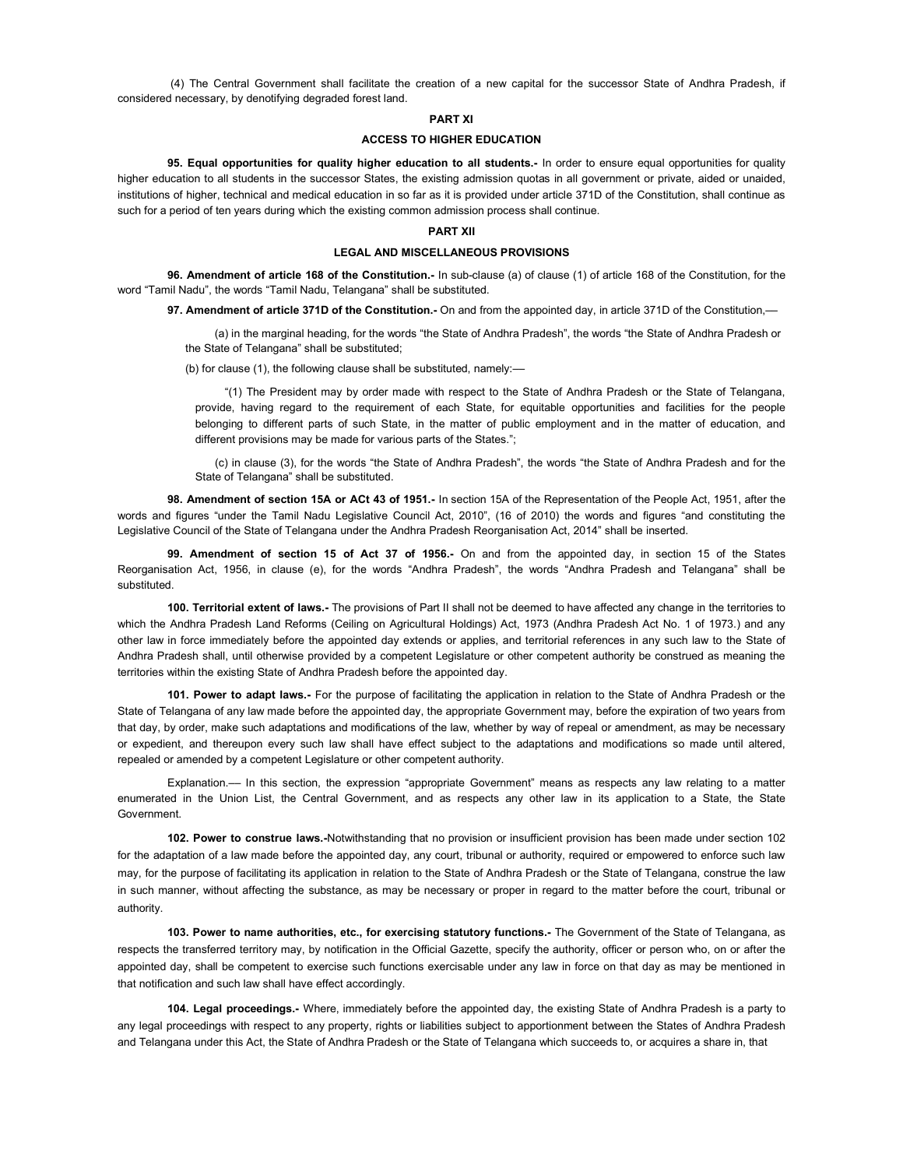(4) The Central Government shall facilitate the creation of a new capital for the successor State of Andhra Pradesh, if considered necessary, by denotifying degraded forest land.

### PART XI

## ACCESS TO HIGHER EDUCATION

95. Equal opportunities for quality higher education to all students.- In order to ensure equal opportunities for quality higher education to all students in the successor States, the existing admission quotas in all government or private, aided or unaided, institutions of higher, technical and medical education in so far as it is provided under article 371D of the Constitution, shall continue as such for a period of ten years during which the existing common admission process shall continue.

# PART XII

### LEGAL AND MISCELLANEOUS PROVISIONS

96. Amendment of article 168 of the Constitution.- In sub-clause (a) of clause (1) of article 168 of the Constitution, for the word "Tamil Nadu", the words "Tamil Nadu, Telangana" shall be substituted.

97. Amendment of article 371D of the Constitution.- On and from the appointed day, in article 371D of the Constitution,-

(a) in the marginal heading, for the words "the State of Andhra Pradesh", the words "the State of Andhra Pradesh or the State of Telangana" shall be substituted;

(b) for clause (1), the following clause shall be substituted, namely: $-$ 

"(1) The President may by order made with respect to the State of Andhra Pradesh or the State of Telangana, provide, having regard to the requirement of each State, for equitable opportunities and facilities for the people belonging to different parts of such State, in the matter of public employment and in the matter of education, and different provisions may be made for various parts of the States.";

(c) in clause (3), for the words "the State of Andhra Pradesh", the words "the State of Andhra Pradesh and for the State of Telangana" shall be substituted.

98. Amendment of section 15A or ACt 43 of 1951.- In section 15A of the Representation of the People Act, 1951, after the words and figures "under the Tamil Nadu Legislative Council Act, 2010", (16 of 2010) the words and figures "and constituting the Legislative Council of the State of Telangana under the Andhra Pradesh Reorganisation Act, 2014" shall be inserted.

99. Amendment of section 15 of Act 37 of 1956.- On and from the appointed day, in section 15 of the States Reorganisation Act, 1956, in clause (e), for the words "Andhra Pradesh", the words "Andhra Pradesh and Telangana" shall be substituted.

100. Territorial extent of laws.- The provisions of Part II shall not be deemed to have affected any change in the territories to which the Andhra Pradesh Land Reforms (Ceiling on Agricultural Holdings) Act, 1973 (Andhra Pradesh Act No. 1 of 1973.) and any other law in force immediately before the appointed day extends or applies, and territorial references in any such law to the State of Andhra Pradesh shall, until otherwise provided by a competent Legislature or other competent authority be construed as meaning the territories within the existing State of Andhra Pradesh before the appointed day.

101. Power to adapt laws.- For the purpose of facilitating the application in relation to the State of Andhra Pradesh or the State of Telangana of any law made before the appointed day, the appropriate Government may, before the expiration of two years from that day, by order, make such adaptations and modifications of the law, whether by way of repeal or amendment, as may be necessary or expedient, and thereupon every such law shall have effect subject to the adaptations and modifications so made until altered, repealed or amended by a competent Legislature or other competent authority.

Explanation.–– In this section, the expression "appropriate Government" means as respects any law relating to a matter enumerated in the Union List, the Central Government, and as respects any other law in its application to a State, the State Government.

102. Power to construe laws.-Notwithstanding that no provision or insufficient provision has been made under section 102 for the adaptation of a law made before the appointed day, any court, tribunal or authority, required or empowered to enforce such law may, for the purpose of facilitating its application in relation to the State of Andhra Pradesh or the State of Telangana, construe the law in such manner, without affecting the substance, as may be necessary or proper in regard to the matter before the court, tribunal or authority.

103. Power to name authorities, etc., for exercising statutory functions.- The Government of the State of Telangana, as respects the transferred territory may, by notification in the Official Gazette, specify the authority, officer or person who, on or after the appointed day, shall be competent to exercise such functions exercisable under any law in force on that day as may be mentioned in that notification and such law shall have effect accordingly.

104. Legal proceedings.- Where, immediately before the appointed day, the existing State of Andhra Pradesh is a party to any legal proceedings with respect to any property, rights or liabilities subject to apportionment between the States of Andhra Pradesh and Telangana under this Act, the State of Andhra Pradesh or the State of Telangana which succeeds to, or acquires a share in, that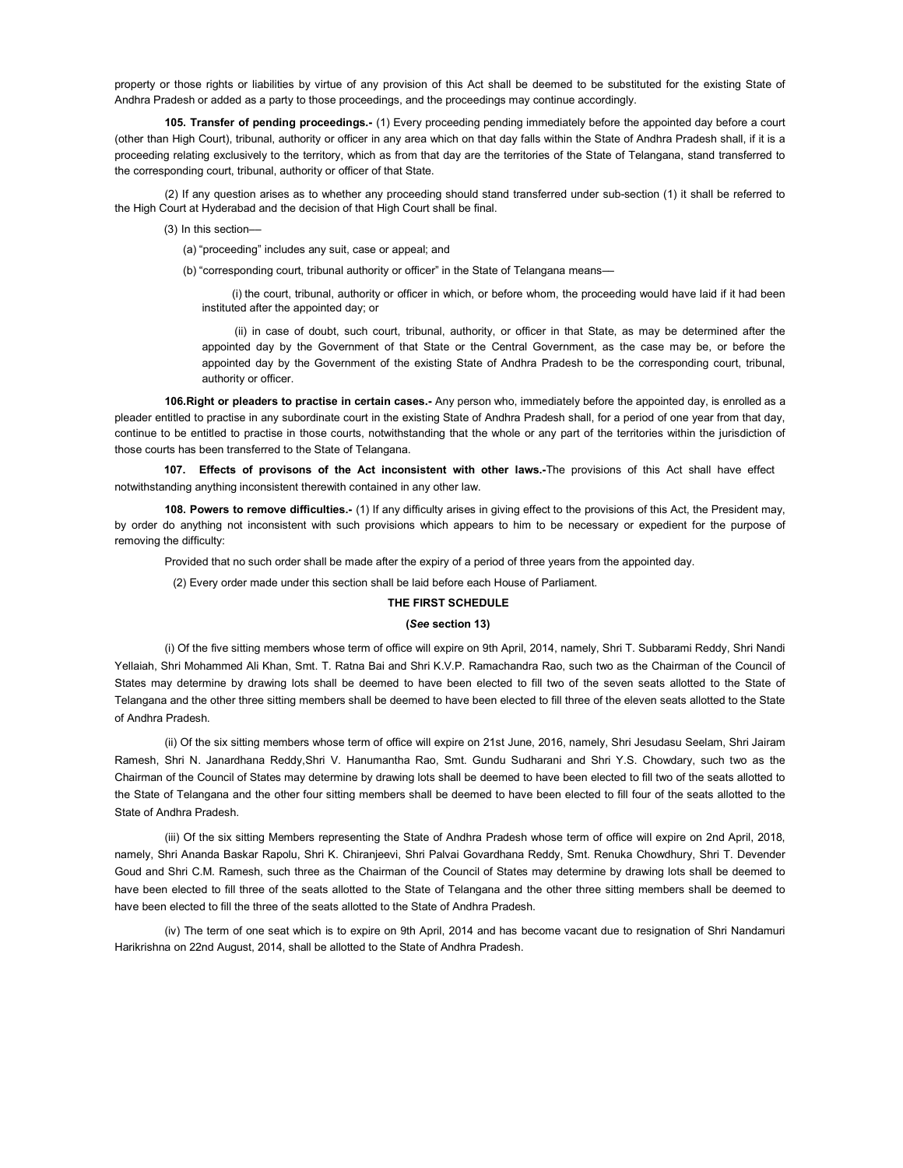property or those rights or liabilities by virtue of any provision of this Act shall be deemed to be substituted for the existing State of Andhra Pradesh or added as a party to those proceedings, and the proceedings may continue accordingly.

105. Transfer of pending proceedings.- (1) Every proceeding pending immediately before the appointed day before a court (other than High Court), tribunal, authority or officer in any area which on that day falls within the State of Andhra Pradesh shall, if it is a proceeding relating exclusively to the territory, which as from that day are the territories of the State of Telangana, stand transferred to the corresponding court, tribunal, authority or officer of that State.

(2) If any question arises as to whether any proceeding should stand transferred under sub-section (1) it shall be referred to the High Court at Hyderabad and the decision of that High Court shall be final.

(3) In this section––

(a) "proceeding" includes any suit, case or appeal; and

(b) "corresponding court, tribunal authority or officer" in the State of Telangana means-

(i) the court, tribunal, authority or officer in which, or before whom, the proceeding would have laid if it had been instituted after the appointed day; or

(ii) in case of doubt, such court, tribunal, authority, or officer in that State, as may be determined after the appointed day by the Government of that State or the Central Government, as the case may be, or before the appointed day by the Government of the existing State of Andhra Pradesh to be the corresponding court, tribunal, authority or officer.

106. Right or pleaders to practise in certain cases.- Any person who, immediately before the appointed day, is enrolled as a pleader entitled to practise in any subordinate court in the existing State of Andhra Pradesh shall, for a period of one year from that day, continue to be entitled to practise in those courts, notwithstanding that the whole or any part of the territories within the jurisdiction of those courts has been transferred to the State of Telangana.

107. Effects of provisons of the Act inconsistent with other laws.-The provisions of this Act shall have effect notwithstanding anything inconsistent therewith contained in any other law.

108. Powers to remove difficulties.- (1) If any difficulty arises in giving effect to the provisions of this Act, the President may, by order do anything not inconsistent with such provisions which appears to him to be necessary or expedient for the purpose of removing the difficulty:

Provided that no such order shall be made after the expiry of a period of three years from the appointed day.

(2) Every order made under this section shall be laid before each House of Parliament.

# THE FIRST SCHEDULE

# (See section 13)

(i) Of the five sitting members whose term of office will expire on 9th April, 2014, namely, Shri T. Subbarami Reddy, Shri Nandi Yellaiah, Shri Mohammed Ali Khan, Smt. T. Ratna Bai and Shri K.V.P. Ramachandra Rao, such two as the Chairman of the Council of States may determine by drawing lots shall be deemed to have been elected to fill two of the seven seats allotted to the State of Telangana and the other three sitting members shall be deemed to have been elected to fill three of the eleven seats allotted to the State of Andhra Pradesh.

(ii) Of the six sitting members whose term of office will expire on 21st June, 2016, namely, Shri Jesudasu Seelam, Shri Jairam Ramesh, Shri N. Janardhana Reddy,Shri V. Hanumantha Rao, Smt. Gundu Sudharani and Shri Y.S. Chowdary, such two as the Chairman of the Council of States may determine by drawing lots shall be deemed to have been elected to fill two of the seats allotted to the State of Telangana and the other four sitting members shall be deemed to have been elected to fill four of the seats allotted to the State of Andhra Pradesh.

(iii) Of the six sitting Members representing the State of Andhra Pradesh whose term of office will expire on 2nd April, 2018, namely, Shri Ananda Baskar Rapolu, Shri K. Chiranjeevi, Shri Palvai Govardhana Reddy, Smt. Renuka Chowdhury, Shri T. Devender Goud and Shri C.M. Ramesh, such three as the Chairman of the Council of States may determine by drawing lots shall be deemed to have been elected to fill three of the seats allotted to the State of Telangana and the other three sitting members shall be deemed to have been elected to fill the three of the seats allotted to the State of Andhra Pradesh.

(iv) The term of one seat which is to expire on 9th April, 2014 and has become vacant due to resignation of Shri Nandamuri Harikrishna on 22nd August, 2014, shall be allotted to the State of Andhra Pradesh.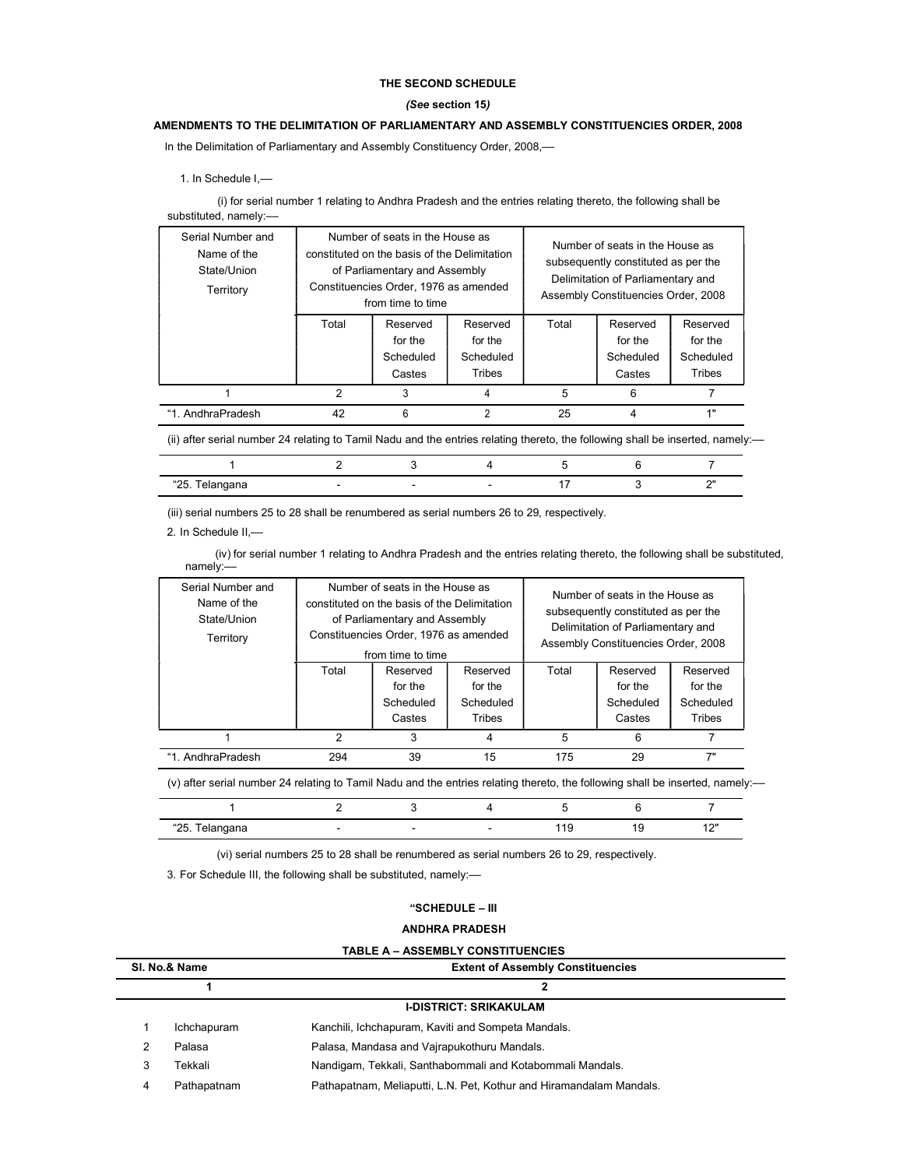# THE SECOND SCHEDULE

# (See section 15)

# AMENDMENTS TO THE DELIMITATION OF PARLIAMENTARY AND ASSEMBLY CONSTITUENCIES ORDER, 2008

In the Delimitation of Parliamentary and Assembly Constituency Order, 2008,––

1. In Schedule I,––

(i) for serial number 1 relating to Andhra Pradesh and the entries relating thereto, the following shall be substituted, namely:-

| Serial Number and<br>Name of the<br>State/Union<br>Territory | Number of seats in the House as<br>constituted on the basis of the Delimitation<br>of Parliamentary and Assembly<br>Constituencies Order, 1976 as amended<br>from time to time |           |           | Number of seats in the House as<br>subsequently constituted as per the<br>Delimitation of Parliamentary and<br>Assembly Constituencies Order, 2008 |           |           |
|--------------------------------------------------------------|--------------------------------------------------------------------------------------------------------------------------------------------------------------------------------|-----------|-----------|----------------------------------------------------------------------------------------------------------------------------------------------------|-----------|-----------|
|                                                              | Total                                                                                                                                                                          | Reserved  | Reserved  | Total                                                                                                                                              | Reserved  | Reserved  |
|                                                              |                                                                                                                                                                                | for the   | for the   |                                                                                                                                                    | for the   | for the   |
|                                                              |                                                                                                                                                                                | Scheduled | Scheduled |                                                                                                                                                    | Scheduled | Scheduled |
|                                                              |                                                                                                                                                                                | Castes    | Tribes    |                                                                                                                                                    | Castes    | Tribes    |
|                                                              | $\mathfrak{p}$                                                                                                                                                                 | 3         |           | 5                                                                                                                                                  | 6         |           |
| "1. AndhraPradesh                                            | 42                                                                                                                                                                             | 6         |           | 25                                                                                                                                                 | 4         | 4 !!      |

(ii) after serial number 24 relating to Tamil Nadu and the entries relating thereto, the following shall be inserted, namely:––

| "ጋნ<br>unu<br>$-$ | - | - |  | $\sim$ |
|-------------------|---|---|--|--------|

(iii) serial numbers 25 to 28 shall be renumbered as serial numbers 26 to 29, respectively.

2. In Schedule II,––

(iv) for serial number 1 relating to Andhra Pradesh and the entries relating thereto, the following shall be substituted, namely:––

| Serial Number and<br>Name of the<br>State/Union<br>Territory | Number of seats in the House as<br>constituted on the basis of the Delimitation<br>of Parliamentary and Assembly<br>Constituencies Order, 1976 as amended<br>from time to time |           | Number of seats in the House as<br>subsequently constituted as per the<br>Delimitation of Parliamentary and<br>Assembly Constituencies Order, 2008 |       |           |           |
|--------------------------------------------------------------|--------------------------------------------------------------------------------------------------------------------------------------------------------------------------------|-----------|----------------------------------------------------------------------------------------------------------------------------------------------------|-------|-----------|-----------|
|                                                              | Total                                                                                                                                                                          | Reserved  | Reserved                                                                                                                                           | Total | Reserved  | Reserved  |
|                                                              |                                                                                                                                                                                | for the   | for the                                                                                                                                            |       | for the   | for the   |
|                                                              |                                                                                                                                                                                | Scheduled | Scheduled                                                                                                                                          |       | Scheduled | Scheduled |
|                                                              |                                                                                                                                                                                | Castes    | Tribes                                                                                                                                             |       | Castes    | Tribes    |
|                                                              | 2                                                                                                                                                                              |           |                                                                                                                                                    | 5     | 6         |           |
| "1. AndhraPradesh                                            | 294                                                                                                                                                                            | 39        | 15                                                                                                                                                 | 175   | 29        | 7"        |

(v) after serial number 24 relating to Tamil Nadu and the entries relating thereto, the following shall be inserted, namely:––

| 40E<br>ana<br>ZJ.<br><b>VIUT</b><br>$   -$<br>--- ---<br>. . |  |  | 101<br>. .<br>$\cdot$ $-$ |
|--------------------------------------------------------------|--|--|---------------------------|

(vi) serial numbers 25 to 28 shall be renumbered as serial numbers 26 to 29, respectively.

3. For Schedule III, the following shall be substituted, namely:-

### ANDHRA PRADESH

| SI. No.& Name |             | <b>Extent of Assembly Constituencies</b>                            |  |
|---------------|-------------|---------------------------------------------------------------------|--|
|               |             | 2                                                                   |  |
|               |             | <b>I-DISTRICT: SRIKAKULAM</b>                                       |  |
|               | Ichchapuram | Kanchili, Ichchapuram, Kaviti and Sompeta Mandals.                  |  |
|               | Palasa      | Palasa, Mandasa and Vajrapukothuru Mandals.                         |  |
|               | Tekkali     | Nandigam, Tekkali, Santhabommali and Kotabommali Mandals.           |  |
|               | Pathapatnam | Pathapatnam, Meliaputti, L.N. Pet, Kothur and Hiramandalam Mandals. |  |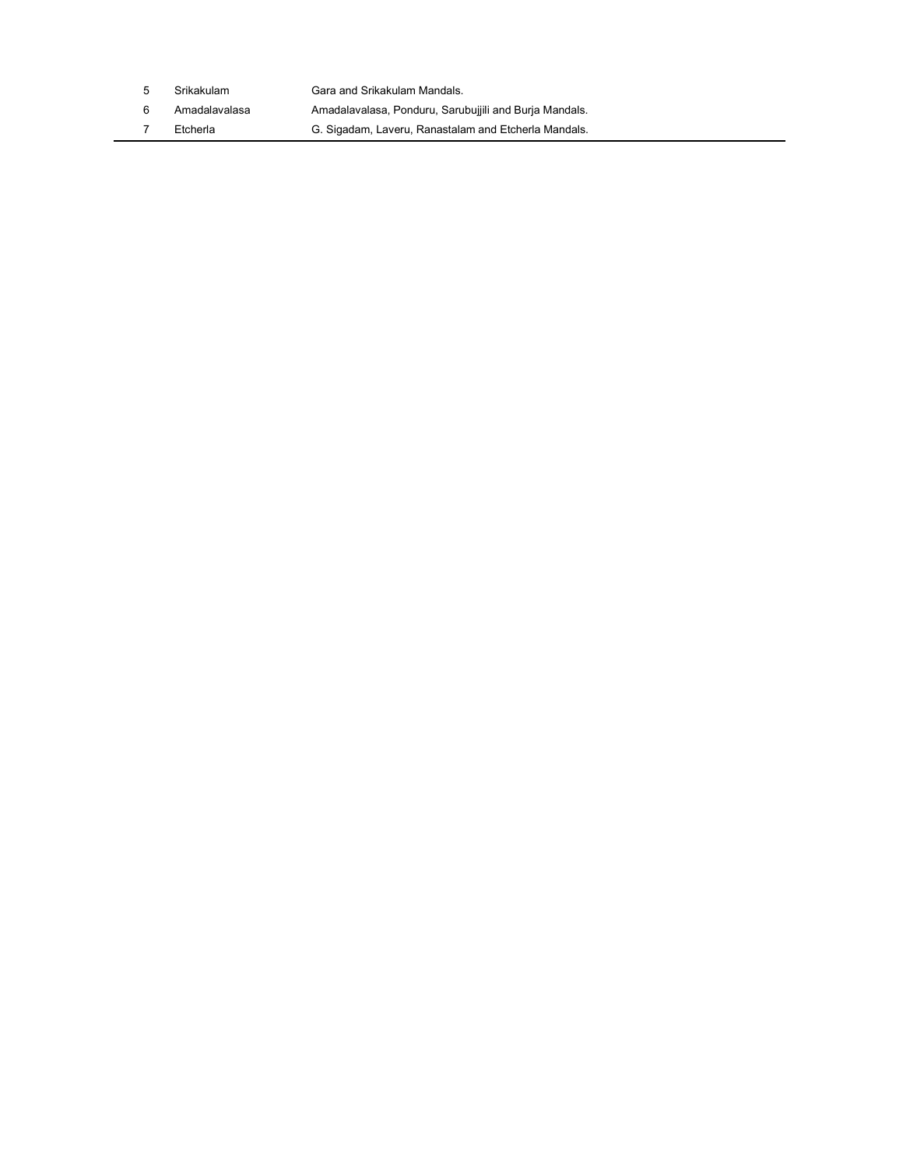| 5 | Srikakulam    | Gara and Srikakulam Mandals.                           |
|---|---------------|--------------------------------------------------------|
|   | Amadalavalasa | Amadalavalasa, Ponduru, Sarubujjili and Burja Mandals. |
|   | Etcherla      | G. Sigadam, Laveru, Ranastalam and Etcherla Mandals.   |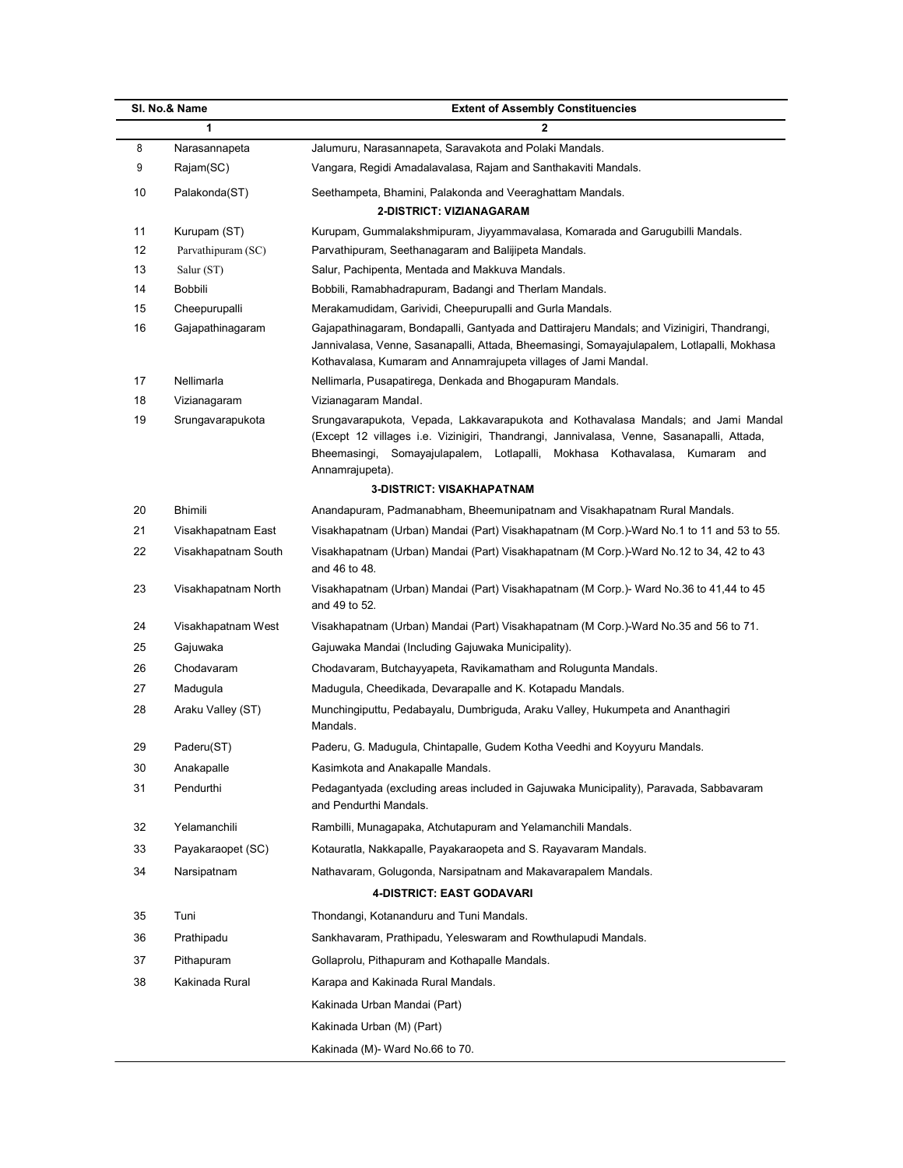|          | SI. No.& Name                    | <b>Extent of Assembly Constituencies</b>                                                                                                                                                                                                                                         |
|----------|----------------------------------|----------------------------------------------------------------------------------------------------------------------------------------------------------------------------------------------------------------------------------------------------------------------------------|
|          | 1                                | $\mathbf{2}$                                                                                                                                                                                                                                                                     |
| 8        | Narasannapeta                    | Jalumuru, Narasannapeta, Saravakota and Polaki Mandals.                                                                                                                                                                                                                          |
| 9        | Rajam(SC)                        | Vangara, Regidi Amadalavalasa, Rajam and Santhakaviti Mandals.                                                                                                                                                                                                                   |
| 10       | Palakonda(ST)                    | Seethampeta, Bhamini, Palakonda and Veeraghattam Mandals.                                                                                                                                                                                                                        |
|          |                                  | 2-DISTRICT: VIZIANAGARAM                                                                                                                                                                                                                                                         |
| 11       | Kurupam (ST)                     | Kurupam, Gummalakshmipuram, Jiyyammavalasa, Komarada and Garugubilli Mandals.                                                                                                                                                                                                    |
| 12<br>13 | Parvathipuram (SC)<br>Salur (ST) | Parvathipuram, Seethanagaram and Balijipeta Mandals.<br>Salur, Pachipenta, Mentada and Makkuva Mandals.                                                                                                                                                                          |
| 14       | Bobbili                          | Bobbili, Ramabhadrapuram, Badangi and Therlam Mandals.                                                                                                                                                                                                                           |
| 15       | Cheepurupalli                    | Merakamudidam, Garividi, Cheepurupalli and Gurla Mandals.                                                                                                                                                                                                                        |
| 16       | Gajapathinagaram                 | Gajapathinagaram, Bondapalli, Gantyada and Dattirajeru Mandals; and Vizinigiri, Thandrangi,                                                                                                                                                                                      |
|          |                                  | Jannivalasa, Venne, Sasanapalli, Attada, Bheemasingi, Somayajulapalem, Lotlapalli, Mokhasa<br>Kothavalasa, Kumaram and Annamrajupeta villages of Jami Mandal.                                                                                                                    |
| 17       | Nellimarla                       | Nellimarla, Pusapatirega, Denkada and Bhogapuram Mandals.                                                                                                                                                                                                                        |
| 18       | Vizianagaram                     | Vizianagaram Mandal.                                                                                                                                                                                                                                                             |
| 19       | Srungavarapukota                 | Srungavarapukota, Vepada, Lakkavarapukota and Kothavalasa Mandals; and Jami Mandal<br>(Except 12 villages i.e. Vizinigiri, Thandrangi, Jannivalasa, Venne, Sasanapalli, Attada,<br>Bheemasingi, Somayajulapalem, Lotlapalli, Mokhasa Kothavalasa, Kumaram and<br>Annamrajupeta). |
|          |                                  | <b>3-DISTRICT: VISAKHAPATNAM</b>                                                                                                                                                                                                                                                 |
| 20       | <b>Bhimili</b>                   | Anandapuram, Padmanabham, Bheemunipatnam and Visakhapatnam Rural Mandals.                                                                                                                                                                                                        |
| 21       | Visakhapatnam East               | Visakhapatnam (Urban) Mandai (Part) Visakhapatnam (M Corp.)-Ward No.1 to 11 and 53 to 55.                                                                                                                                                                                        |
| 22       | Visakhapatnam South              | Visakhapatnam (Urban) Mandai (Part) Visakhapatnam (M Corp.)-Ward No.12 to 34, 42 to 43<br>and 46 to 48.                                                                                                                                                                          |
| 23       | Visakhapatnam North              | Visakhapatnam (Urban) Mandai (Part) Visakhapatnam (M Corp.)- Ward No.36 to 41,44 to 45<br>and 49 to 52.                                                                                                                                                                          |
| 24       | Visakhapatnam West               | Visakhapatnam (Urban) Mandai (Part) Visakhapatnam (M Corp.)-Ward No.35 and 56 to 71.                                                                                                                                                                                             |
| 25       | Gajuwaka                         | Gajuwaka Mandai (Including Gajuwaka Municipality).                                                                                                                                                                                                                               |
| 26       | Chodavaram                       | Chodavaram, Butchayyapeta, Ravikamatham and Rolugunta Mandals.                                                                                                                                                                                                                   |
| 27       | Madugula                         | Madugula, Cheedikada, Devarapalle and K. Kotapadu Mandals.                                                                                                                                                                                                                       |
| 28       | Araku Valley (ST)                | Munchingiputtu, Pedabayalu, Dumbriguda, Araku Valley, Hukumpeta and Ananthagiri<br>Mandals.                                                                                                                                                                                      |
| 29       | Paderu(ST)                       | Paderu, G. Madugula, Chintapalle, Gudem Kotha Veedhi and Koyyuru Mandals.                                                                                                                                                                                                        |
| 30       | Anakapalle                       | Kasimkota and Anakapalle Mandals.                                                                                                                                                                                                                                                |
| 31       | Pendurthi                        | Pedagantyada (excluding areas included in Gajuwaka Municipality), Paravada, Sabbavaram<br>and Pendurthi Mandals.                                                                                                                                                                 |
| 32       | Yelamanchili                     | Rambilli, Munagapaka, Atchutapuram and Yelamanchili Mandals.                                                                                                                                                                                                                     |
| 33       | Payakaraopet (SC)                | Kotauratla, Nakkapalle, Payakaraopeta and S. Rayavaram Mandals.                                                                                                                                                                                                                  |
| 34       | Narsipatnam                      | Nathavaram, Golugonda, Narsipatnam and Makavarapalem Mandals.                                                                                                                                                                                                                    |
|          |                                  | 4-DISTRICT: EAST GODAVARI                                                                                                                                                                                                                                                        |
| 35       | Tuni                             | Thondangi, Kotananduru and Tuni Mandals.                                                                                                                                                                                                                                         |
| 36       | Prathipadu                       | Sankhavaram, Prathipadu, Yeleswaram and Rowthulapudi Mandals.                                                                                                                                                                                                                    |
| 37       | Pithapuram                       | Gollaprolu, Pithapuram and Kothapalle Mandals.                                                                                                                                                                                                                                   |
| 38       | Kakinada Rural                   | Karapa and Kakinada Rural Mandals.                                                                                                                                                                                                                                               |
|          |                                  | Kakinada Urban Mandai (Part)                                                                                                                                                                                                                                                     |
|          |                                  | Kakinada Urban (M) (Part)                                                                                                                                                                                                                                                        |
|          |                                  |                                                                                                                                                                                                                                                                                  |
|          |                                  | Kakinada (M)- Ward No.66 to 70.                                                                                                                                                                                                                                                  |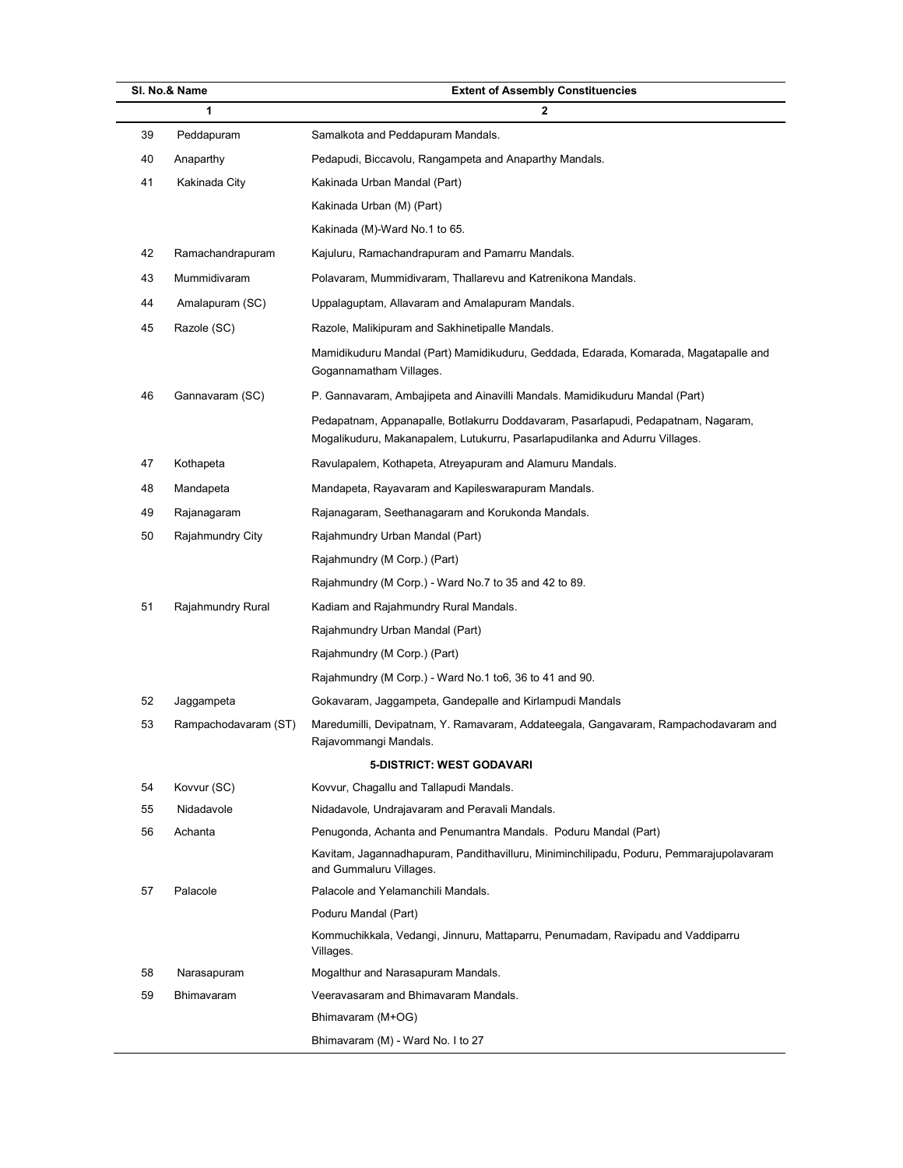|    | SI. No.& Name        | <b>Extent of Assembly Constituencies</b>                                                                                                                         |  |  |  |  |  |
|----|----------------------|------------------------------------------------------------------------------------------------------------------------------------------------------------------|--|--|--|--|--|
|    | 1                    | $\mathbf{2}$                                                                                                                                                     |  |  |  |  |  |
| 39 | Peddapuram           | Samalkota and Peddapuram Mandals.                                                                                                                                |  |  |  |  |  |
| 40 | Anaparthy            | Pedapudi, Biccavolu, Rangampeta and Anaparthy Mandals.                                                                                                           |  |  |  |  |  |
| 41 | Kakinada City        | Kakinada Urban Mandal (Part)                                                                                                                                     |  |  |  |  |  |
|    |                      | Kakinada Urban (M) (Part)                                                                                                                                        |  |  |  |  |  |
|    |                      | Kakinada (M)-Ward No.1 to 65.                                                                                                                                    |  |  |  |  |  |
| 42 | Ramachandrapuram     | Kajuluru, Ramachandrapuram and Pamarru Mandals.                                                                                                                  |  |  |  |  |  |
| 43 | Mummidivaram         | Polavaram, Mummidivaram, Thallarevu and Katrenikona Mandals.                                                                                                     |  |  |  |  |  |
| 44 | Amalapuram (SC)      | Uppalaguptam, Allavaram and Amalapuram Mandals.                                                                                                                  |  |  |  |  |  |
| 45 | Razole (SC)          | Razole, Malikipuram and Sakhinetipalle Mandals.                                                                                                                  |  |  |  |  |  |
|    |                      | Mamidikuduru Mandal (Part) Mamidikuduru, Geddada, Edarada, Komarada, Magatapalle and<br>Gogannamatham Villages.                                                  |  |  |  |  |  |
| 46 | Gannavaram (SC)      | P. Gannavaram, Ambajipeta and Ainavilli Mandals. Mamidikuduru Mandal (Part)                                                                                      |  |  |  |  |  |
|    |                      | Pedapatnam, Appanapalle, Botlakurru Doddavaram, Pasarlapudi, Pedapatnam, Nagaram,<br>Mogalikuduru, Makanapalem, Lutukurru, Pasarlapudilanka and Adurru Villages. |  |  |  |  |  |
| 47 | Kothapeta            | Ravulapalem, Kothapeta, Atreyapuram and Alamuru Mandals.                                                                                                         |  |  |  |  |  |
| 48 | Mandapeta            | Mandapeta, Rayavaram and Kapileswarapuram Mandals.                                                                                                               |  |  |  |  |  |
| 49 | Rajanagaram          | Rajanagaram, Seethanagaram and Korukonda Mandals.                                                                                                                |  |  |  |  |  |
| 50 | Rajahmundry City     | Rajahmundry Urban Mandal (Part)                                                                                                                                  |  |  |  |  |  |
|    |                      | Rajahmundry (M Corp.) (Part)                                                                                                                                     |  |  |  |  |  |
|    |                      | Rajahmundry (M Corp.) - Ward No.7 to 35 and 42 to 89.                                                                                                            |  |  |  |  |  |
| 51 | Rajahmundry Rural    | Kadiam and Rajahmundry Rural Mandals.                                                                                                                            |  |  |  |  |  |
|    |                      | Rajahmundry Urban Mandal (Part)                                                                                                                                  |  |  |  |  |  |
|    |                      | Rajahmundry (M Corp.) (Part)                                                                                                                                     |  |  |  |  |  |
|    |                      | Rajahmundry (M Corp.) - Ward No.1 to6, 36 to 41 and 90.                                                                                                          |  |  |  |  |  |
| 52 | Jaggampeta           | Gokavaram, Jaggampeta, Gandepalle and Kirlampudi Mandals                                                                                                         |  |  |  |  |  |
| 53 | Rampachodavaram (ST) | Maredumilli, Devipatnam, Y. Ramavaram, Addateegala, Gangavaram, Rampachodavaram and<br>Rajavommangi Mandals.                                                     |  |  |  |  |  |
|    |                      | 5-DISTRICT: WEST GODAVARI                                                                                                                                        |  |  |  |  |  |
| 54 | Kovvur (SC)          | Kovvur, Chagallu and Tallapudi Mandals.                                                                                                                          |  |  |  |  |  |
| 55 | Nidadavole           | Nidadavole, Undrajavaram and Peravali Mandals.                                                                                                                   |  |  |  |  |  |
| 56 | Achanta              | Penugonda, Achanta and Penumantra Mandals. Poduru Mandal (Part)                                                                                                  |  |  |  |  |  |
|    |                      | Kavitam, Jagannadhapuram, Pandithavilluru, Miniminchilipadu, Poduru, Pemmarajupolavaram<br>and Gummaluru Villages.                                               |  |  |  |  |  |
| 57 | Palacole             | Palacole and Yelamanchili Mandals.                                                                                                                               |  |  |  |  |  |
|    |                      | Poduru Mandal (Part)                                                                                                                                             |  |  |  |  |  |
|    |                      | Kommuchikkala, Vedangi, Jinnuru, Mattaparru, Penumadam, Ravipadu and Vaddiparru<br>Villages.                                                                     |  |  |  |  |  |
| 58 | Narasapuram          | Mogalthur and Narasapuram Mandals.                                                                                                                               |  |  |  |  |  |
| 59 | Bhimavaram           | Veeravasaram and Bhimavaram Mandals.                                                                                                                             |  |  |  |  |  |
|    |                      | Bhimavaram (M+OG)                                                                                                                                                |  |  |  |  |  |
|    |                      | Bhimavaram (M) - Ward No. I to 27                                                                                                                                |  |  |  |  |  |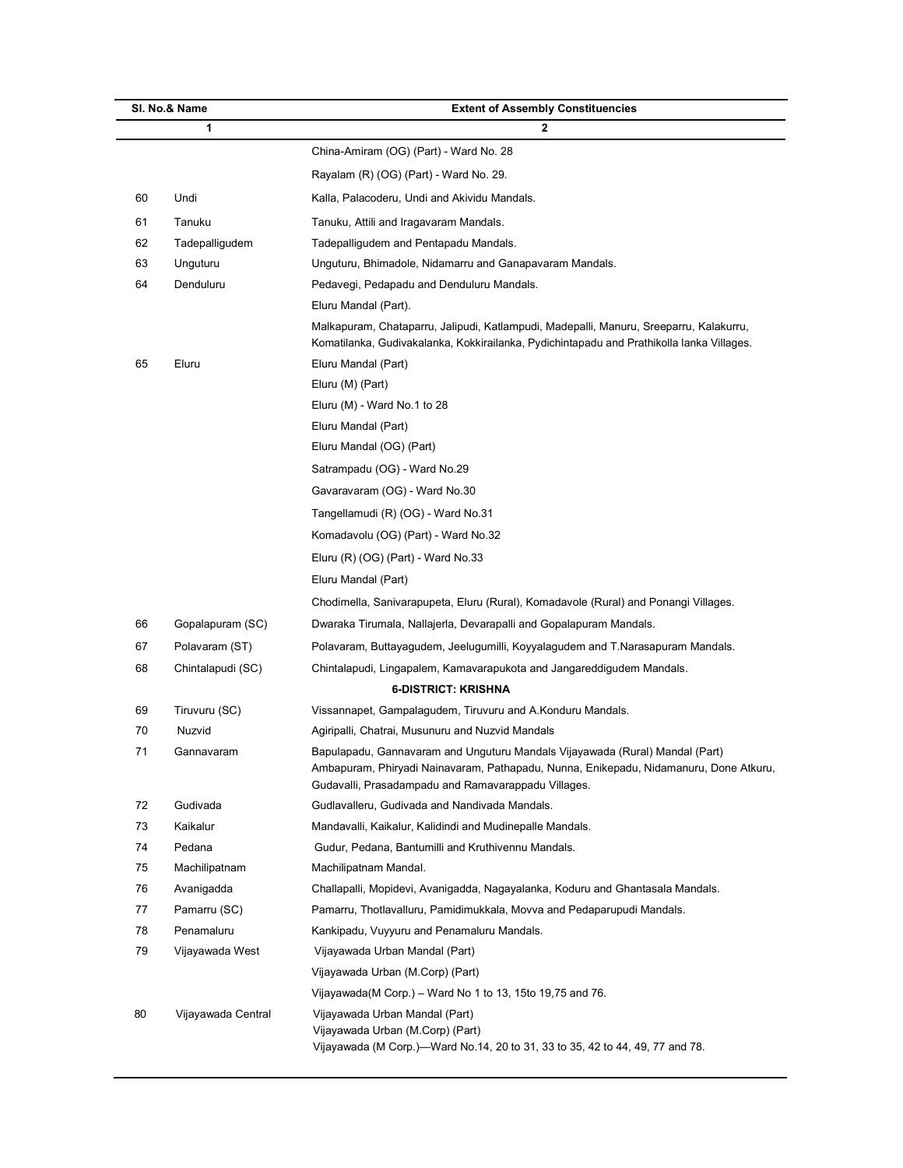| SI. No.& Name |                    | <b>Extent of Assembly Constituencies</b>                                                                                                                                                                                     |
|---------------|--------------------|------------------------------------------------------------------------------------------------------------------------------------------------------------------------------------------------------------------------------|
| 1             |                    | $\mathbf{2}$                                                                                                                                                                                                                 |
|               |                    | China-Amiram (OG) (Part) - Ward No. 28                                                                                                                                                                                       |
|               |                    | Rayalam (R) (OG) (Part) - Ward No. 29.                                                                                                                                                                                       |
| 60            | Undi               | Kalla, Palacoderu, Undi and Akividu Mandals.                                                                                                                                                                                 |
| 61            | Tanuku             | Tanuku, Attili and Iragavaram Mandals.                                                                                                                                                                                       |
| 62            | Tadepalliqudem     | Tadepalliqudem and Pentapadu Mandals.                                                                                                                                                                                        |
| 63            | Unguturu           | Unguturu, Bhimadole, Nidamarru and Ganapavaram Mandals.                                                                                                                                                                      |
| 64            | Denduluru          | Pedavegi, Pedapadu and Denduluru Mandals.                                                                                                                                                                                    |
|               |                    | Eluru Mandal (Part).                                                                                                                                                                                                         |
|               |                    | Malkapuram, Chataparru, Jalipudi, Katlampudi, Madepalli, Manuru, Sreeparru, Kalakurru,<br>Komatilanka, Gudivakalanka, Kokkirailanka, Pydichintapadu and Prathikolla lanka Villages.                                          |
| 65            | Eluru              | Eluru Mandal (Part)                                                                                                                                                                                                          |
|               |                    | Eluru (M) (Part)                                                                                                                                                                                                             |
|               |                    | Eluru (M) - Ward No.1 to 28                                                                                                                                                                                                  |
|               |                    | Eluru Mandal (Part)                                                                                                                                                                                                          |
|               |                    | Eluru Mandal (OG) (Part)                                                                                                                                                                                                     |
|               |                    | Satrampadu (OG) - Ward No.29                                                                                                                                                                                                 |
|               |                    | Gavaravaram (OG) - Ward No.30                                                                                                                                                                                                |
|               |                    | Tangellamudi (R) (OG) - Ward No.31                                                                                                                                                                                           |
|               |                    | Komadavolu (OG) (Part) - Ward No.32                                                                                                                                                                                          |
|               |                    | Eluru (R) (OG) (Part) - Ward No.33                                                                                                                                                                                           |
|               |                    | Eluru Mandal (Part)                                                                                                                                                                                                          |
|               |                    | Chodimella, Sanivarapupeta, Eluru (Rural), Komadavole (Rural) and Ponangi Villages.                                                                                                                                          |
| 66            | Gopalapuram (SC)   | Dwaraka Tirumala, Nallajerla, Devarapalli and Gopalapuram Mandals.                                                                                                                                                           |
| 67            | Polavaram (ST)     | Polavaram, Buttayagudem, Jeelugumilli, Koyyalagudem and T.Narasapuram Mandals.                                                                                                                                               |
| 68            | Chintalapudi (SC)  | Chintalapudi, Lingapalem, Kamavarapukota and Jangareddigudem Mandals.                                                                                                                                                        |
|               |                    | <b>6-DISTRICT: KRISHNA</b>                                                                                                                                                                                                   |
| 69            | Tiruvuru (SC)      | Vissannapet, Gampalagudem, Tiruvuru and A.Konduru Mandals.                                                                                                                                                                   |
| 70            | Nuzvid             | Agiripalli, Chatrai, Musunuru and Nuzvid Mandals                                                                                                                                                                             |
| 71            | Gannavaram         | Bapulapadu, Gannavaram and Unguturu Mandals Vijayawada (Rural) Mandal (Part)<br>Ambapuram, Phiryadi Nainavaram, Pathapadu, Nunna, Enikepadu, Nidamanuru, Done Atkuru,<br>Gudavalli, Prasadampadu and Ramavarappadu Villages. |
| 72            | Gudivada           | Gudlavalleru, Gudivada and Nandivada Mandals.                                                                                                                                                                                |
| 73            | Kaikalur           | Mandavalli, Kaikalur, Kalidindi and Mudinepalle Mandals.                                                                                                                                                                     |
| 74            | Pedana             | Gudur, Pedana, Bantumilli and Kruthivennu Mandals.                                                                                                                                                                           |
| 75            | Machilipatnam      | Machilipatnam Mandal.                                                                                                                                                                                                        |
| 76            | Avanigadda         | Challapalli, Mopidevi, Avanigadda, Nagayalanka, Koduru and Ghantasala Mandals.                                                                                                                                               |
| 77            | Pamarru (SC)       | Pamarru, Thotlavalluru, Pamidimukkala, Movva and Pedaparupudi Mandals.                                                                                                                                                       |
| 78            | Penamaluru         | Kankipadu, Vuyyuru and Penamaluru Mandals.                                                                                                                                                                                   |
| 79            | Vijayawada West    | Vijayawada Urban Mandal (Part)                                                                                                                                                                                               |
|               |                    | Vijayawada Urban (M.Corp) (Part)                                                                                                                                                                                             |
|               |                    | Vijayawada(M Corp.) - Ward No 1 to 13, 15to 19,75 and 76.                                                                                                                                                                    |
| 80            | Vijayawada Central | Vijayawada Urban Mandal (Part)<br>Vijayawada Urban (M.Corp) (Part)<br>Vijayawada (M Corp.)-Ward No.14, 20 to 31, 33 to 35, 42 to 44, 49, 77 and 78.                                                                          |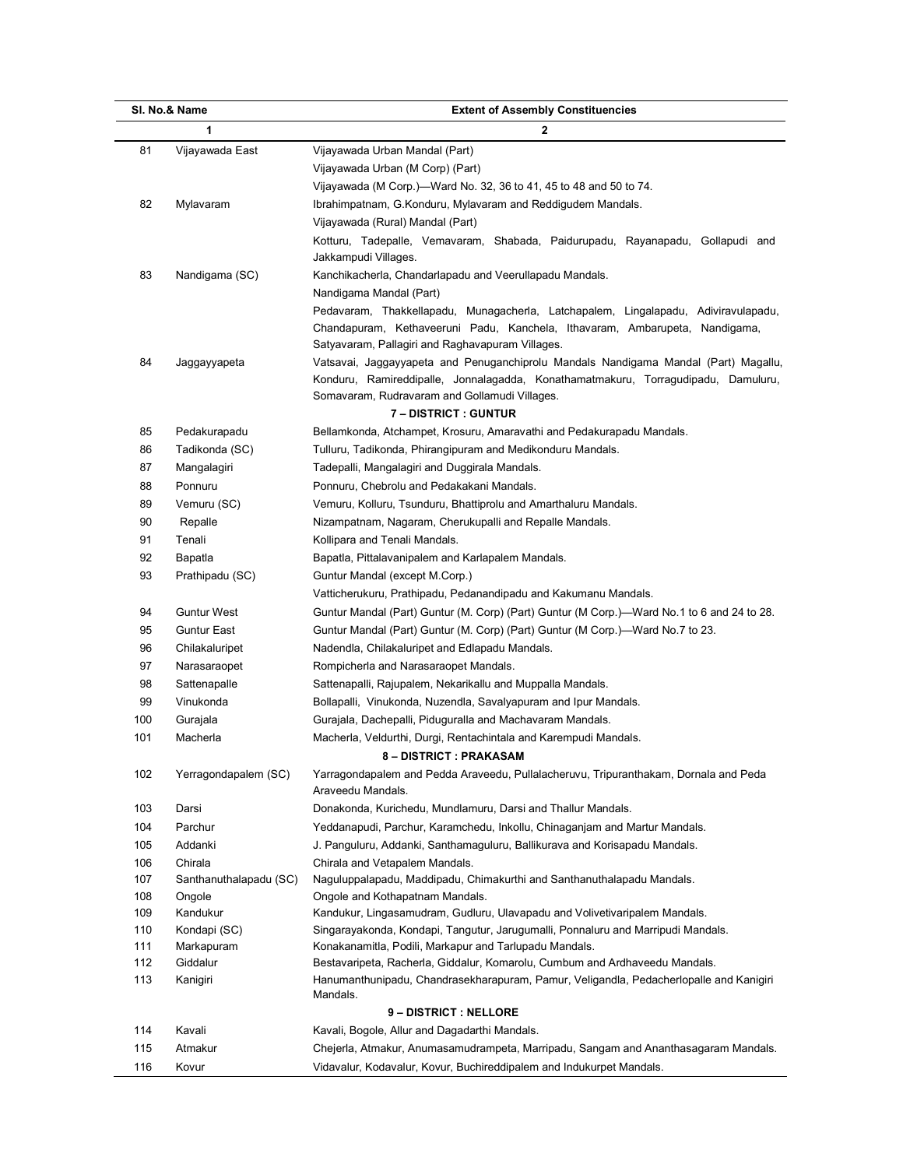| SI. No.& Name |                          | <b>Extent of Assembly Constituencies</b>                                                                                                                                 |
|---------------|--------------------------|--------------------------------------------------------------------------------------------------------------------------------------------------------------------------|
|               | 1                        | $\overline{2}$                                                                                                                                                           |
| 81            | Vijayawada East          | Vijayawada Urban Mandal (Part)                                                                                                                                           |
|               |                          | Vijayawada Urban (M Corp) (Part)                                                                                                                                         |
|               |                          | Vijayawada (M Corp.)-Ward No. 32, 36 to 41, 45 to 48 and 50 to 74.                                                                                                       |
| 82            | Mylavaram                | Ibrahimpatnam, G.Konduru, Mylavaram and Reddigudem Mandals.                                                                                                              |
|               |                          | Vijayawada (Rural) Mandal (Part)                                                                                                                                         |
|               |                          | Kotturu, Tadepalle, Vemavaram, Shabada, Paidurupadu, Rayanapadu, Gollapudi and                                                                                           |
|               |                          | Jakkampudi Villages.                                                                                                                                                     |
| 83            | Nandigama (SC)           | Kanchikacherla, Chandarlapadu and Veerullapadu Mandals.                                                                                                                  |
|               |                          | Nandigama Mandal (Part)                                                                                                                                                  |
|               |                          | Pedavaram, Thakkellapadu, Munagacherla, Latchapalem, Lingalapadu, Adiviravulapadu,                                                                                       |
|               |                          | Chandapuram, Kethaveeruni Padu, Kanchela, Ithavaram, Ambarupeta, Nandigama,                                                                                              |
|               |                          | Satyavaram, Pallagiri and Raghavapuram Villages.                                                                                                                         |
| 84            | Jaggayyapeta             | Vatsavai, Jaggayyapeta and Penuganchiprolu Mandals Nandigama Mandal (Part) Magallu,<br>Konduru, Ramireddipalle, Jonnalagadda, Konathamatmakuru, Torragudipadu, Damuluru, |
|               |                          | Somavaram, Rudravaram and Gollamudi Villages.                                                                                                                            |
|               |                          | <b>7 - DISTRICT : GUNTUR</b>                                                                                                                                             |
| 85            | Pedakurapadu             | Bellamkonda, Atchampet, Krosuru, Amaravathi and Pedakurapadu Mandals.                                                                                                    |
| 86            | Tadikonda (SC)           | Tulluru, Tadikonda, Phirangipuram and Medikonduru Mandals.                                                                                                               |
| 87            | Mangalagiri              | Tadepalli, Mangalagiri and Duggirala Mandals.                                                                                                                            |
| 88            | Ponnuru                  | Ponnuru, Chebrolu and Pedakakani Mandals.                                                                                                                                |
| 89            | Vemuru (SC)              | Vemuru, Kolluru, Tsunduru, Bhattiprolu and Amarthaluru Mandals.                                                                                                          |
| 90            | Repalle                  | Nizampatnam, Nagaram, Cherukupalli and Repalle Mandals.                                                                                                                  |
| 91            | Tenali                   | Kollipara and Tenali Mandals.                                                                                                                                            |
| 92            | Bapatla                  | Bapatla, Pittalavanipalem and Karlapalem Mandals.                                                                                                                        |
| 93            | Prathipadu (SC)          | Guntur Mandal (except M.Corp.)                                                                                                                                           |
|               |                          | Vatticherukuru, Prathipadu, Pedanandipadu and Kakumanu Mandals.                                                                                                          |
| 94            | <b>Guntur West</b>       | Guntur Mandal (Part) Guntur (M. Corp) (Part) Guntur (M Corp.)—Ward No.1 to 6 and 24 to 28.                                                                               |
| 95            | <b>Guntur East</b>       | Guntur Mandal (Part) Guntur (M. Corp) (Part) Guntur (M Corp.)—Ward No.7 to 23.                                                                                           |
| 96            | Chilakaluripet           | Nadendla, Chilakaluripet and Edlapadu Mandals.                                                                                                                           |
| 97            | Narasaraopet             | Rompicherla and Narasaraopet Mandals.                                                                                                                                    |
| 98            | Sattenapalle             | Sattenapalli, Rajupalem, Nekarikallu and Muppalla Mandals.                                                                                                               |
| 99            | Vinukonda                | Bollapalli, Vinukonda, Nuzendla, Savalyapuram and Ipur Mandals.                                                                                                          |
| 100           | Gurajala                 | Gurajala, Dachepalli, Piduguralla and Machavaram Mandals.                                                                                                                |
| 101           | Macherla                 | Macherla, Veldurthi, Durgi, Rentachintala and Karempudi Mandals.                                                                                                         |
|               |                          | 8 – DISTRICT : PRAKASAM                                                                                                                                                  |
| 102           | Yerragondapalem (SC)     | Yarragondapalem and Pedda Araveedu, Pullalacheruvu, Tripuranthakam, Dornala and Peda<br>Araveedu Mandals.                                                                |
| 103           | Darsi                    | Donakonda, Kurichedu, Mundlamuru, Darsi and Thallur Mandals.                                                                                                             |
| 104           | Parchur                  | Yeddanapudi, Parchur, Karamchedu, Inkollu, Chinaganjam and Martur Mandals.                                                                                               |
| 105           | Addanki                  | J. Panguluru, Addanki, Santhamaguluru, Ballikurava and Korisapadu Mandals.                                                                                               |
| 106           | Chirala                  | Chirala and Vetapalem Mandals.                                                                                                                                           |
| 107           | Santhanuthalapadu (SC)   | Naguluppalapadu, Maddipadu, Chimakurthi and Santhanuthalapadu Mandals.                                                                                                   |
| 108           | Ongole                   | Ongole and Kothapatnam Mandals.                                                                                                                                          |
| 109<br>110    | Kandukur<br>Kondapi (SC) | Kandukur, Lingasamudram, Gudluru, Ulavapadu and Volivetivaripalem Mandals.<br>Singarayakonda, Kondapi, Tangutur, Jarugumalli, Ponnaluru and Marripudi Mandals.           |
| 111           | Markapuram               | Konakanamitla, Podili, Markapur and Tarlupadu Mandals.                                                                                                                   |
| 112           | Giddalur                 | Bestavaripeta, Racherla, Giddalur, Komarolu, Cumbum and Ardhaveedu Mandals.                                                                                              |
| 113           | Kanigiri                 | Hanumanthunipadu, Chandrasekharapuram, Pamur, Veligandla, Pedacherlopalle and Kanigiri                                                                                   |
|               |                          | Mandals.                                                                                                                                                                 |
|               |                          | 9-DISTRICT: NELLORE                                                                                                                                                      |
| 114           | Kavali                   | Kavali, Bogole, Allur and Dagadarthi Mandals.                                                                                                                            |
| 115           | Atmakur                  | Chejerla, Atmakur, Anumasamudrampeta, Marripadu, Sangam and Ananthasagaram Mandals.                                                                                      |
| 116           | Kovur                    | Vidavalur, Kodavalur, Kovur, Buchireddipalem and Indukurpet Mandals.                                                                                                     |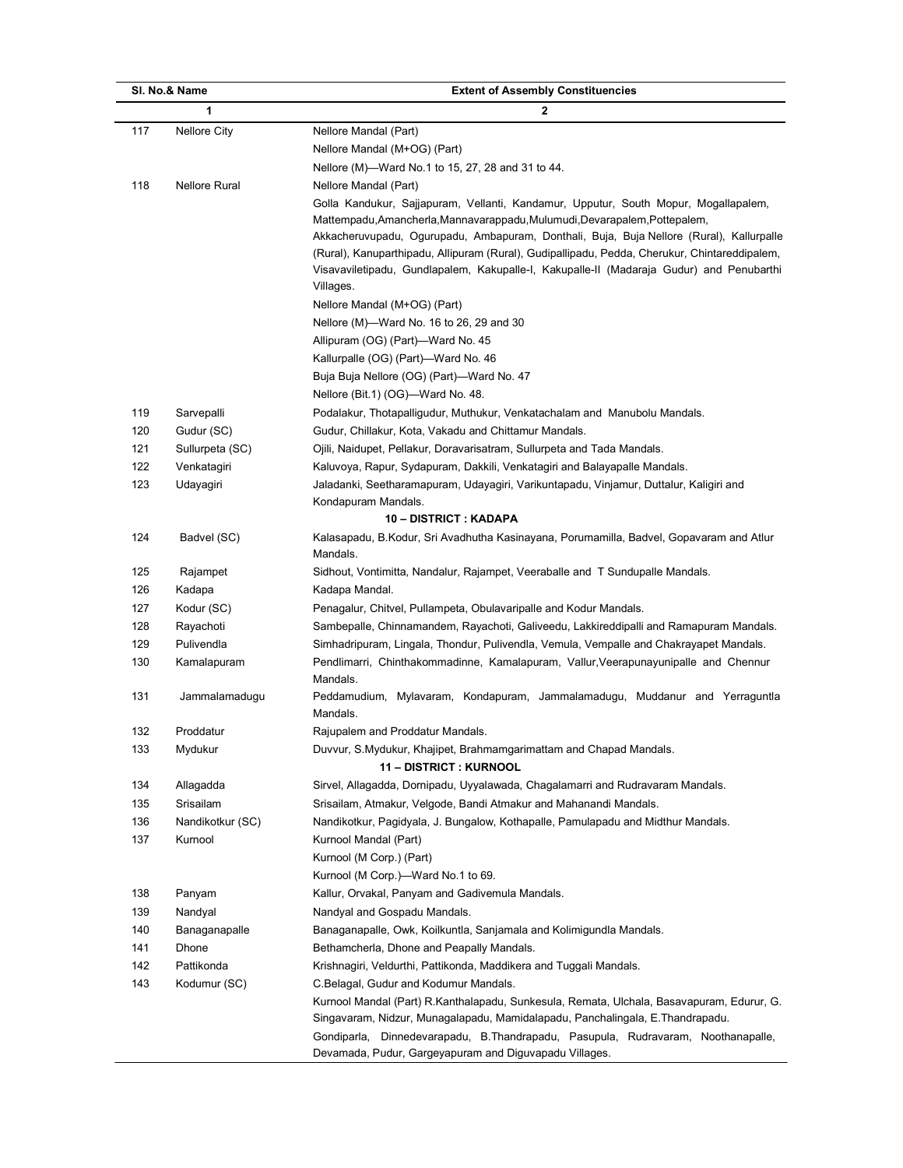|     | SI. No.& Name           | <b>Extent of Assembly Constituencies</b>                                                        |
|-----|-------------------------|-------------------------------------------------------------------------------------------------|
|     | 1                       | 2                                                                                               |
| 117 | Nellore City            | Nellore Mandal (Part)                                                                           |
|     |                         | Nellore Mandal (M+OG) (Part)                                                                    |
|     |                         | Nellore (M)-Ward No.1 to 15, 27, 28 and 31 to 44.                                               |
| 118 | <b>Nellore Rural</b>    | Nellore Mandal (Part)                                                                           |
|     |                         | Golla Kandukur, Sajjapuram, Vellanti, Kandamur, Upputur, South Mopur, Mogallapalem,             |
|     |                         | Mattempadu, Amancherla, Mannavarappadu, Mulumudi, Devarapalem, Pottepalem,                      |
|     |                         | Akkacheruvupadu, Ogurupadu, Ambapuram, Donthali, Buja, Buja Nellore (Rural), Kallurpalle        |
|     |                         | (Rural), Kanuparthipadu, Allipuram (Rural), Gudipallipadu, Pedda, Cherukur, Chintareddipalem,   |
|     |                         | Visavaviletipadu, Gundlapalem, Kakupalle-I, Kakupalle-II (Madaraja Gudur) and Penubarthi        |
|     |                         | Villages.                                                                                       |
|     |                         | Nellore Mandal (M+OG) (Part)                                                                    |
|     |                         | Nellore (M)—Ward No. 16 to 26, 29 and 30                                                        |
|     |                         | Allipuram (OG) (Part)-Ward No. 45                                                               |
|     |                         | Kallurpalle (OG) (Part)-Ward No. 46                                                             |
|     |                         | Buja Buja Nellore (OG) (Part)-Ward No. 47                                                       |
|     |                         | Nellore (Bit.1) (OG)-Ward No. 48.                                                               |
| 119 | Sarvepalli              | Podalakur, Thotapalligudur, Muthukur, Venkatachalam and Manubolu Mandals.                       |
| 120 | Gudur (SC)              | Gudur, Chillakur, Kota, Vakadu and Chittamur Mandals.                                           |
| 121 | Sullurpeta (SC)         | Ojili, Naidupet, Pellakur, Doravarisatram, Sullurpeta and Tada Mandals.                         |
| 122 | Venkatagiri             | Kaluvoya, Rapur, Sydapuram, Dakkili, Venkatagiri and Balayapalle Mandals.                       |
| 123 | Udayagiri               | Jaladanki, Seetharamapuram, Udayagiri, Varikuntapadu, Vinjamur, Duttalur, Kaligiri and          |
|     |                         | Kondapuram Mandals.                                                                             |
|     |                         | 10 - DISTRICT : KADAPA                                                                          |
| 124 | Badvel (SC)             | Kalasapadu, B.Kodur, Sri Avadhutha Kasinayana, Porumamilla, Badvel, Gopavaram and Atlur         |
|     |                         | Mandals.                                                                                        |
| 125 | Rajampet                | Sidhout, Vontimitta, Nandalur, Rajampet, Veeraballe and T Sundupalle Mandals.                   |
| 126 | Kadapa                  | Kadapa Mandal.                                                                                  |
| 127 | Kodur (SC)              | Penagalur, Chitvel, Pullampeta, Obulavaripalle and Kodur Mandals.                               |
| 128 |                         | Sambepalle, Chinnamandem, Rayachoti, Galiveedu, Lakkireddipalli and Ramapuram Mandals.          |
| 129 | Rayachoti<br>Pulivendla | Simhadripuram, Lingala, Thondur, Pulivendla, Vemula, Vempalle and Chakrayapet Mandals.          |
| 130 |                         |                                                                                                 |
|     | Kamalapuram             | Pendlimarri, Chinthakommadinne, Kamalapuram, Vallur, Veerapunayunipalle and Chennur<br>Mandals. |
| 131 | Jammalamadugu           | Peddamudium, Mylavaram, Kondapuram, Jammalamadugu, Muddanur and Yerraguntla                     |
|     |                         | Mandals.                                                                                        |
| 132 | Proddatur               | Rajupalem and Proddatur Mandals.                                                                |
| 133 | Mydukur                 | Duvvur, S.Mydukur, Khajipet, Brahmamgarimattam and Chapad Mandals.                              |
|     |                         | <b>11 - DISTRICT : KURNOOL</b>                                                                  |
| 134 | Allagadda               | Sirvel, Allagadda, Dornipadu, Uyyalawada, Chagalamarri and Rudravaram Mandals.                  |
| 135 | Srisailam               | Srisailam, Atmakur, Velgode, Bandi Atmakur and Mahanandi Mandals.                               |
| 136 | Nandikotkur (SC)        | Nandikotkur, Pagidyala, J. Bungalow, Kothapalle, Pamulapadu and Midthur Mandals.                |
| 137 | Kurnool                 | Kurnool Mandal (Part)                                                                           |
|     |                         | Kurnool (M Corp.) (Part)                                                                        |
|     |                         | Kurnool (M Corp.)-Ward No.1 to 69.                                                              |
| 138 | Panyam                  | Kallur, Orvakal, Panyam and Gadivemula Mandals.                                                 |
| 139 | Nandyal                 | Nandyal and Gospadu Mandals.                                                                    |
| 140 | Banaganapalle           | Banaganapalle, Owk, Koilkuntla, Sanjamala and Kolimigundla Mandals.                             |
| 141 | Dhone                   | Bethamcherla, Dhone and Peapally Mandals.                                                       |
| 142 | Pattikonda              | Krishnagiri, Veldurthi, Pattikonda, Maddikera and Tuggali Mandals.                              |
| 143 | Kodumur (SC)            | C.Belagal, Gudur and Kodumur Mandals.                                                           |
|     |                         | Kurnool Mandal (Part) R.Kanthalapadu, Sunkesula, Remata, Ulchala, Basavapuram, Edurur, G.       |
|     |                         | Singavaram, Nidzur, Munagalapadu, Mamidalapadu, Panchalingala, E.Thandrapadu.                   |
|     |                         | Gondiparla, Dinnedevarapadu, B.Thandrapadu, Pasupula, Rudravaram, Noothanapalle,                |
|     |                         | Devamada, Pudur, Gargeyapuram and Diguvapadu Villages.                                          |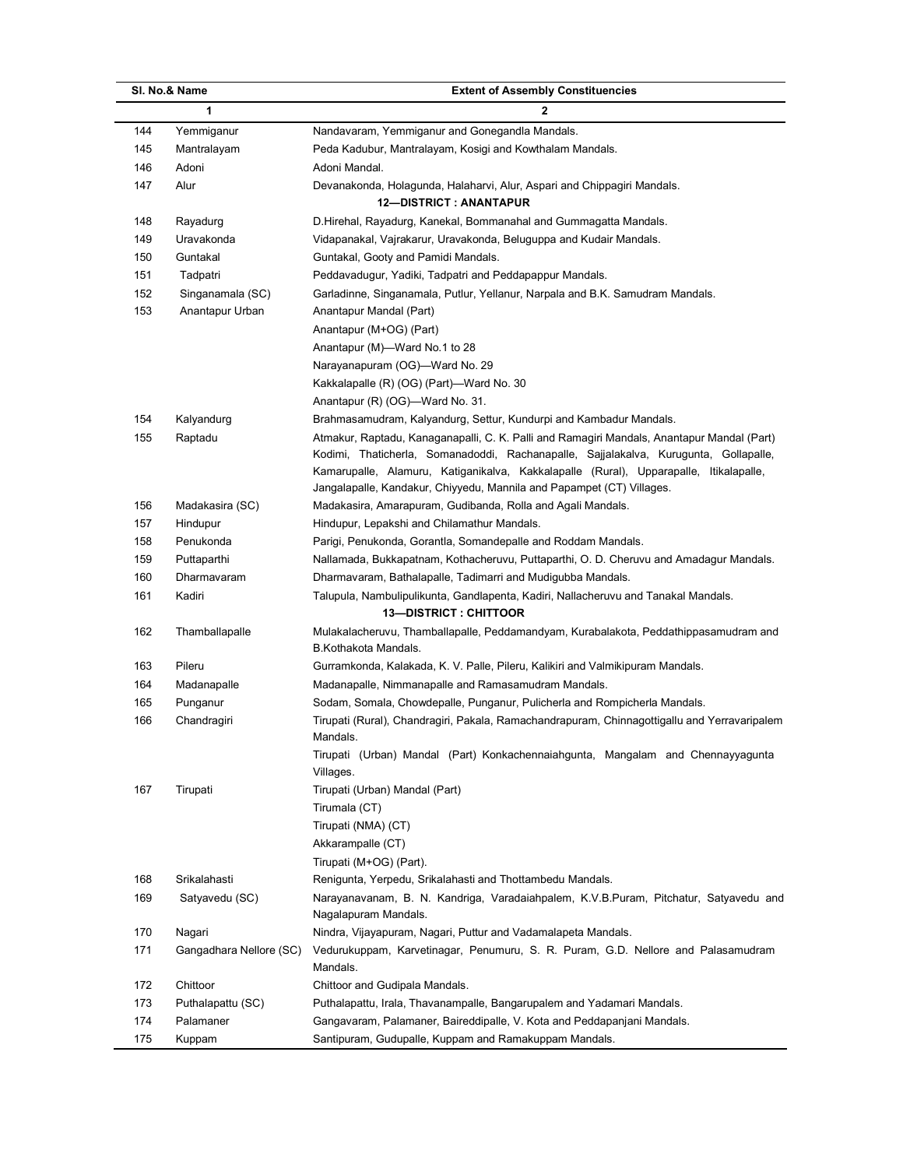| SI. No.& Name                  | <b>Extent of Assembly Constituencies</b>                                                     |
|--------------------------------|----------------------------------------------------------------------------------------------|
| 1                              | $\mathbf{2}$                                                                                 |
| 144<br>Yemmiganur              | Nandavaram, Yemmiganur and Gonegandla Mandals.                                               |
| 145<br>Mantralayam             | Peda Kadubur, Mantralayam, Kosigi and Kowthalam Mandals.                                     |
| 146<br>Adoni                   | Adoni Mandal.                                                                                |
| 147<br>Alur                    | Devanakonda, Holagunda, Halaharvi, Alur, Aspari and Chippagiri Mandals.                      |
|                                | <b>12-DISTRICT: ANANTAPUR</b>                                                                |
| 148<br>Rayadurg                | D.Hirehal, Rayadurg, Kanekal, Bommanahal and Gummagatta Mandals.                             |
| 149<br>Uravakonda              | Vidapanakal, Vajrakarur, Uravakonda, Beluguppa and Kudair Mandals.                           |
| 150<br>Guntakal                | Guntakal, Gooty and Pamidi Mandals.                                                          |
| 151<br>Tadpatri                | Peddavadugur, Yadiki, Tadpatri and Peddapappur Mandals.                                      |
| 152<br>Singanamala (SC)        | Garladinne, Singanamala, Putlur, Yellanur, Narpala and B.K. Samudram Mandals.                |
| 153<br>Anantapur Urban         | Anantapur Mandal (Part)                                                                      |
|                                | Anantapur (M+OG) (Part)                                                                      |
|                                | Anantapur (M)-Ward No.1 to 28                                                                |
|                                | Narayanapuram (OG)-Ward No. 29                                                               |
|                                | Kakkalapalle (R) (OG) (Part)-Ward No. 30                                                     |
|                                | Anantapur (R) (OG)-Ward No. 31.                                                              |
| 154<br>Kalyandurg              | Brahmasamudram, Kalyandurg, Settur, Kundurpi and Kambadur Mandals.                           |
| 155<br>Raptadu                 | Atmakur, Raptadu, Kanaganapalli, C. K. Palli and Ramagiri Mandals, Anantapur Mandal (Part)   |
|                                | Kodimi, Thaticherla, Somanadoddi, Rachanapalle, Sajjalakalva, Kurugunta, Gollapalle,         |
|                                | Kamarupalle, Alamuru, Katiganikalva, Kakkalapalle (Rural), Upparapalle, Itikalapalle,        |
|                                | Jangalapalle, Kandakur, Chiyyedu, Mannila and Papampet (CT) Villages.                        |
| 156<br>Madakasira (SC)         | Madakasira, Amarapuram, Gudibanda, Rolla and Agali Mandals.                                  |
| 157<br>Hindupur                | Hindupur, Lepakshi and Chilamathur Mandals.                                                  |
| 158<br>Penukonda               | Parigi, Penukonda, Gorantla, Somandepalle and Roddam Mandals.                                |
| 159<br>Puttaparthi             | Nallamada, Bukkapatnam, Kothacheruvu, Puttaparthi, O. D. Cheruvu and Amadagur Mandals.       |
| 160<br>Dharmavaram             | Dharmavaram, Bathalapalle, Tadimarri and Mudigubba Mandals.                                  |
| 161<br>Kadiri                  | Talupula, Nambulipulikunta, Gandlapenta, Kadiri, Nallacheruvu and Tanakal Mandals.           |
|                                | <b>13-DISTRICT: CHITTOOR</b>                                                                 |
| 162<br>Thamballapalle          | Mulakalacheruvu, Thamballapalle, Peddamandyam, Kurabalakota, Peddathippasamudram and         |
|                                | B.Kothakota Mandals.                                                                         |
| 163<br>Pileru                  | Gurramkonda, Kalakada, K. V. Palle, Pileru, Kalikiri and Valmikipuram Mandals.               |
| 164<br>Madanapalle             | Madanapalle, Nimmanapalle and Ramasamudram Mandals.                                          |
| 165<br>Punganur                | Sodam, Somala, Chowdepalle, Punganur, Pulicherla and Rompicherla Mandals.                    |
| 166<br>Chandragiri             | Tirupati (Rural), Chandragiri, Pakala, Ramachandrapuram, Chinnagottigallu and Yerravaripalem |
|                                | Mandals.                                                                                     |
|                                | Tirupati (Urban) Mandal (Part) Konkachennaiahgunta, Mangalam and Chennayyagunta              |
|                                | Villages.                                                                                    |
| 167<br>Tirupati                | Tirupati (Urban) Mandal (Part)                                                               |
|                                | Tirumala (CT)                                                                                |
|                                | Tirupati (NMA) (CT)                                                                          |
|                                | Akkarampalle (CT)                                                                            |
|                                | Tirupati (M+OG) (Part).                                                                      |
| Srikalahasti<br>168            | Renigunta, Yerpedu, Srikalahasti and Thottambedu Mandals.                                    |
| 169<br>Satyavedu (SC)          | Narayanavanam, B. N. Kandriga, Varadaiahpalem, K.V.B.Puram, Pitchatur, Satyavedu and         |
|                                | Nagalapuram Mandals.                                                                         |
| 170<br>Nagari                  | Nindra, Vijayapuram, Nagari, Puttur and Vadamalapeta Mandals.                                |
| 171<br>Gangadhara Nellore (SC) | Vedurukuppam, Karvetinagar, Penumuru, S. R. Puram, G.D. Nellore and Palasamudram<br>Mandals. |
| Chittoor<br>172                | Chittoor and Gudipala Mandals.                                                               |
| 173<br>Puthalapattu (SC)       | Puthalapattu, Irala, Thavanampalle, Bangarupalem and Yadamari Mandals.                       |
| 174<br>Palamaner               | Gangavaram, Palamaner, Baireddipalle, V. Kota and Peddapanjani Mandals.                      |
| 175<br>Kuppam                  | Santipuram, Gudupalle, Kuppam and Ramakuppam Mandals.                                        |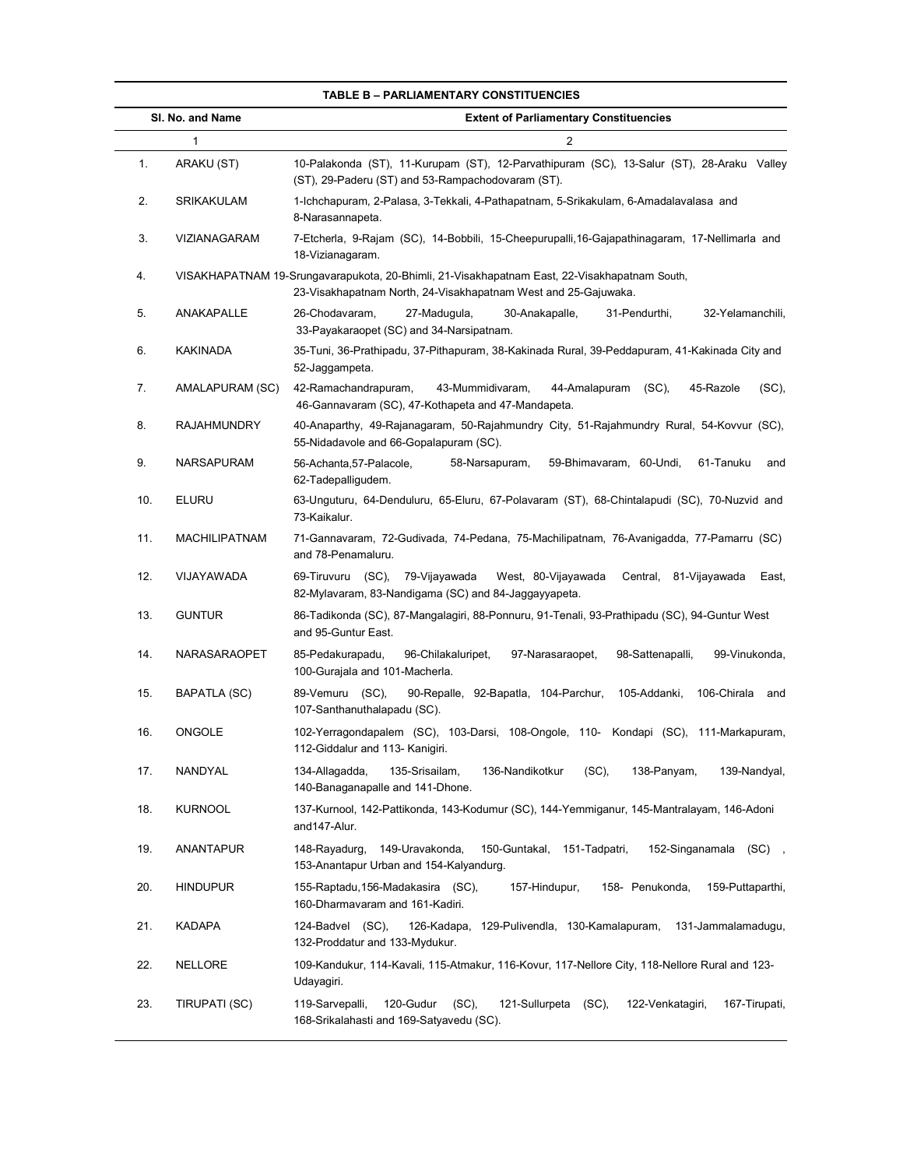|     | SI. No. and Name     | <b>Extent of Parliamentary Constituencies</b>                                                                                                                  |  |
|-----|----------------------|----------------------------------------------------------------------------------------------------------------------------------------------------------------|--|
|     | $\mathbf{1}$         | 2                                                                                                                                                              |  |
| 1.  | ARAKU (ST)           | 10-Palakonda (ST), 11-Kurupam (ST), 12-Parvathipuram (SC), 13-Salur (ST), 28-Araku Valley<br>(ST), 29-Paderu (ST) and 53-Rampachodovaram (ST).                 |  |
| 2.  | SRIKAKULAM           | 1-Ichchapuram, 2-Palasa, 3-Tekkali, 4-Pathapatnam, 5-Srikakulam, 6-Amadalavalasa and<br>8-Narasannapeta.                                                       |  |
| 3.  | VIZIANAGARAM         | 7-Etcherla, 9-Rajam (SC), 14-Bobbili, 15-Cheepurupalli, 16-Gajapathinagaram, 17-Nellimarla and<br>18-Vizianagaram.                                             |  |
| 4.  |                      | VISAKHAPATNAM 19-Srungavarapukota, 20-Bhimli, 21-Visakhapatnam East, 22-Visakhapatnam South,<br>23-Visakhapatnam North, 24-Visakhapatnam West and 25-Gajuwaka. |  |
| 5.  | ANAKAPALLE           | 26-Chodavaram,<br>27-Madugula,<br>30-Anakapalle,<br>31-Pendurthi,<br>32-Yelamanchili,<br>33-Payakaraopet (SC) and 34-Narsipatnam.                              |  |
| 6.  | <b>KAKINADA</b>      | 35-Tuni, 36-Prathipadu, 37-Pithapuram, 38-Kakinada Rural, 39-Peddapuram, 41-Kakinada City and<br>52-Jaggampeta.                                                |  |
| 7.  | AMALAPURAM (SC)      | 42-Ramachandrapuram,<br>43-Mummidivaram,<br>44-Amalapuram (SC),<br>45-Razole<br>$(SC)$ ,<br>46-Gannavaram (SC), 47-Kothapeta and 47-Mandapeta.                 |  |
| 8.  | <b>RAJAHMUNDRY</b>   | 40-Anaparthy, 49-Rajanagaram, 50-Rajahmundry City, 51-Rajahmundry Rural, 54-Kovvur (SC),<br>55-Nidadavole and 66-Gopalapuram (SC).                             |  |
| 9.  | NARSAPURAM           | 56-Achanta, 57-Palacole,<br>58-Narsapuram,<br>59-Bhimavaram, 60-Undi,<br>61-Tanuku<br>and<br>62-Tadepalligudem.                                                |  |
| 10. | <b>ELURU</b>         | 63-Unguturu, 64-Denduluru, 65-Eluru, 67-Polavaram (ST), 68-Chintalapudi (SC), 70-Nuzvid and<br>73-Kaikalur.                                                    |  |
| 11. | <b>MACHILIPATNAM</b> | 71-Gannavaram, 72-Gudivada, 74-Pedana, 75-Machilipatnam, 76-Avanigadda, 77-Pamarru (SC)<br>and 78-Penamaluru.                                                  |  |
| 12. | VIJAYAWADA           | 69-Tiruvuru (SC), 79-Vijayawada<br>West, 80-Vijayawada<br>Central, 81-Vijayawada<br>East,<br>82-Mylavaram, 83-Nandigama (SC) and 84-Jaggayyapeta.              |  |
| 13. | <b>GUNTUR</b>        | 86-Tadikonda (SC), 87-Mangalagiri, 88-Ponnuru, 91-Tenali, 93-Prathipadu (SC), 94-Guntur West<br>and 95-Guntur East.                                            |  |
| 14. | NARASARAOPET         | 96-Chilakaluripet,<br>85-Pedakurapadu,<br>97-Narasaraopet,<br>98-Sattenapalli,<br>99-Vinukonda,<br>100-Gurajala and 101-Macherla.                              |  |
| 15. | <b>BAPATLA (SC)</b>  | 89-Vemuru (SC),<br>90-Repalle, 92-Bapatla, 104-Parchur,<br>105-Addanki,<br>106-Chirala and<br>107-Santhanuthalapadu (SC).                                      |  |
| 16. | ONGOLE               | 102-Yerragondapalem (SC), 103-Darsi, 108-Ongole, 110- Kondapi (SC), 111-Markapuram,<br>112-Giddalur and 113- Kanigiri.                                         |  |
| 17. | NANDYAL              | 134-Allagadda,<br>135-Srisailam,<br>136-Nandikotkur<br>$(SC)$ ,<br>138-Panyam,<br>139-Nandyal,<br>140-Banaganapalle and 141-Dhone.                             |  |
| 18. | <b>KURNOOL</b>       | 137-Kurnool, 142-Pattikonda, 143-Kodumur (SC), 144-Yemmiganur, 145-Mantralayam, 146-Adoni<br>and 147-Alur.                                                     |  |
| 19. | ANANTAPUR            | 148-Rayadurg, 149-Uravakonda,<br>150-Guntakal, 151-Tadpatri,<br>152-Singanamala (SC),<br>153-Anantapur Urban and 154-Kalyandurg.                               |  |
| 20. | <b>HINDUPUR</b>      | 155-Raptadu, 156-Madakasira (SC),<br>157-Hindupur,<br>158- Penukonda,<br>159-Puttaparthi,<br>160-Dharmavaram and 161-Kadiri.                                   |  |
| 21. | KADAPA               | 124-Badvel (SC),<br>126-Kadapa, 129-Pulivendla, 130-Kamalapuram, 131-Jammalamadugu,<br>132-Proddatur and 133-Mydukur.                                          |  |
| 22. | <b>NELLORE</b>       | 109-Kandukur, 114-Kavali, 115-Atmakur, 116-Kovur, 117-Nellore City, 118-Nellore Rural and 123-<br>Udayagiri.                                                   |  |
| 23. | TIRUPATI (SC)        | 120-Gudur<br>$(SC)$ ,<br>119-Sarvepalli,<br>121-Sullurpeta (SC),<br>122-Venkatagiri,<br>167-Tirupati,<br>168-Srikalahasti and 169-Satyavedu (SC).              |  |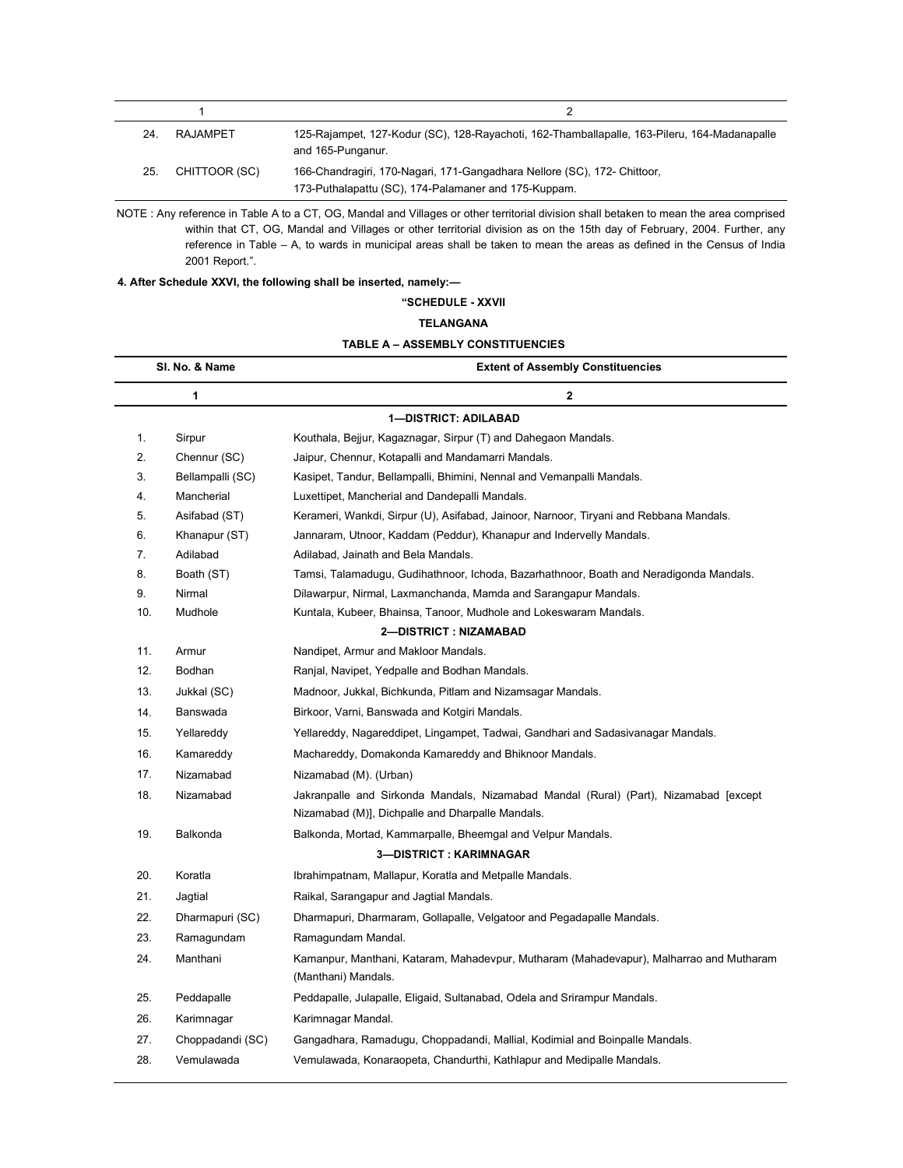| 24. | <b>RAJAMPET</b> | 125-Rajampet, 127-Kodur (SC), 128-Rayachoti, 162-Thamballapalle, 163-Pileru, 164-Madanapalle<br>and 165-Punganur.                |
|-----|-----------------|----------------------------------------------------------------------------------------------------------------------------------|
| 25. | CHITTOOR (SC)   | 166-Chandragiri, 170-Nagari, 171-Gangadhara Nellore (SC), 172- Chittoor,<br>173-Puthalapattu (SC), 174-Palamaner and 175-Kuppam. |

NOTE : Any reference in Table A to a CT, OG, Mandal and Villages or other territorial division shall betaken to mean the area comprised within that CT, OG, Mandal and Villages or other territorial division as on the 15th day of February, 2004. Further, any reference in Table – A, to wards in municipal areas shall be taken to mean the areas as defined in the Census of India 2001 Report.".

# 4. After Schedule XXVI, the following shall be inserted, namely:—

"SCHEDULE - XXVII

# TELANGANA

| <b>TABLE A – ASSEMBLY CONSTITUENCIES</b> |
|------------------------------------------|
|                                          |

| SI. No. & Name<br>1 |                  | <b>Extent of Assembly Constituencies</b><br>2                                                                                            |  |
|---------------------|------------------|------------------------------------------------------------------------------------------------------------------------------------------|--|
|                     |                  |                                                                                                                                          |  |
| 1.                  | Sirpur           | Kouthala, Bejjur, Kagaznagar, Sirpur (T) and Dahegaon Mandals.                                                                           |  |
| 2.                  | Chennur (SC)     | Jaipur, Chennur, Kotapalli and Mandamarri Mandals.                                                                                       |  |
| 3.                  | Bellampalli (SC) | Kasipet, Tandur, Bellampalli, Bhimini, Nennal and Vemanpalli Mandals.                                                                    |  |
| 4.                  | Mancherial       | Luxettipet, Mancherial and Dandepalli Mandals.                                                                                           |  |
| 5.                  | Asifabad (ST)    | Kerameri, Wankdi, Sirpur (U), Asifabad, Jainoor, Narnoor, Tiryani and Rebbana Mandals.                                                   |  |
| 6.                  | Khanapur (ST)    | Jannaram, Utnoor, Kaddam (Peddur), Khanapur and Indervelly Mandals.                                                                      |  |
| 7.                  | Adilabad         | Adilabad, Jainath and Bela Mandals.                                                                                                      |  |
| 8.                  | Boath (ST)       | Tamsi, Talamadugu, Gudihathnoor, Ichoda, Bazarhathnoor, Boath and Neradigonda Mandals.                                                   |  |
| 9.                  | Nirmal           | Dilawarpur, Nirmal, Laxmanchanda, Mamda and Sarangapur Mandals.                                                                          |  |
| 10.                 | Mudhole          | Kuntala, Kubeer, Bhainsa, Tanoor, Mudhole and Lokeswaram Mandals.                                                                        |  |
|                     |                  | 2-DISTRICT: NIZAMABAD                                                                                                                    |  |
| 11.                 | Armur            | Nandipet, Armur and Makloor Mandals.                                                                                                     |  |
| 12.                 | Bodhan           | Ranjal, Navipet, Yedpalle and Bodhan Mandals.                                                                                            |  |
| 13.                 | Jukkal (SC)      | Madnoor, Jukkal, Bichkunda, Pitlam and Nizamsagar Mandals.                                                                               |  |
| 14.                 | Banswada         | Birkoor, Varni, Banswada and Kotgiri Mandals.                                                                                            |  |
| 15.                 | Yellareddy       | Yellareddy, Nagareddipet, Lingampet, Tadwai, Gandhari and Sadasivanagar Mandals.                                                         |  |
| 16.                 | Kamareddy        | Machareddy, Domakonda Kamareddy and Bhiknoor Mandals.                                                                                    |  |
| 17.                 | Nizamabad        | Nizamabad (M). (Urban)                                                                                                                   |  |
| 18.                 | Nizamabad        | Jakranpalle and Sirkonda Mandals, Nizamabad Mandal (Rural) (Part), Nizamabad [except<br>Nizamabad (M)], Dichpalle and Dharpalle Mandals. |  |
| 19.                 | Balkonda         | Balkonda, Mortad, Kammarpalle, Bheemgal and Velpur Mandals.                                                                              |  |
|                     |                  | 3-DISTRICT: KARIMNAGAR                                                                                                                   |  |
| 20.                 | Koratla          | Ibrahimpatnam, Mallapur, Koratla and Metpalle Mandals.                                                                                   |  |
| 21.                 | Jagtial          | Raikal, Sarangapur and Jagtial Mandals.                                                                                                  |  |
| 22.                 | Dharmapuri (SC)  | Dharmapuri, Dharmaram, Gollapalle, Velgatoor and Pegadapalle Mandals.                                                                    |  |
| 23.                 | Ramagundam       | Ramagundam Mandal.                                                                                                                       |  |
| 24.                 | Manthani         | Kamanpur, Manthani, Kataram, Mahadevpur, Mutharam (Mahadevapur), Malharrao and Mutharam<br>(Manthani) Mandals.                           |  |
| 25.                 | Peddapalle       | Peddapalle, Julapalle, Eligaid, Sultanabad, Odela and Srirampur Mandals.                                                                 |  |
| 26.                 | Karimnagar       | Karimnagar Mandal.                                                                                                                       |  |
| 27.                 | Choppadandi (SC) | Gangadhara, Ramadugu, Choppadandi, Mallial, Kodimial and Boinpalle Mandals.                                                              |  |
| 28.                 | Vemulawada       | Vemulawada, Konaraopeta, Chandurthi, Kathlapur and Medipalle Mandals.                                                                    |  |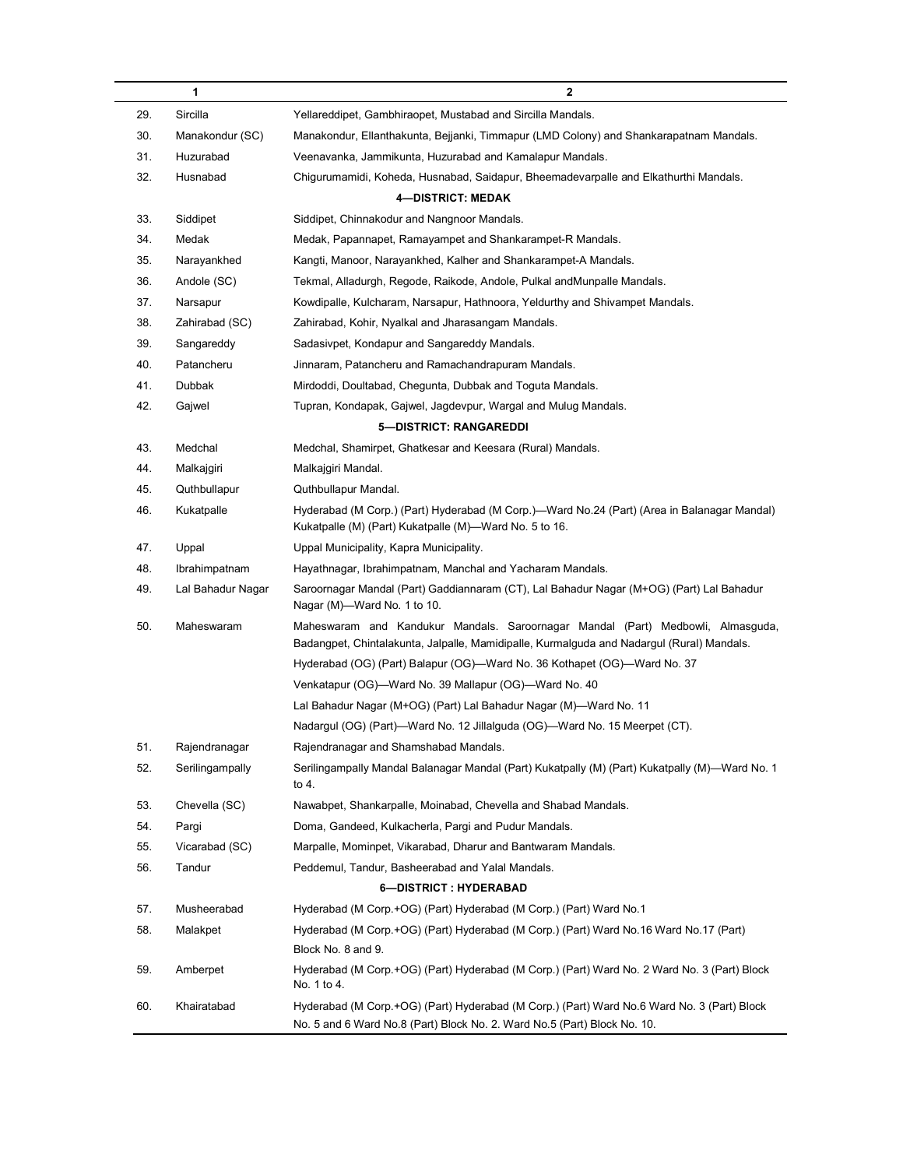|     | 1                 | $\mathbf{2}$                                                                                                                                                                 |  |
|-----|-------------------|------------------------------------------------------------------------------------------------------------------------------------------------------------------------------|--|
| 29. | Sircilla          | Yellareddipet, Gambhiraopet, Mustabad and Sircilla Mandals.                                                                                                                  |  |
| 30. | Manakondur (SC)   | Manakondur, Ellanthakunta, Bejjanki, Timmapur (LMD Colony) and Shankarapatnam Mandals.                                                                                       |  |
| 31. | Huzurabad         | Veenavanka, Jammikunta, Huzurabad and Kamalapur Mandals.                                                                                                                     |  |
| 32. | Husnabad          | Chigurumamidi, Koheda, Husnabad, Saidapur, Bheemadevarpalle and Elkathurthi Mandals.                                                                                         |  |
|     |                   | <b>4-DISTRICT: MEDAK</b>                                                                                                                                                     |  |
| 33. | Siddipet          | Siddipet, Chinnakodur and Nangnoor Mandals.                                                                                                                                  |  |
| 34. | Medak             | Medak, Papannapet, Ramayampet and Shankarampet-R Mandals.                                                                                                                    |  |
| 35. | Narayankhed       | Kangti, Manoor, Narayankhed, Kalher and Shankarampet-A Mandals.                                                                                                              |  |
| 36. | Andole (SC)       | Tekmal, Alladurgh, Regode, Raikode, Andole, Pulkal andMunpalle Mandals.                                                                                                      |  |
| 37. | Narsapur          | Kowdipalle, Kulcharam, Narsapur, Hathnoora, Yeldurthy and Shivampet Mandals.                                                                                                 |  |
| 38. | Zahirabad (SC)    | Zahirabad, Kohir, Nyalkal and Jharasangam Mandals.                                                                                                                           |  |
| 39. | Sangareddy        | Sadasivpet, Kondapur and Sangareddy Mandals.                                                                                                                                 |  |
| 40. | Patancheru        | Jinnaram, Patancheru and Ramachandrapuram Mandals.                                                                                                                           |  |
| 41. | Dubbak            | Mirdoddi, Doultabad, Chegunta, Dubbak and Toguta Mandals.                                                                                                                    |  |
| 42. | Gajwel            | Tupran, Kondapak, Gajwel, Jagdevpur, Wargal and Mulug Mandals.                                                                                                               |  |
|     |                   | 5-DISTRICT: RANGAREDDI                                                                                                                                                       |  |
| 43. | Medchal           | Medchal, Shamirpet, Ghatkesar and Keesara (Rural) Mandals.                                                                                                                   |  |
| 44. | Malkajgiri        | Malkajgiri Mandal.                                                                                                                                                           |  |
| 45. | Quthbullapur      | Quthbullapur Mandal.                                                                                                                                                         |  |
| 46. | Kukatpalle        | Hyderabad (M Corp.) (Part) Hyderabad (M Corp.)—Ward No.24 (Part) (Area in Balanagar Mandal)<br>Kukatpalle (M) (Part) Kukatpalle (M)-Ward No. 5 to 16.                        |  |
| 47. | Uppal             | Uppal Municipality, Kapra Municipality.                                                                                                                                      |  |
| 48. | Ibrahimpatnam     | Hayathnagar, Ibrahimpatnam, Manchal and Yacharam Mandals.                                                                                                                    |  |
| 49. | Lal Bahadur Nagar | Saroornagar Mandal (Part) Gaddiannaram (CT), Lal Bahadur Nagar (M+OG) (Part) Lal Bahadur<br>Nagar (M)-Ward No. 1 to 10.                                                      |  |
| 50. | Maheswaram        | Maheswaram and Kandukur Mandals. Saroornagar Mandal (Part) Medbowli, Almasguda,<br>Badangpet, Chintalakunta, Jalpalle, Mamidipalle, Kurmalguda and Nadargul (Rural) Mandals. |  |
|     |                   | Hyderabad (OG) (Part) Balapur (OG)—Ward No. 36 Kothapet (OG)—Ward No. 37                                                                                                     |  |
|     |                   | Venkatapur (OG)—Ward No. 39 Mallapur (OG)—Ward No. 40                                                                                                                        |  |
|     |                   | Lal Bahadur Nagar (M+OG) (Part) Lal Bahadur Nagar (M)-Ward No. 11                                                                                                            |  |
|     |                   | Nadargul (OG) (Part)—Ward No. 12 Jillalguda (OG)—Ward No. 15 Meerpet (CT).                                                                                                   |  |
| 51. | Rajendranagar     | Rajendranagar and Shamshabad Mandals.                                                                                                                                        |  |
| 52. | Serilingampally   | Serilingampally Mandal Balanagar Mandal (Part) Kukatpally (M) (Part) Kukatpally (M)—Ward No. 1<br>to 4.                                                                      |  |
| 53. | Chevella (SC)     | Nawabpet, Shankarpalle, Moinabad, Chevella and Shabad Mandals.                                                                                                               |  |
| 54. | Pargi             | Doma, Gandeed, Kulkacherla, Pargi and Pudur Mandals.                                                                                                                         |  |
| 55. | Vicarabad (SC)    | Marpalle, Mominpet, Vikarabad, Dharur and Bantwaram Mandals.                                                                                                                 |  |
| 56. | Tandur            | Peddemul, Tandur, Basheerabad and Yalal Mandals.                                                                                                                             |  |
|     |                   | 6-DISTRICT: HYDERABAD                                                                                                                                                        |  |
| 57. | Musheerabad       | Hyderabad (M Corp.+OG) (Part) Hyderabad (M Corp.) (Part) Ward No.1                                                                                                           |  |
| 58. | Malakpet          | Hyderabad (M Corp.+OG) (Part) Hyderabad (M Corp.) (Part) Ward No.16 Ward No.17 (Part)<br>Block No. 8 and 9.                                                                  |  |
| 59. | Amberpet          | Hyderabad (M Corp.+OG) (Part) Hyderabad (M Corp.) (Part) Ward No. 2 Ward No. 3 (Part) Block<br>No. 1 to 4.                                                                   |  |
| 60. | Khairatabad       | Hyderabad (M Corp.+OG) (Part) Hyderabad (M Corp.) (Part) Ward No.6 Ward No. 3 (Part) Block<br>No. 5 and 6 Ward No.8 (Part) Block No. 2. Ward No.5 (Part) Block No. 10.       |  |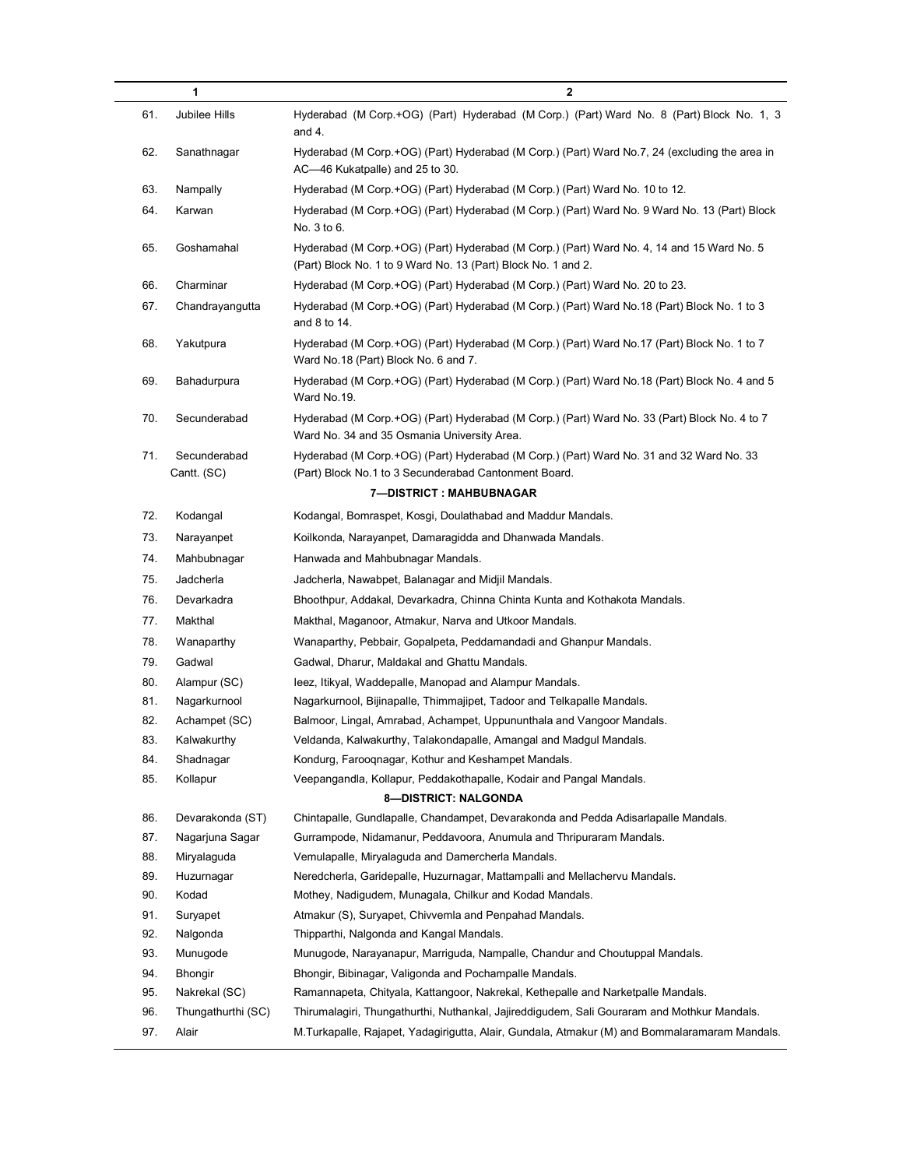|     | 1                           | $\mathbf 2$                                                                                                                                                |
|-----|-----------------------------|------------------------------------------------------------------------------------------------------------------------------------------------------------|
| 61. | Jubilee Hills               | Hyderabad (M Corp.+OG) (Part) Hyderabad (M Corp.) (Part) Ward No. 8 (Part) Block No. 1, 3<br>and 4.                                                        |
| 62. | Sanathnagar                 | Hyderabad (M Corp.+OG) (Part) Hyderabad (M Corp.) (Part) Ward No.7, 24 (excluding the area in<br>AC—46 Kukatpalle) and 25 to 30.                           |
| 63. | Nampally                    | Hyderabad (M Corp.+OG) (Part) Hyderabad (M Corp.) (Part) Ward No. 10 to 12.                                                                                |
| 64. | Karwan                      | Hyderabad (M Corp.+OG) (Part) Hyderabad (M Corp.) (Part) Ward No. 9 Ward No. 13 (Part) Block<br>No. 3 to 6.                                                |
| 65. | Goshamahal                  | Hyderabad (M Corp.+OG) (Part) Hyderabad (M Corp.) (Part) Ward No. 4, 14 and 15 Ward No. 5<br>(Part) Block No. 1 to 9 Ward No. 13 (Part) Block No. 1 and 2. |
| 66. | Charminar                   | Hyderabad (M Corp.+OG) (Part) Hyderabad (M Corp.) (Part) Ward No. 20 to 23.                                                                                |
| 67. | Chandrayangutta             | Hyderabad (M Corp.+OG) (Part) Hyderabad (M Corp.) (Part) Ward No.18 (Part) Block No. 1 to 3<br>and 8 to 14.                                                |
| 68. | Yakutpura                   | Hyderabad (M Corp.+OG) (Part) Hyderabad (M Corp.) (Part) Ward No.17 (Part) Block No. 1 to 7<br>Ward No.18 (Part) Block No. 6 and 7.                        |
| 69. | Bahadurpura                 | Hyderabad (M Corp.+OG) (Part) Hyderabad (M Corp.) (Part) Ward No.18 (Part) Block No. 4 and 5<br>Ward No.19.                                                |
| 70. | Secunderabad                | Hyderabad (M Corp.+OG) (Part) Hyderabad (M Corp.) (Part) Ward No. 33 (Part) Block No. 4 to 7<br>Ward No. 34 and 35 Osmania University Area.                |
| 71. | Secunderabad<br>Cantt. (SC) | Hyderabad (M Corp.+OG) (Part) Hyderabad (M Corp.) (Part) Ward No. 31 and 32 Ward No. 33<br>(Part) Block No.1 to 3 Secunderabad Cantonment Board.           |
|     |                             | 7-DISTRICT : MAHBUBNAGAR                                                                                                                                   |
| 72. | Kodangal                    | Kodangal, Bomraspet, Kosgi, Doulathabad and Maddur Mandals.                                                                                                |
| 73. | Narayanpet                  | Koilkonda, Narayanpet, Damaragidda and Dhanwada Mandals.                                                                                                   |
| 74. | Mahbubnagar                 | Hanwada and Mahbubnagar Mandals.                                                                                                                           |
| 75. | Jadcherla                   | Jadcherla, Nawabpet, Balanagar and Midjil Mandals.                                                                                                         |
| 76. | Devarkadra                  | Bhoothpur, Addakal, Devarkadra, Chinna Chinta Kunta and Kothakota Mandals.                                                                                 |
| 77. | Makthal                     | Makthal, Maganoor, Atmakur, Narva and Utkoor Mandals.                                                                                                      |
| 78. | Wanaparthy                  | Wanaparthy, Pebbair, Gopalpeta, Peddamandadi and Ghanpur Mandals.                                                                                          |
| 79. | Gadwal                      | Gadwal, Dharur, Maldakal and Ghattu Mandals.                                                                                                               |
| 80. | Alampur (SC)                | leez, Itikyal, Waddepalle, Manopad and Alampur Mandals.                                                                                                    |
| 81. | Nagarkurnool                | Nagarkurnool, Bijinapalle, Thimmajipet, Tadoor and Telkapalle Mandals.                                                                                     |
| 82. | Achampet (SC)               | Balmoor, Lingal, Amrabad, Achampet, Uppununthala and Vangoor Mandals.                                                                                      |
| 83. | Kalwakurthy                 | Veldanda, Kalwakurthy, Talakondapalle, Amangal and Madgul Mandals.                                                                                         |
| 84. | Shadnagar                   | Kondurg, Farooqnagar, Kothur and Keshampet Mandals.                                                                                                        |
| 85. | Kollapur                    | Veepangandla, Kollapur, Peddakothapalle, Kodair and Pangal Mandals.                                                                                        |
|     |                             | <b>8-DISTRICT: NALGONDA</b>                                                                                                                                |
| 86. | Devarakonda (ST)            | Chintapalle, Gundlapalle, Chandampet, Devarakonda and Pedda Adisarlapalle Mandals.                                                                         |
| 87. | Nagarjuna Sagar             | Gurrampode, Nidamanur, Peddavoora, Anumula and Thripuraram Mandals.                                                                                        |
| 88. | Miryalaguda                 | Vemulapalle, Miryalaguda and Damercherla Mandals.                                                                                                          |
| 89. | Huzurnagar                  | Neredcherla, Garidepalle, Huzurnagar, Mattampalli and Mellachervu Mandals.                                                                                 |
| 90. | Kodad                       | Mothey, Nadigudem, Munagala, Chilkur and Kodad Mandals.                                                                                                    |
| 91. | Suryapet                    | Atmakur (S), Suryapet, Chivvemla and Penpahad Mandals.                                                                                                     |
| 92. | Nalgonda                    | Thipparthi, Nalgonda and Kangal Mandals.                                                                                                                   |
| 93. | Munugode                    | Munugode, Narayanapur, Marriguda, Nampalle, Chandur and Choutuppal Mandals.                                                                                |
| 94. | Bhongir                     | Bhongir, Bibinagar, Valigonda and Pochampalle Mandals.                                                                                                     |
| 95. | Nakrekal (SC)               | Ramannapeta, Chityala, Kattangoor, Nakrekal, Kethepalle and Narketpalle Mandals.                                                                           |
| 96. | Thungathurthi (SC)          | Thirumalagiri, Thungathurthi, Nuthankal, Jajireddigudem, Sali Gouraram and Mothkur Mandals.                                                                |
| 97. | Alair                       | M.Turkapalle, Rajapet, Yadagirigutta, Alair, Gundala, Atmakur (M) and Bommalaramaram Mandals.                                                              |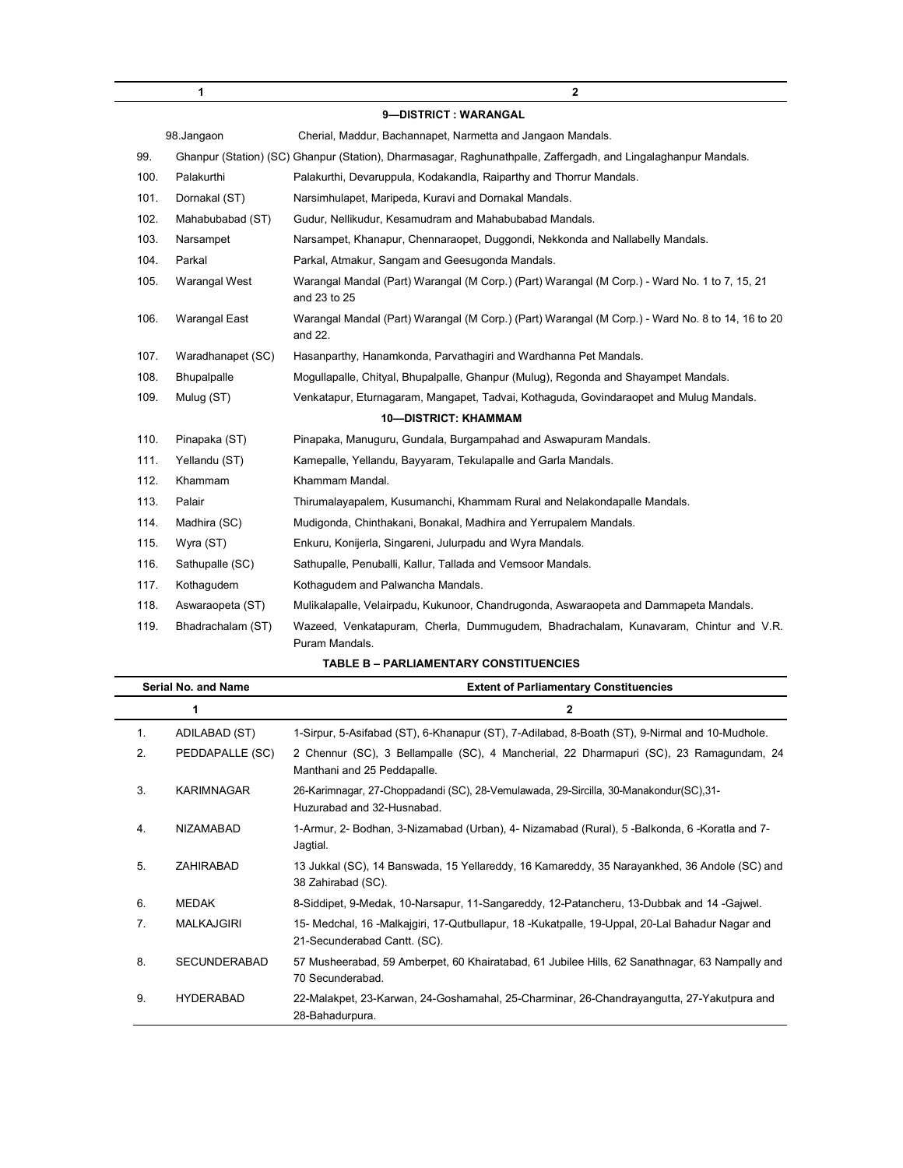|      | 1                 | $\overline{2}$                                                                                                 |
|------|-------------------|----------------------------------------------------------------------------------------------------------------|
|      |                   | 9-DISTRICT: WARANGAL                                                                                           |
|      | 98.Jangaon        | Cherial, Maddur, Bachannapet, Narmetta and Jangaon Mandals.                                                    |
| 99.  |                   | Ghanpur (Station) (SC) Ghanpur (Station), Dharmasagar, Raghunathpalle, Zaffergadh, and Lingalaghanpur Mandals. |
| 100. | Palakurthi        | Palakurthi, Devaruppula, Kodakandla, Raiparthy and Thorrur Mandals.                                            |
| 101. | Dornakal (ST)     | Narsimhulapet, Maripeda, Kuravi and Dornakal Mandals.                                                          |
| 102. | Mahabubabad (ST)  | Gudur, Nellikudur, Kesamudram and Mahabubabad Mandals.                                                         |
| 103. | Narsampet         | Narsampet, Khanapur, Chennaraopet, Duggondi, Nekkonda and Nallabelly Mandals.                                  |
| 104. | Parkal            | Parkal, Atmakur, Sangam and Geesugonda Mandals.                                                                |
| 105. | Warangal West     | Warangal Mandal (Part) Warangal (M Corp.) (Part) Warangal (M Corp.) - Ward No. 1 to 7, 15, 21<br>and 23 to 25  |
| 106. | Warangal East     | Warangal Mandal (Part) Warangal (M Corp.) (Part) Warangal (M Corp.) - Ward No. 8 to 14, 16 to 20<br>and 22.    |
| 107. | Waradhanapet (SC) | Hasanparthy, Hanamkonda, Parvathagiri and Wardhanna Pet Mandals.                                               |
| 108. | Bhupalpalle       | Mogullapalle, Chityal, Bhupalpalle, Ghanpur (Mulug), Regonda and Shayampet Mandals.                            |
| 109. | Mulug (ST)        | Venkatapur, Eturnagaram, Mangapet, Tadvai, Kothaguda, Govindaraopet and Mulug Mandals.                         |
|      |                   | <b>10-DISTRICT: KHAMMAM</b>                                                                                    |
| 110. | Pinapaka (ST)     | Pinapaka, Manuguru, Gundala, Burgampahad and Aswapuram Mandals.                                                |
| 111. | Yellandu (ST)     | Kamepalle, Yellandu, Bayyaram, Tekulapalle and Garla Mandals.                                                  |
| 112. | Khammam           | Khammam Mandal.                                                                                                |
| 113. | Palair            | Thirumalayapalem, Kusumanchi, Khammam Rural and Nelakondapalle Mandals.                                        |
| 114. | Madhira (SC)      | Mudigonda, Chinthakani, Bonakal, Madhira and Yerrupalem Mandals.                                               |
| 115. | Wyra (ST)         | Enkuru, Konijerla, Singareni, Julurpadu and Wyra Mandals.                                                      |
| 116. | Sathupalle (SC)   | Sathupalle, Penuballi, Kallur, Tallada and Vemsoor Mandals.                                                    |
| 117. | Kothagudem        | Kothagudem and Palwancha Mandals.                                                                              |
| 118. | Aswaraopeta (ST)  | Mulikalapalle, Velairpadu, Kukunoor, Chandrugonda, Aswaraopeta and Dammapeta Mandals.                          |
| 119. | Bhadrachalam (ST) | Wazeed, Venkatapuram, Cherla, Dummuqudem, Bhadrachalam, Kunavaram, Chintur and V.R.<br>Puram Mandals.          |

| Serial No. and Name |                     | <b>Extent of Parliamentary Constituencies</b>                                                                                   |  |
|---------------------|---------------------|---------------------------------------------------------------------------------------------------------------------------------|--|
|                     | 1                   | $\mathbf{2}$                                                                                                                    |  |
| 1.                  | ADILABAD (ST)       | 1-Sirpur, 5-Asifabad (ST), 6-Khanapur (ST), 7-Adilabad, 8-Boath (ST), 9-Nirmal and 10-Mudhole.                                  |  |
| 2.                  | PEDDAPALLE (SC)     | 2 Chennur (SC), 3 Bellampalle (SC), 4 Mancherial, 22 Dharmapuri (SC), 23 Ramagundam, 24<br>Manthani and 25 Peddapalle.          |  |
| 3.                  | KARIMNAGAR          | 26-Karimnagar, 27-Choppadandi (SC), 28-Vemulawada, 29-Sircilla, 30-Manakondur(SC), 31-<br>Huzurabad and 32-Husnabad.            |  |
| 4.                  | NIZAMABAD           | 1-Armur, 2- Bodhan, 3-Nizamabad (Urban), 4- Nizamabad (Rural), 5 -Balkonda, 6 -Koratla and 7-<br>Jagtial.                       |  |
| 5.                  | <b>ZAHIRABAD</b>    | 13 Jukkal (SC), 14 Banswada, 15 Yellareddy, 16 Kamareddy, 35 Narayankhed, 36 Andole (SC) and<br>38 Zahirabad (SC).              |  |
| 6.                  | <b>MEDAK</b>        | 8-Siddipet, 9-Medak, 10-Narsapur, 11-Sangareddy, 12-Patancheru, 13-Dubbak and 14-Gajwel.                                        |  |
| 7.                  | <b>MALKAJGIRI</b>   | 15- Medchal, 16 -Malkajgiri, 17-Qutbullapur, 18 -Kukatpalle, 19-Uppal, 20-Lal Bahadur Nagar and<br>21-Secunderabad Cantt. (SC). |  |
| 8.                  | <b>SECUNDERABAD</b> | 57 Musheerabad, 59 Amberpet, 60 Khairatabad, 61 Jubilee Hills, 62 Sanathnagar, 63 Nampally and<br>70 Secunderabad.              |  |
| 9.                  | <b>HYDERABAD</b>    | 22-Malakpet, 23-Karwan, 24-Goshamahal, 25-Charminar, 26-Chandrayangutta, 27-Yakutpura and<br>28-Bahadurpura.                    |  |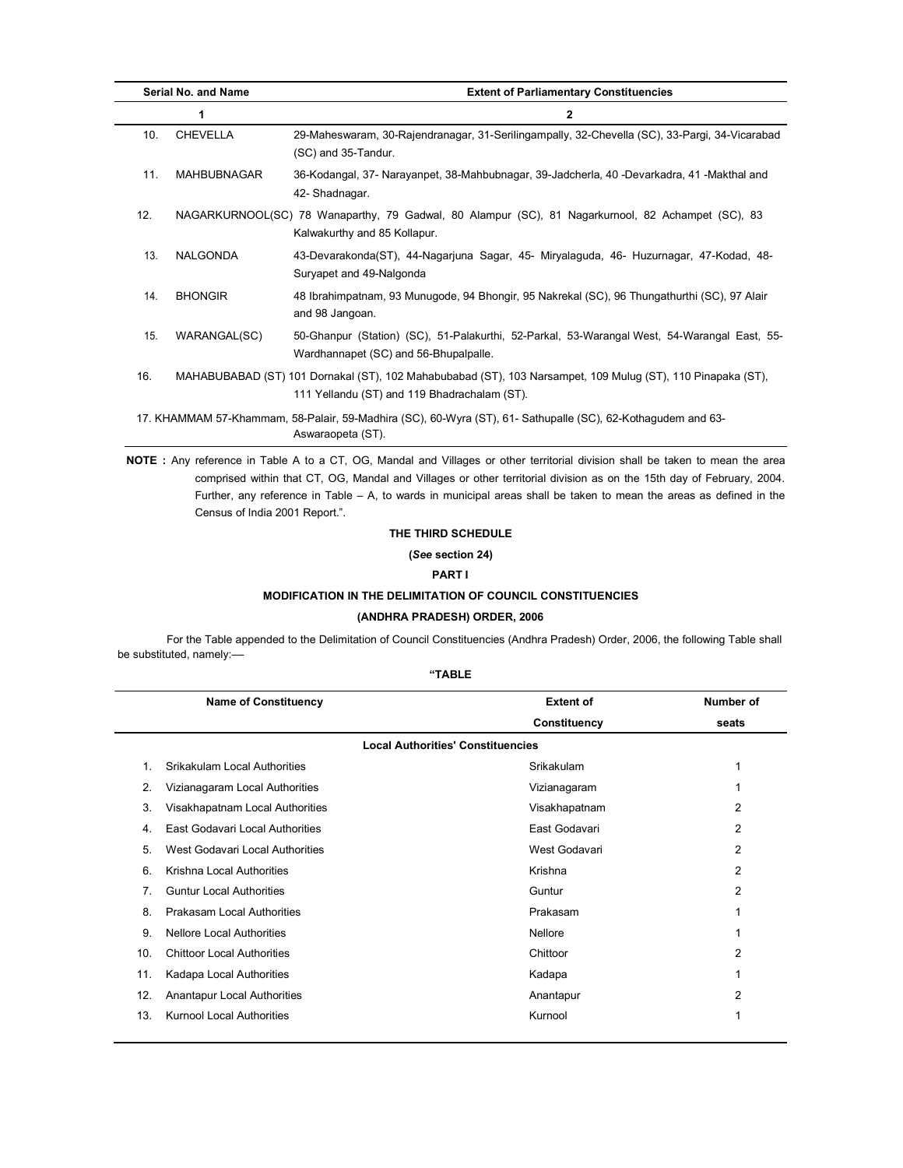| Serial No. and Name |                 | <b>Extent of Parliamentary Constituencies</b>                                                                                                               |  |
|---------------------|-----------------|-------------------------------------------------------------------------------------------------------------------------------------------------------------|--|
|                     |                 | $\mathbf{2}$                                                                                                                                                |  |
| 10.                 | <b>CHEVELLA</b> | 29-Maheswaram, 30-Rajendranagar, 31-Serilingampally, 32-Chevella (SC), 33-Pargi, 34-Vicarabad<br>(SC) and 35-Tandur.                                        |  |
| 11.                 | MAHBUBNAGAR     | 36-Kodangal, 37- Narayanpet, 38-Mahbubnagar, 39-Jadcherla, 40 -Devarkadra, 41 -Makthal and<br>42- Shadnagar.                                                |  |
| 12.                 |                 | NAGARKURNOOL(SC) 78 Wanaparthy, 79 Gadwal, 80 Alampur (SC), 81 Nagarkurnool, 82 Achampet (SC), 83<br>Kalwakurthy and 85 Kollapur.                           |  |
| 13.                 | NALGONDA        | 43-Devarakonda(ST), 44-Nagarjuna Sagar, 45- Miryalaguda, 46- Huzurnagar, 47-Kodad, 48-<br>Suryapet and 49-Nalgonda                                          |  |
| 14.                 | <b>BHONGIR</b>  | 48 Ibrahimpatnam, 93 Munugode, 94 Bhongir, 95 Nakrekal (SC), 96 Thungathurthi (SC), 97 Alair<br>and 98 Jangoan.                                             |  |
| 15.                 | WARANGAL(SC)    | 50-Ghanpur (Station) (SC), 51-Palakurthi, 52-Parkal, 53-Warangal West, 54-Warangal East, 55-<br>Wardhannapet (SC) and 56-Bhupalpalle.                       |  |
| 16.                 |                 | MAHABUBABAD (ST) 101 Dornakal (ST), 102 Mahabubabad (ST), 103 Narsampet, 109 Mulug (ST), 110 Pinapaka (ST),<br>111 Yellandu (ST) and 119 Bhadrachalam (ST). |  |
|                     |                 | 17. KHAMMAM 57-Khammam, 58-Palair, 59-Madhira (SC), 60-Wyra (ST), 61- Sathupalle (SC), 62-Kothagudem and 63-<br>Aswaraopeta (ST).                           |  |

NOTE : Any reference in Table A to a CT, OG, Mandal and Villages or other territorial division shall be taken to mean the area comprised within that CT, OG, Mandal and Villages or other territorial division as on the 15th day of February, 2004. Further, any reference in Table – A, to wards in municipal areas shall be taken to mean the areas as defined in the Census of India 2001 Report.".

# THE THIRD SCHEDULE

(See section 24)

# PART I

# MODIFICATION IN THE DELIMITATION OF COUNCIL CONSTITUENCIES

# (ANDHRA PRADESH) ORDER, 2006

For the Table appended to the Delimitation of Council Constituencies (Andhra Pradesh) Order, 2006, the following Table shall be substituted, namely:-

|                | <b>Name of Constituency</b>        | <b>Extent of</b>                         | Number of      |
|----------------|------------------------------------|------------------------------------------|----------------|
|                |                                    | Constituency                             | seats          |
|                |                                    | <b>Local Authorities' Constituencies</b> |                |
| $\mathbf{1}$ . | Srikakulam Local Authorities       | Srikakulam                               | 1              |
| 2.             | Vizianagaram Local Authorities     | Vizianagaram                             |                |
| 3.             | Visakhapatnam Local Authorities    | Visakhapatnam                            | 2              |
| 4.             | East Godavari Local Authorities    | East Godavari                            | $\overline{2}$ |
| 5.             | West Godavari Local Authorities    | West Godavari                            | 2              |
| 6.             | Krishna Local Authorities          | Krishna                                  | $\overline{2}$ |
| 7.             | <b>Guntur Local Authorities</b>    | Guntur                                   | 2              |
| 8.             | Prakasam Local Authorities         | Prakasam                                 | 1              |
| 9.             | <b>Nellore Local Authorities</b>   | Nellore                                  | 1              |
| 10.            | <b>Chittoor Local Authorities</b>  | Chittoor                                 | 2              |
| 11.            | Kadapa Local Authorities           | Kadapa                                   | 1              |
| 12.            | <b>Anantapur Local Authorities</b> | Anantapur                                | 2              |
| 13.            | <b>Kurnool Local Authorities</b>   | Kurnool                                  | 1              |
|                |                                    |                                          |                |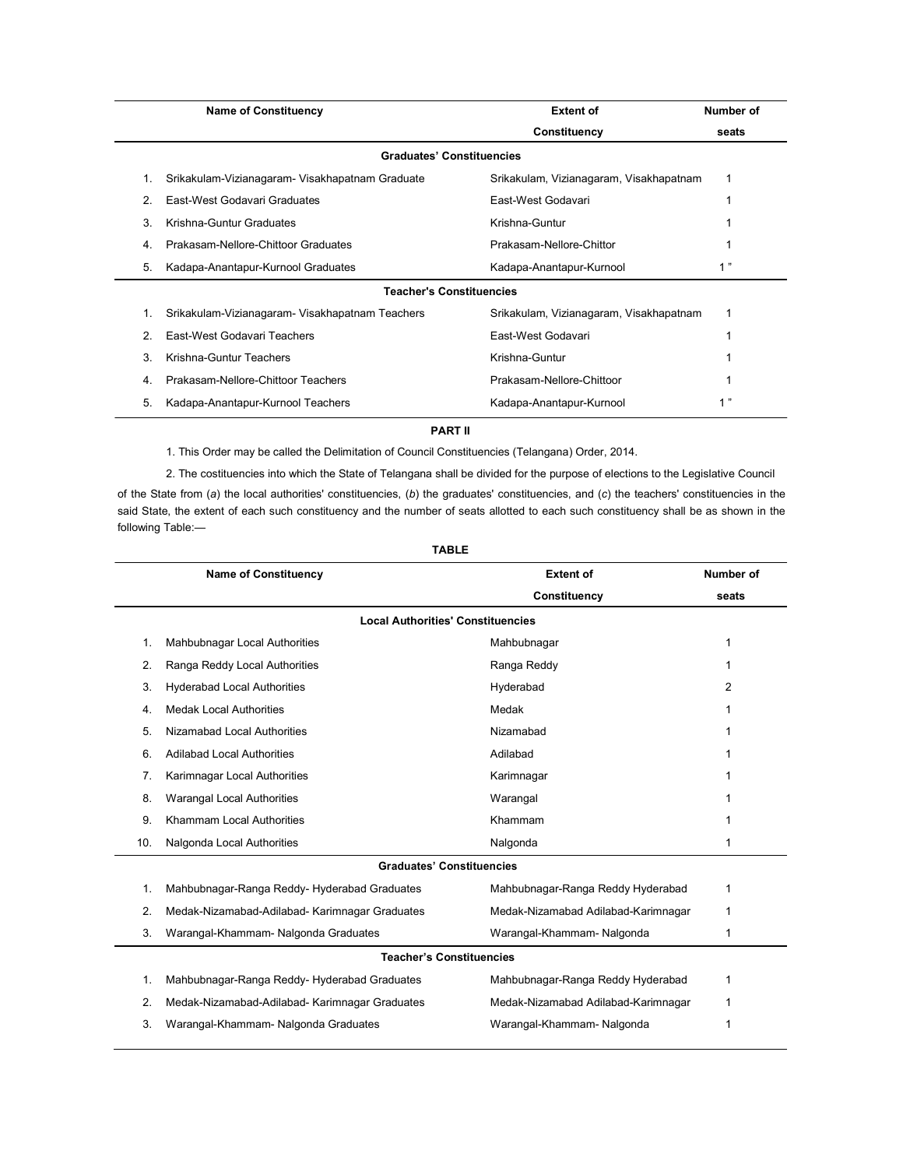|    | <b>Name of Constituency</b>                     | <b>Extent of</b>                        | Number of |
|----|-------------------------------------------------|-----------------------------------------|-----------|
|    |                                                 | Constituency                            | seats     |
|    | <b>Graduates' Constituencies</b>                |                                         |           |
|    | Srikakulam-Vizianagaram- Visakhapatnam Graduate | Srikakulam, Vizianagaram, Visakhapatnam |           |
| 2. | East-West Godavari Graduates                    | <b>Fast-West Godavari</b>               |           |
| 3. | Krishna-Guntur Graduates                        | Krishna-Guntur                          |           |
| 4. | Prakasam-Nellore-Chittoor Graduates             | Prakasam-Nellore-Chittor                |           |
| 5. | Kadapa-Anantapur-Kurnool Graduates              | Kadapa-Anantapur-Kurnool                | 1"        |
|    | <b>Teacher's Constituencies</b>                 |                                         |           |
|    | Srikakulam-Vizianagaram- Visakhapatnam Teachers | Srikakulam, Vizianagaram, Visakhapatnam | 1         |
| 2. | East-West Godavari Teachers                     | East-West Godavari                      |           |
| 3. | Krishna-Guntur Teachers                         | Krishna-Guntur                          |           |
| 4  | Prakasam-Nellore-Chittoor Teachers              | Prakasam-Nellore-Chittoor               |           |
| 5. | Kadapa-Anantapur-Kurnool Teachers               | Kadapa-Anantapur-Kurnool                | "<br>1    |

# PART II

1. This Order may be called the Delimitation of Council Constituencies (Telangana) Order, 2014.

2. The costituencies into which the State of Telangana shall be divided for the purpose of elections to the Legislative Council of the State from (a) the local authorities' constituencies, (b) the graduates' constituencies, and (c) the teachers' constituencies in the said State, the extent of each such constituency and the number of seats allotted to each such constituency shall be as shown in the following Table:—

|                                  | <b>Name of Constituency</b>                    | <b>Extent of</b>                    | Number of |  |
|----------------------------------|------------------------------------------------|-------------------------------------|-----------|--|
|                                  |                                                | Constituency                        | seats     |  |
|                                  | <b>Local Authorities' Constituencies</b>       |                                     |           |  |
| 1.                               | Mahbubnagar Local Authorities                  | Mahbubnagar                         | 1         |  |
| 2.                               | Ranga Reddy Local Authorities                  | Ranga Reddy                         | 1         |  |
| 3.                               | <b>Hyderabad Local Authorities</b>             | Hyderabad                           | 2         |  |
| 4.                               | <b>Medak Local Authorities</b>                 | Medak                               | 1         |  |
| 5.                               | Nizamabad Local Authorities                    | Nizamabad                           | 1         |  |
| 6.                               | <b>Adilabad Local Authorities</b>              | Adilabad                            | 1         |  |
| 7 <sub>1</sub>                   | Karimnagar Local Authorities                   | Karimnagar                          | 1         |  |
| 8.                               | <b>Warangal Local Authorities</b>              | Warangal                            | 1         |  |
| 9.                               | Khammam Local Authorities                      | Khammam                             | 1         |  |
| 10.                              | Nalgonda Local Authorities                     | Nalgonda                            | 1         |  |
| <b>Graduates' Constituencies</b> |                                                |                                     |           |  |
| 1.                               | Mahbubnagar-Ranga Reddy-Hyderabad Graduates    | Mahbubnagar-Ranga Reddy Hyderabad   | 1         |  |
| 2.                               | Medak-Nizamabad-Adilabad- Karimnagar Graduates | Medak-Nizamabad Adilabad-Karimnagar | 1         |  |
| 3.                               | Warangal-Khammam- Nalgonda Graduates           | Warangal-Khammam-Nalgonda           | 1         |  |
| <b>Teacher's Constituencies</b>  |                                                |                                     |           |  |
| $\mathbf{1}$ .                   | Mahbubnagar-Ranga Reddy-Hyderabad Graduates    | Mahbubnagar-Ranga Reddy Hyderabad   | 1         |  |
| 2.                               | Medak-Nizamabad-Adilabad- Karimnagar Graduates | Medak-Nizamabad Adilabad-Karimnagar | 1         |  |
| 3.                               | Warangal-Khammam- Nalgonda Graduates           | Warangal-Khammam-Nalgonda           | 1         |  |
|                                  |                                                |                                     |           |  |

# TABLE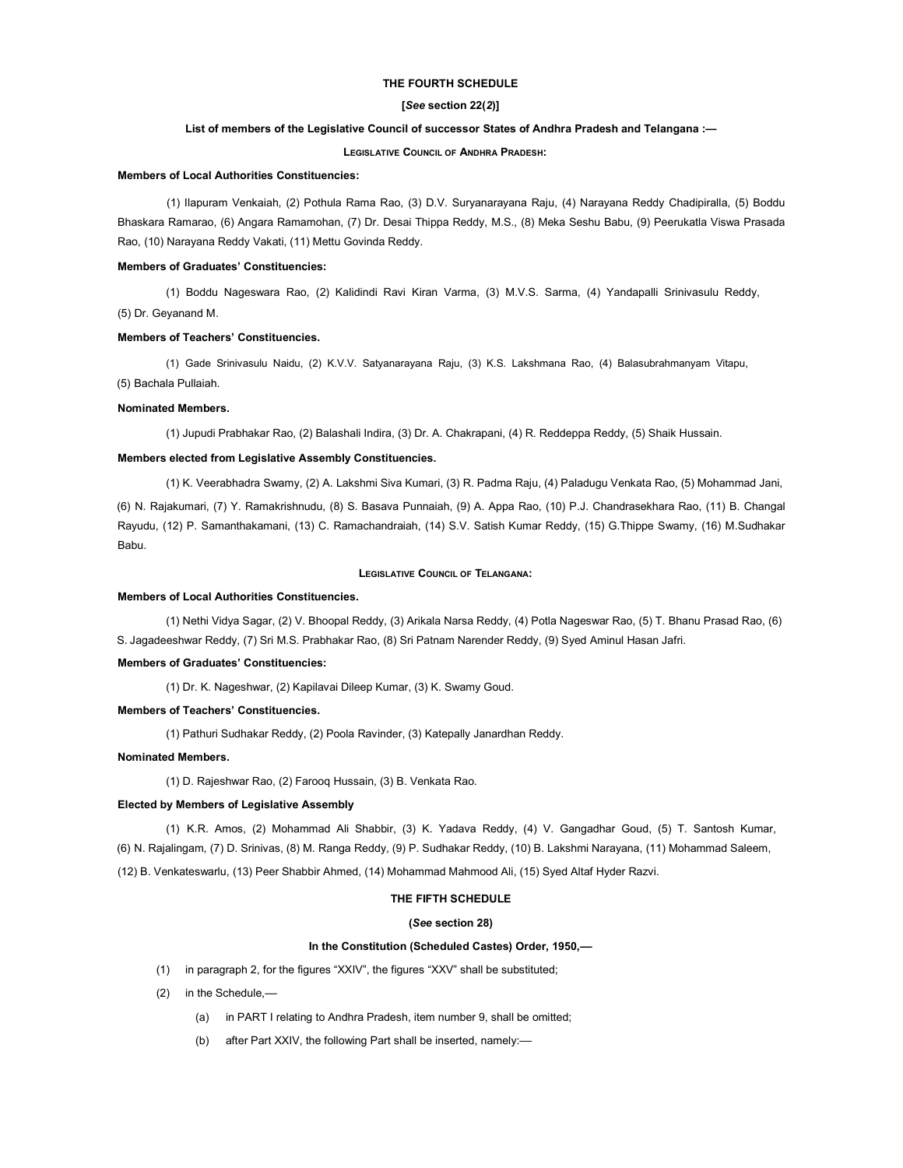# THE FOURTH SCHEDULE

# [See section 22(2)]

# List of members of the Legislative Council of successor States of Andhra Pradesh and Telangana :—

### LEGISLATIVE COUNCIL OF ANDHRA PRADESH:

### Members of Local Authorities Constituencies:

(1) Ilapuram Venkaiah, (2) Pothula Rama Rao, (3) D.V. Suryanarayana Raju, (4) Narayana Reddy Chadipiralla, (5) Boddu Bhaskara Ramarao, (6) Angara Ramamohan, (7) Dr. Desai Thippa Reddy, M.S., (8) Meka Seshu Babu, (9) Peerukatla Viswa Prasada Rao, (10) Narayana Reddy Vakati, (11) Mettu Govinda Reddy.

#### Members of Graduates' Constituencies:

(1) Boddu Nageswara Rao, (2) Kalidindi Ravi Kiran Varma, (3) M.V.S. Sarma, (4) Yandapalli Srinivasulu Reddy,

(5) Dr. Geyanand M.

# Members of Teachers' Constituencies.

(1) Gade Srinivasulu Naidu, (2) K.V.V. Satyanarayana Raju, (3) K.S. Lakshmana Rao, (4) Balasubrahmanyam Vitapu,

(5) Bachala Pullaiah.

### Nominated Members.

(1) Jupudi Prabhakar Rao, (2) Balashali Indira, (3) Dr. A. Chakrapani, (4) R. Reddeppa Reddy, (5) Shaik Hussain.

#### Members elected from Legislative Assembly Constituencies.

(1) K. Veerabhadra Swamy, (2) A. Lakshmi Siva Kumari, (3) R. Padma Raju, (4) Paladugu Venkata Rao, (5) Mohammad Jani,

(6) N. Rajakumari, (7) Y. Ramakrishnudu, (8) S. Basava Punnaiah, (9) A. Appa Rao, (10) P.J. Chandrasekhara Rao, (11) B. Changal Rayudu, (12) P. Samanthakamani, (13) C. Ramachandraiah, (14) S.V. Satish Kumar Reddy, (15) G.Thippe Swamy, (16) M.Sudhakar Babu.

# LEGISLATIVE COUNCIL OF TELANGANA:

#### Members of Local Authorities Constituencies.

(1) Nethi Vidya Sagar, (2) V. Bhoopal Reddy, (3) Arikala Narsa Reddy, (4) Potla Nageswar Rao, (5) T. Bhanu Prasad Rao, (6) S. Jagadeeshwar Reddy, (7) Sri M.S. Prabhakar Rao, (8) Sri Patnam Narender Reddy, (9) Syed Aminul Hasan Jafri.

# Members of Graduates' Constituencies:

(1) Dr. K. Nageshwar, (2) Kapilavai Dileep Kumar, (3) K. Swamy Goud.

#### Members of Teachers' Constituencies.

(1) Pathuri Sudhakar Reddy, (2) Poola Ravinder, (3) Katepally Janardhan Reddy.

# Nominated Members.

(1) D. Rajeshwar Rao, (2) Farooq Hussain, (3) B. Venkata Rao.

### Elected by Members of Legislative Assembly

(1) K.R. Amos, (2) Mohammad Ali Shabbir, (3) K. Yadava Reddy, (4) V. Gangadhar Goud, (5) T. Santosh Kumar, (6) N. Rajalingam, (7) D. Srinivas, (8) M. Ranga Reddy, (9) P. Sudhakar Reddy, (10) B. Lakshmi Narayana, (11) Mohammad Saleem,

(12) B. Venkateswarlu, (13) Peer Shabbir Ahmed, (14) Mohammad Mahmood Ali, (15) Syed Altaf Hyder Razvi.

# THE FIFTH SCHEDULE

# (See section 28)

# In the Constitution (Scheduled Castes) Order, 1950,––

- (1) in paragraph 2, for the figures "XXIV", the figures "XXV" shall be substituted;
- (2) in the Schedule,––
	- (a) in PART I relating to Andhra Pradesh, item number 9, shall be omitted;
	- (b) after Part XXIV, the following Part shall be inserted, namely:––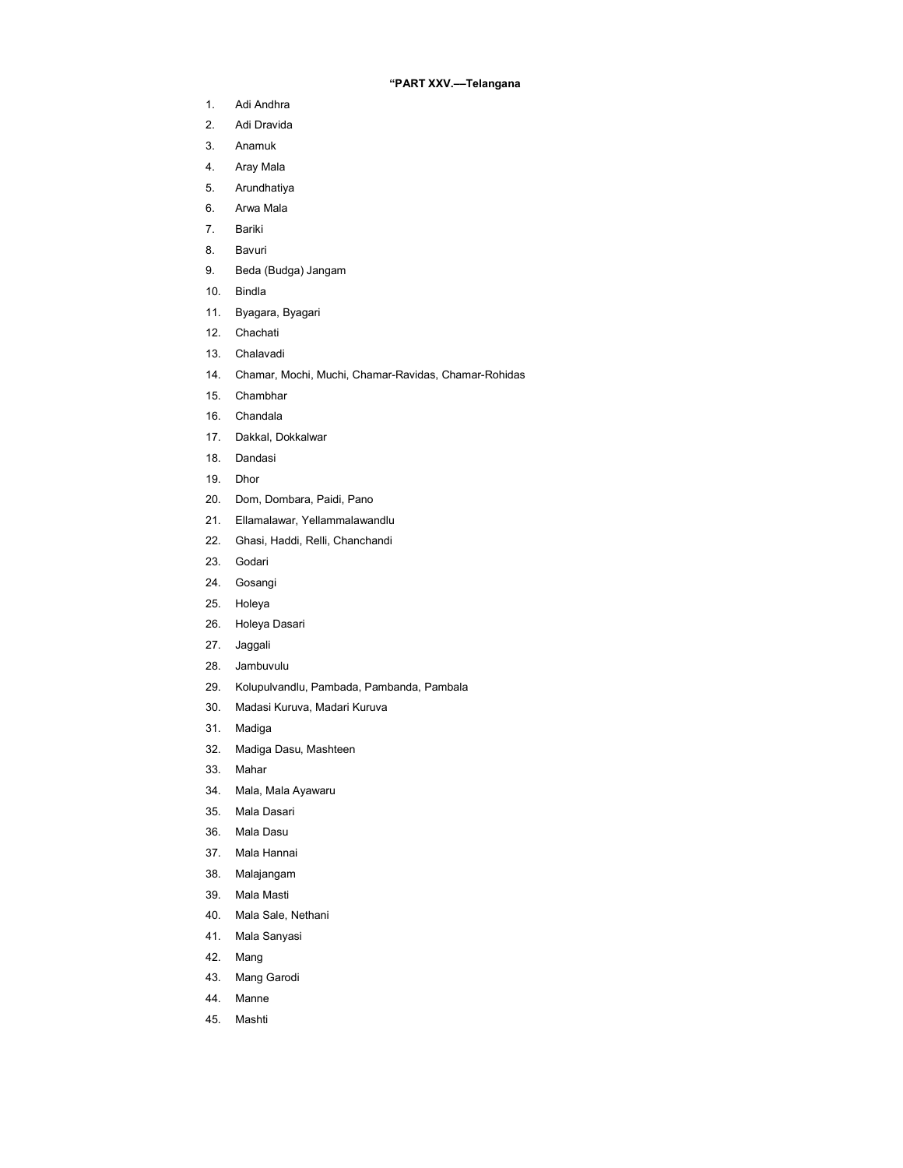# "PART XXV.––Telangana

- 1. Adi Andhra
- 2. Adi Dravida
- 3. Anamuk
- 4. Aray Mala
- 5. Arundhatiya
- 6. Arwa Mala
- 7. Bariki
- 8. Bavuri
- 9. Beda (Budga) Jangam
- 10. Bindla
- 11. Byagara, Byagari
- 12. Chachati
- 13. Chalavadi
- 14. Chamar, Mochi, Muchi, Chamar-Ravidas, Chamar-Rohidas
- 15. Chambhar
- 16. Chandala
- 17. Dakkal, Dokkalwar
- 18. Dandasi
- 19. Dhor
- 20. Dom, Dombara, Paidi, Pano
- 21. Ellamalawar, Yellammalawandlu
- 22. Ghasi, Haddi, Relli, Chanchandi
- 23. Godari
- 24. Gosangi
- 25. Holeya
- 26. Holeya Dasari
- 27. Jaggali
- 28. Jambuvulu
- 29. Kolupulvandlu, Pambada, Pambanda, Pambala
- 30. Madasi Kuruva, Madari Kuruva
- 31. Madiga
- 32. Madiga Dasu, Mashteen
- 33. Mahar
- 34. Mala, Mala Ayawaru
- 35. Mala Dasari
- 36. Mala Dasu
- 37. Mala Hannai
- 38. Malajangam
- 39. Mala Masti
- 40. Mala Sale, Nethani
- 41. Mala Sanyasi
- 42. Mang
- 43. Mang Garodi
- 44. Manne
- 45. Mashti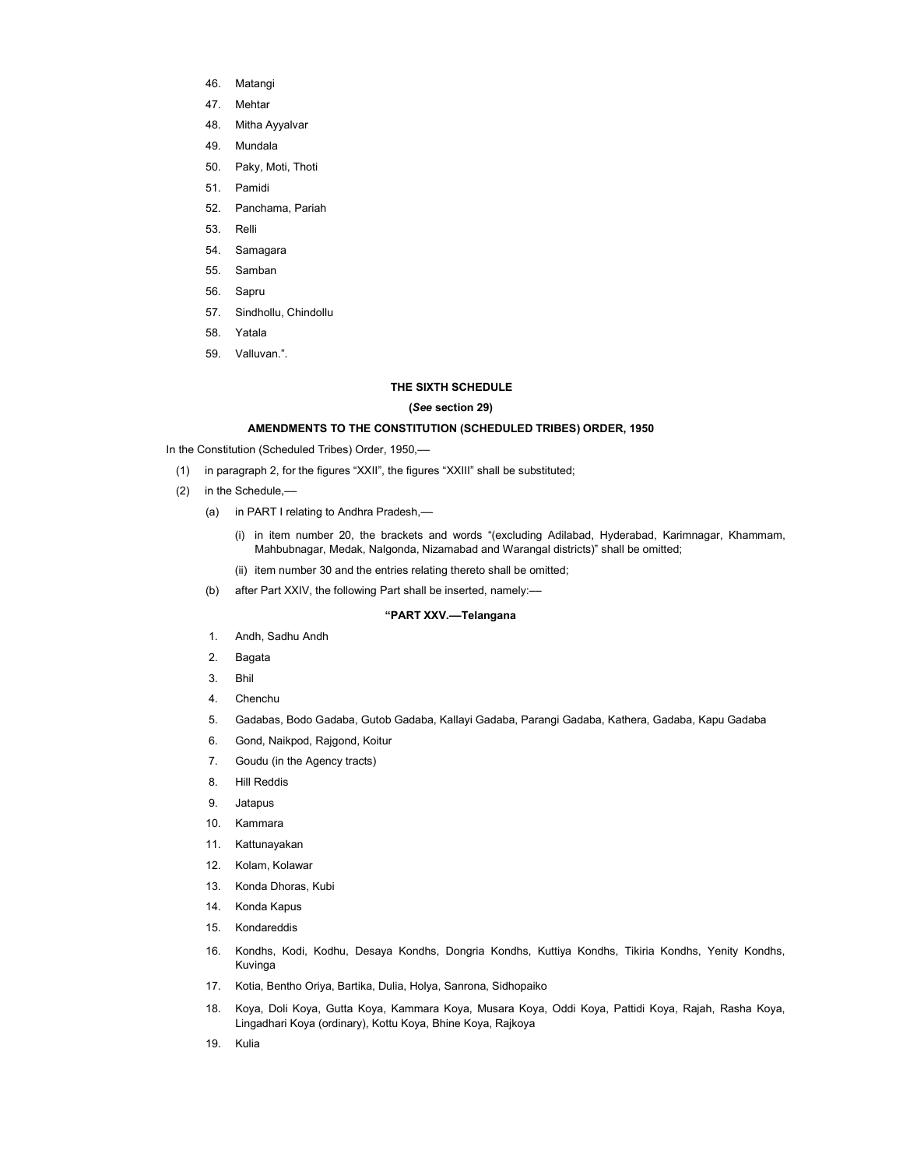- 46. Matangi
- 47. Mehtar
- 48. Mitha Ayyalvar
- 49. Mundala
- 50. Paky, Moti, Thoti
- 51. Pamidi
- 52. Panchama, Pariah
- 53. Relli
- 54. Samagara
- 55. Samban
- 56. Sapru
- 57. Sindhollu, Chindollu
- 58. Yatala
- 59. Valluvan.".

# THE SIXTH SCHEDULE

# (See section 29)

# AMENDMENTS TO THE CONSTITUTION (SCHEDULED TRIBES) ORDER, 1950

In the Constitution (Scheduled Tribes) Order, 1950,-

- (1) in paragraph 2, for the figures "XXII", the figures "XXIII" shall be substituted;
- (2) in the Schedule,––
	- (a) in PART I relating to Andhra Pradesh,-
		- (i) in item number 20, the brackets and words "(excluding Adilabad, Hyderabad, Karimnagar, Khammam, Mahbubnagar, Medak, Nalgonda, Nizamabad and Warangal districts)" shall be omitted;
		- (ii) item number 30 and the entries relating thereto shall be omitted;
	- (b) after Part XXIV, the following Part shall be inserted, namely:-

# "PART XXV.––Telangana

- 1. Andh, Sadhu Andh
- 2. Bagata
- 3. Bhil
- 4. Chenchu
- 5. Gadabas, Bodo Gadaba, Gutob Gadaba, Kallayi Gadaba, Parangi Gadaba, Kathera, Gadaba, Kapu Gadaba
- 6. Gond, Naikpod, Rajgond, Koitur
- 7. Goudu (in the Agency tracts)
- 8. Hill Reddis
- 9. Jatapus
- 10. Kammara
- 11. Kattunayakan
- 12. Kolam, Kolawar
- 13. Konda Dhoras, Kubi
- 14. Konda Kapus
- 15. Kondareddis
- 16. Kondhs, Kodi, Kodhu, Desaya Kondhs, Dongria Kondhs, Kuttiya Kondhs, Tikiria Kondhs, Yenity Kondhs, Kuvinga
- 17. Kotia, Bentho Oriya, Bartika, Dulia, Holya, Sanrona, Sidhopaiko
- 18. Koya, Doli Koya, Gutta Koya, Kammara Koya, Musara Koya, Oddi Koya, Pattidi Koya, Rajah, Rasha Koya, Lingadhari Koya (ordinary), Kottu Koya, Bhine Koya, Rajkoya
- 19. Kulia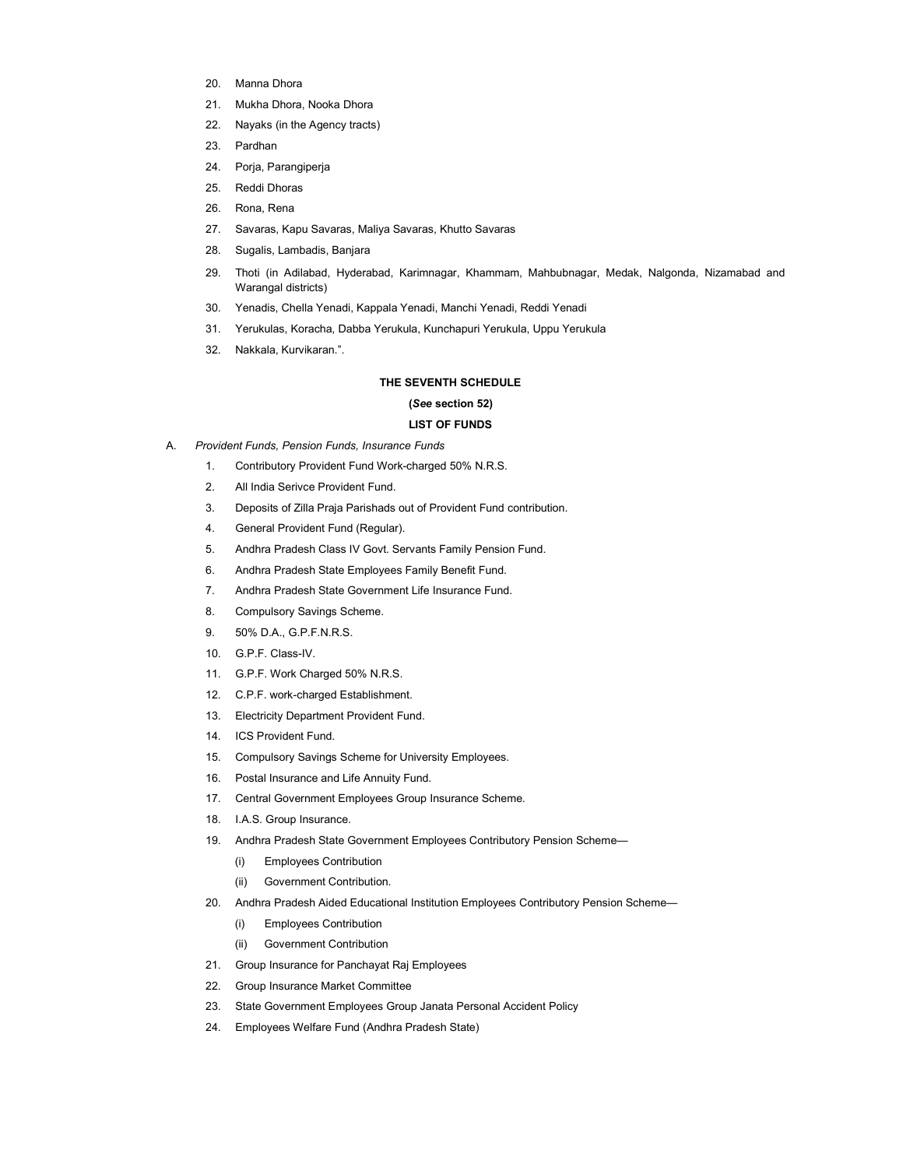- 20. Manna Dhora
- 21. Mukha Dhora, Nooka Dhora
- 22. Nayaks (in the Agency tracts)
- 23. Pardhan
- 24. Porja, Parangiperja
- 25. Reddi Dhoras
- 26. Rona, Rena
- 27. Savaras, Kapu Savaras, Maliya Savaras, Khutto Savaras
- 28. Sugalis, Lambadis, Banjara
- 29. Thoti (in Adilabad, Hyderabad, Karimnagar, Khammam, Mahbubnagar, Medak, Nalgonda, Nizamabad and Warangal districts)
- 30. Yenadis, Chella Yenadi, Kappala Yenadi, Manchi Yenadi, Reddi Yenadi
- 31. Yerukulas, Koracha, Dabba Yerukula, Kunchapuri Yerukula, Uppu Yerukula
- 32. Nakkala, Kurvikaran.".

# THE SEVENTH SCHEDULE

# (See section 52)

# LIST OF FUNDS

- A. Provident Funds, Pension Funds, Insurance Funds
	- 1. Contributory Provident Fund Work-charged 50% N.R.S.
	- 2. All India Serivce Provident Fund.
	- 3. Deposits of Zilla Praja Parishads out of Provident Fund contribution.
	- 4. General Provident Fund (Regular).
	- 5. Andhra Pradesh Class IV Govt. Servants Family Pension Fund.
	- 6. Andhra Pradesh State Employees Family Benefit Fund.
	- 7. Andhra Pradesh State Government Life Insurance Fund.
	- 8. Compulsory Savings Scheme.
	- 9. 50% D.A., G.P.F.N.R.S.
	- 10. G.P.F. Class-IV.
	- 11. G.P.F. Work Charged 50% N.R.S.
	- 12. C.P.F. work-charged Establishment.
	- 13. Electricity Department Provident Fund.
	- 14. ICS Provident Fund.
	- 15. Compulsory Savings Scheme for University Employees.
	- 16. Postal Insurance and Life Annuity Fund.
	- 17. Central Government Employees Group Insurance Scheme.
	- 18. I.A.S. Group Insurance.
	- 19. Andhra Pradesh State Government Employees Contributory Pension Scheme—
		- (i) Employees Contribution
		- (ii) Government Contribution.
	- 20. Andhra Pradesh Aided Educational Institution Employees Contributory Pension Scheme—
		- (i) Employees Contribution
		- (ii) Government Contribution
	- 21. Group Insurance for Panchayat Raj Employees
	- 22. Group Insurance Market Committee
	- 23. State Government Employees Group Janata Personal Accident Policy
	- 24. Employees Welfare Fund (Andhra Pradesh State)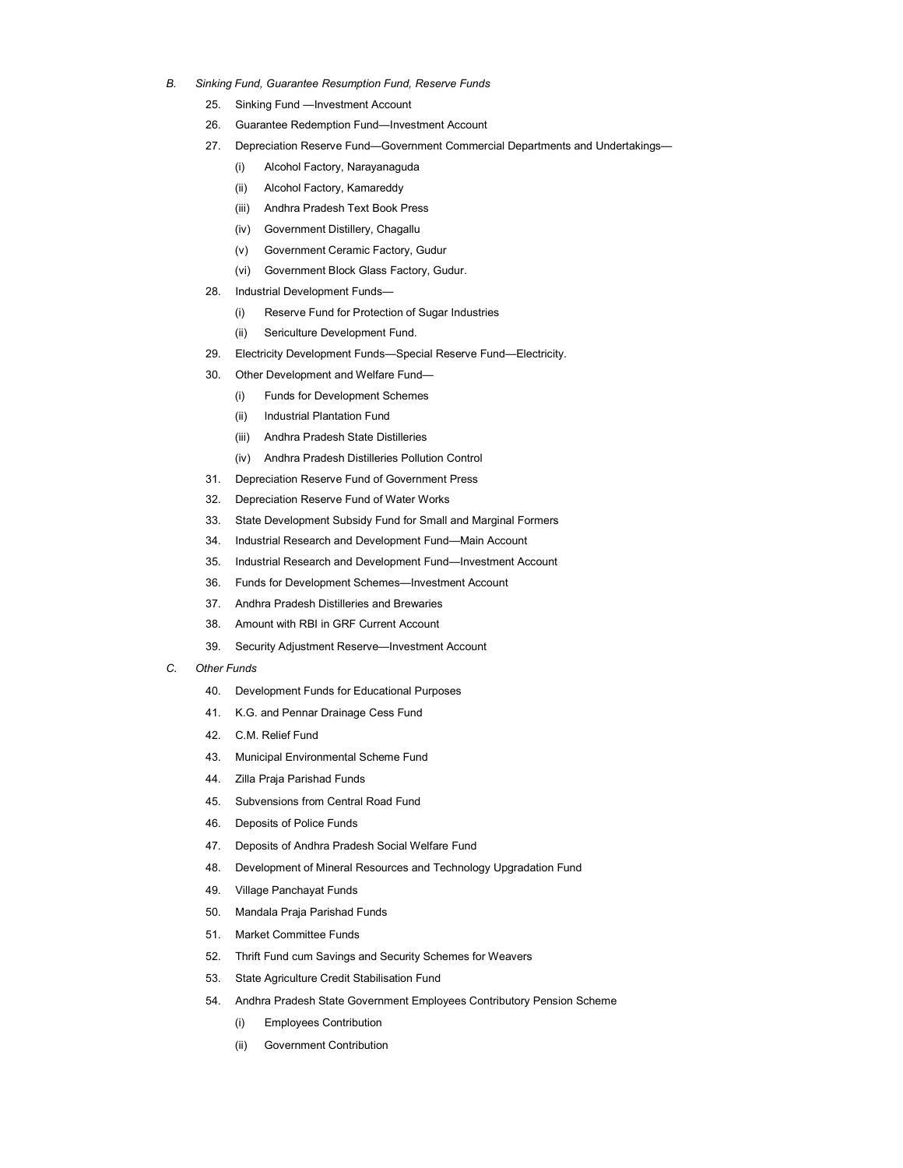- B. Sinking Fund, Guarantee Resumption Fund, Reserve Funds
	- 25. Sinking Fund —Investment Account
	- 26. Guarantee Redemption Fund—Investment Account
	- 27. Depreciation Reserve Fund—Government Commercial Departments and Undertakings—
		- (i) Alcohol Factory, Narayanaguda
		- (ii) Alcohol Factory, Kamareddy
		- (iii) Andhra Pradesh Text Book Press
		- (iv) Government Distillery, Chagallu
		- (v) Government Ceramic Factory, Gudur
		- (vi) Government Block Glass Factory, Gudur.
	- 28. Industrial Development Funds—
		- (i) Reserve Fund for Protection of Sugar Industries
		- (ii) Sericulture Development Fund.
	- 29. Electricity Development Funds—Special Reserve Fund—Electricity.
	- 30. Other Development and Welfare Fund—
		- (i) Funds for Development Schemes
		- (ii) Industrial Plantation Fund
		- (iii) Andhra Pradesh State Distilleries
		- (iv) Andhra Pradesh Distilleries Pollution Control
	- 31. Depreciation Reserve Fund of Government Press
	- 32. Depreciation Reserve Fund of Water Works
	- 33. State Development Subsidy Fund for Small and Marginal Formers
	- 34. Industrial Research and Development Fund—Main Account
	- 35. Industrial Research and Development Fund—Investment Account
	- 36. Funds for Development Schemes—Investment Account
	- 37. Andhra Pradesh Distilleries and Brewaries
	- 38. Amount with RBI in GRF Current Account
	- 39. Security Adjustment Reserve—Investment Account
- C. Other Funds
	- 40. Development Funds for Educational Purposes
	- 41. K.G. and Pennar Drainage Cess Fund
	- 42. C.M. Relief Fund
	- 43. Municipal Environmental Scheme Fund
	- 44. Zilla Praja Parishad Funds
	- 45. Subvensions from Central Road Fund
	- 46. Deposits of Police Funds
	- 47. Deposits of Andhra Pradesh Social Welfare Fund
	- 48. Development of Mineral Resources and Technology Upgradation Fund
	- 49. Village Panchayat Funds
	- 50. Mandala Praja Parishad Funds
	- 51. Market Committee Funds
	- 52. Thrift Fund cum Savings and Security Schemes for Weavers
	- 53. State Agriculture Credit Stabilisation Fund
	- 54. Andhra Pradesh State Government Employees Contributory Pension Scheme
		- (i) Employees Contribution
		- (ii) Government Contribution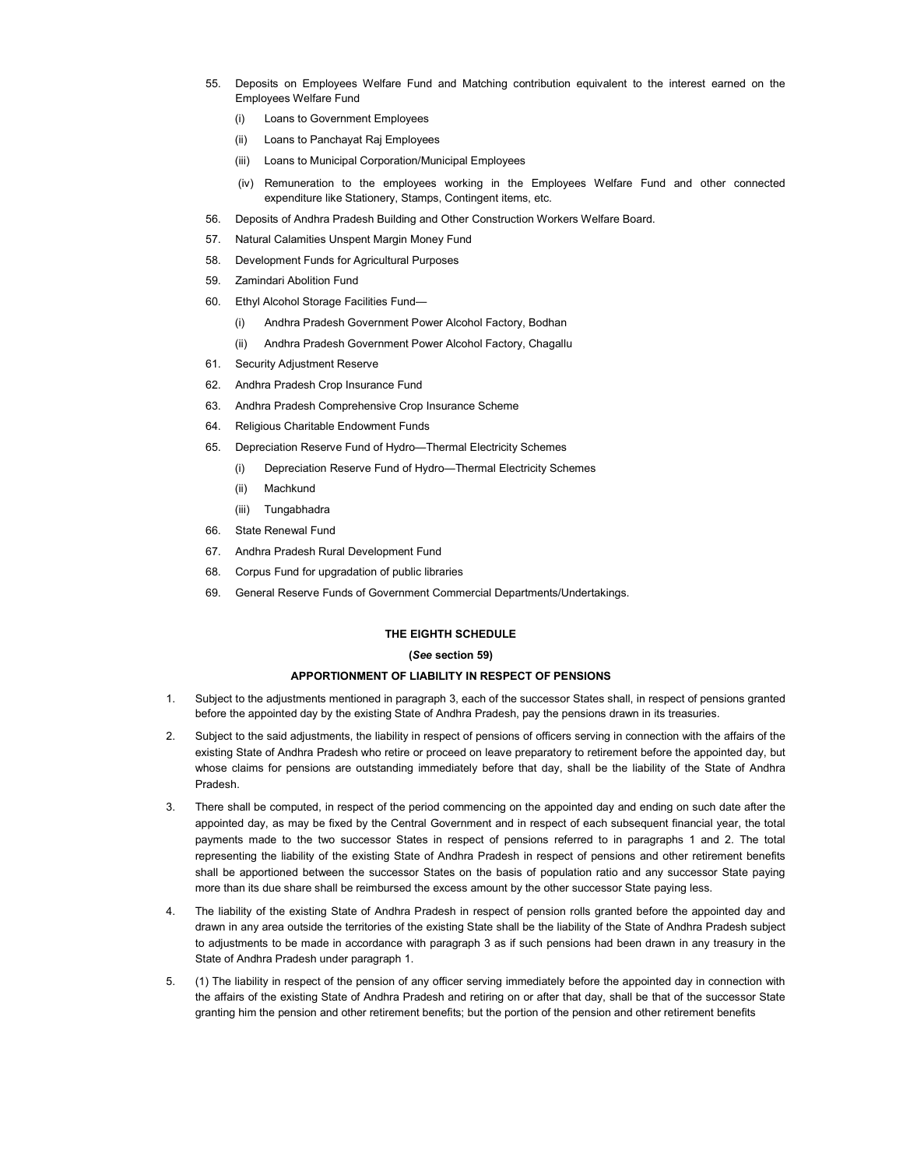- 55. Deposits on Employees Welfare Fund and Matching contribution equivalent to the interest earned on the Employees Welfare Fund
	- (i) Loans to Government Employees
	- (ii) Loans to Panchayat Raj Employees
	- (iii) Loans to Municipal Corporation/Municipal Employees
	- (iv) Remuneration to the employees working in the Employees Welfare Fund and other connected expenditure like Stationery, Stamps, Contingent items, etc.
- 56. Deposits of Andhra Pradesh Building and Other Construction Workers Welfare Board.
- 57. Natural Calamities Unspent Margin Money Fund
- 58. Development Funds for Agricultural Purposes
- 59. Zamindari Abolition Fund
- 60. Ethyl Alcohol Storage Facilities Fund—
	- (i) Andhra Pradesh Government Power Alcohol Factory, Bodhan
	- (ii) Andhra Pradesh Government Power Alcohol Factory, Chagallu
- 61. Security Adjustment Reserve
- 62. Andhra Pradesh Crop Insurance Fund
- 63. Andhra Pradesh Comprehensive Crop Insurance Scheme
- 64. Religious Charitable Endowment Funds
- 65. Depreciation Reserve Fund of Hydro—Thermal Electricity Schemes
	- (i) Depreciation Reserve Fund of Hydro—Thermal Electricity Schemes
	- (ii) Machkund
	- (iii) Tungabhadra
- 66. State Renewal Fund
- 67. Andhra Pradesh Rural Development Fund
- 68. Corpus Fund for upgradation of public libraries
- 69. General Reserve Funds of Government Commercial Departments/Undertakings.

# THE EIGHTH SCHEDULE

# (See section 59)

# APPORTIONMENT OF LIABILITY IN RESPECT OF PENSIONS

- 1. Subject to the adjustments mentioned in paragraph 3, each of the successor States shall, in respect of pensions granted before the appointed day by the existing State of Andhra Pradesh, pay the pensions drawn in its treasuries.
- 2. Subject to the said adjustments, the liability in respect of pensions of officers serving in connection with the affairs of the existing State of Andhra Pradesh who retire or proceed on leave preparatory to retirement before the appointed day, but whose claims for pensions are outstanding immediately before that day, shall be the liability of the State of Andhra Pradesh.
- 3. There shall be computed, in respect of the period commencing on the appointed day and ending on such date after the appointed day, as may be fixed by the Central Government and in respect of each subsequent financial year, the total payments made to the two successor States in respect of pensions referred to in paragraphs 1 and 2. The total representing the liability of the existing State of Andhra Pradesh in respect of pensions and other retirement benefits shall be apportioned between the successor States on the basis of population ratio and any successor State paying more than its due share shall be reimbursed the excess amount by the other successor State paying less.
- 4. The liability of the existing State of Andhra Pradesh in respect of pension rolls granted before the appointed day and drawn in any area outside the territories of the existing State shall be the liability of the State of Andhra Pradesh subject to adjustments to be made in accordance with paragraph 3 as if such pensions had been drawn in any treasury in the State of Andhra Pradesh under paragraph 1.
- 5. (1) The liability in respect of the pension of any officer serving immediately before the appointed day in connection with the affairs of the existing State of Andhra Pradesh and retiring on or after that day, shall be that of the successor State granting him the pension and other retirement benefits; but the portion of the pension and other retirement benefits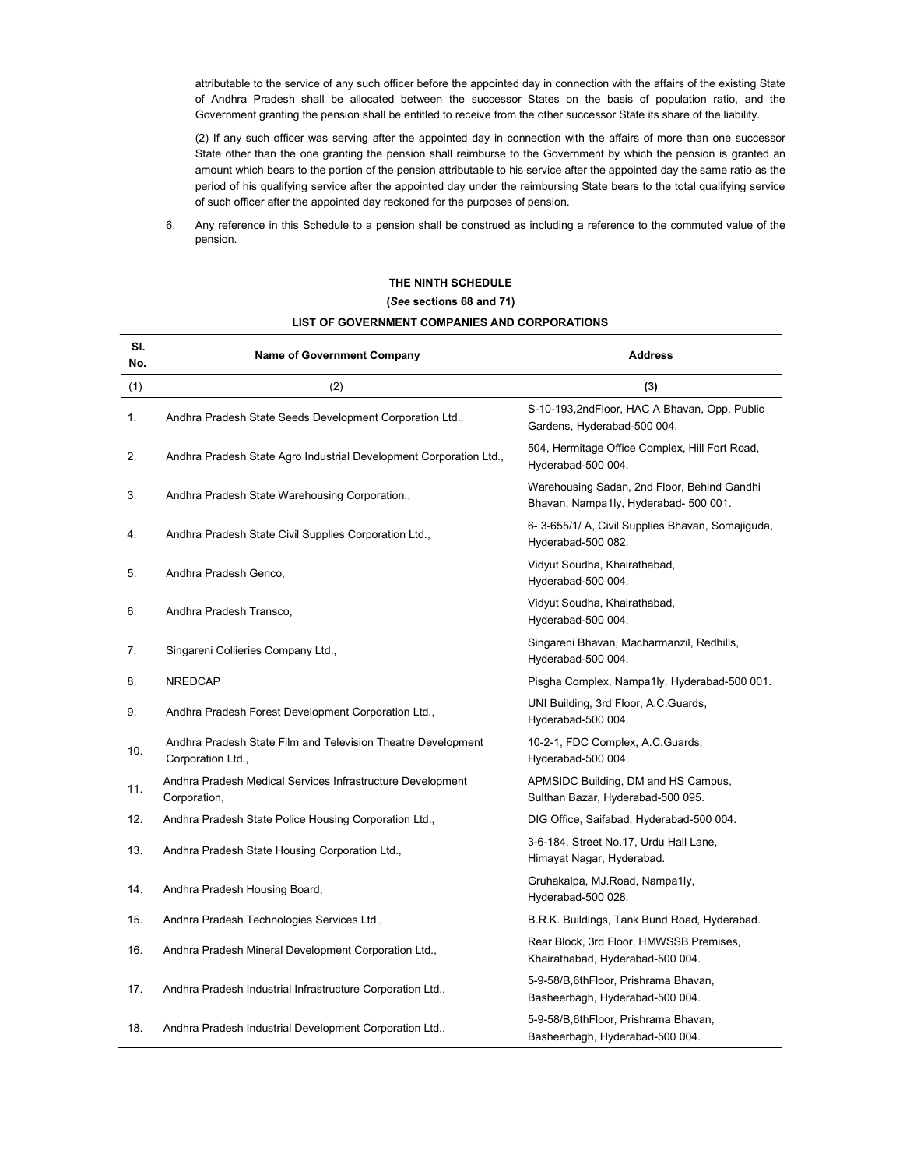attributable to the service of any such officer before the appointed day in connection with the affairs of the existing State of Andhra Pradesh shall be allocated between the successor States on the basis of population ratio, and the Government granting the pension shall be entitled to receive from the other successor State its share of the liability.

(2) If any such officer was serving after the appointed day in connection with the affairs of more than one successor State other than the one granting the pension shall reimburse to the Government by which the pension is granted an amount which bears to the portion of the pension attributable to his service after the appointed day the same ratio as the period of his qualifying service after the appointed day under the reimbursing State bears to the total qualifying service of such officer after the appointed day reckoned for the purposes of pension.

6. Any reference in this Schedule to a pension shall be construed as including a reference to the commuted value of the pension.

# Sl. Name of Government Company Manuscript Company Address No. (1)  $(2)$  (3) 1. Andhra Pradesh State Seeds Development Corporation Ltd., S-10-193,2ndFloor, HAC A Bhavan, Opp. Public Gardens, Hyderabad-500 004. 2. Andhra Pradesh State Agro Industrial Development Corporation Ltd., 504, Hermitage Office Complex, Hill Fort Road, Hyderabad-500 004. 3. Andhra Pradesh State Warehousing Corporation., Warehousing Sadan, 2nd Floor, Behind Gandhi Bhavan, Nampa1ly, Hyderabad- 500 001. 4. Andhra Pradesh State Civil Supplies Corporation Ltd., 6- 3-655/1/ A, Civil Supplies Bhavan, Somajiguda, Hyderabad-500 082. 5. Andhra Pradesh Genco, Vidyut Soudha, Khairathabad, Hyderabad-500 004. 6. Andhra Pradesh Transco, Vidyut Soudha, Khairathabad, Hyderabad-500 004. 7. Singareni Collieries Company Ltd., Singareni Bhavan, Macharmanzil, Redhills, Hyderabad-500 004. 8. NREDCAP **Pisgha Complex, Nampa1ly, Hyderabad-500 001.** Pisgha Complex, Nampa1ly, Hyderabad-500 001. 9. Andhra Pradesh Forest Development Corporation Ltd., UNI Building, 3rd Floor, A.C.Guards, Hyderabad-500 004. 10. Andhra Pradesh State Film and Television Theatre Development 10-2-1, FDC Complex, A.C.Guards, Corporation Ltd., **Example 2001** 2012 12:30 2004. 11. Andhra Pradesh Medical Services Infrastructure Development APMSIDC Building, DM and HS Campus, Corporation, **Sulthan Bazar, Hyderabad-500 095.** Sulthan Bazar, Hyderabad-500 095. 12. Andhra Pradesh State Police Housing Corporation Ltd., DIG Office, Saifabad, Hyderabad-500 004. 13. Andhra Pradesh State Housing Corporation Ltd., 3-6-184, Street No.17, Urdu Hall Lane, Himayat Nagar, Hyderabad. 14. Andhra Pradesh Housing Board, Gruhakalpa, MJ.Road, Nampa1ly, Hyderabad-500 028. 15. Andhra Pradesh Technologies Services Ltd., B.B.R.K. Buildings, Tank Bund Road, Hyderabad. 16. Andhra Pradesh Mineral Development Corporation Ltd., Rear Block, 3rd Floor, HMWSSB Premises, Khairathabad, Hyderabad-500 004. 17. Andhra Pradesh Industrial Infrastructure Corporation Ltd., 5-9-58/B,6thFloor, Prishrama Bhavan, Basheerbagh, Hyderabad-500 004. 18. Andhra Pradesh Industrial Development Corporation Ltd., 5-9-58/B,6thFloor, Prishrama Bhavan, Basheerbagh, Hyderabad-500 004.

# THE NINTH SCHEDULE (See sections 68 and 71)

# LIST OF GOVERNMENT COMPANIES AND CORPORATIONS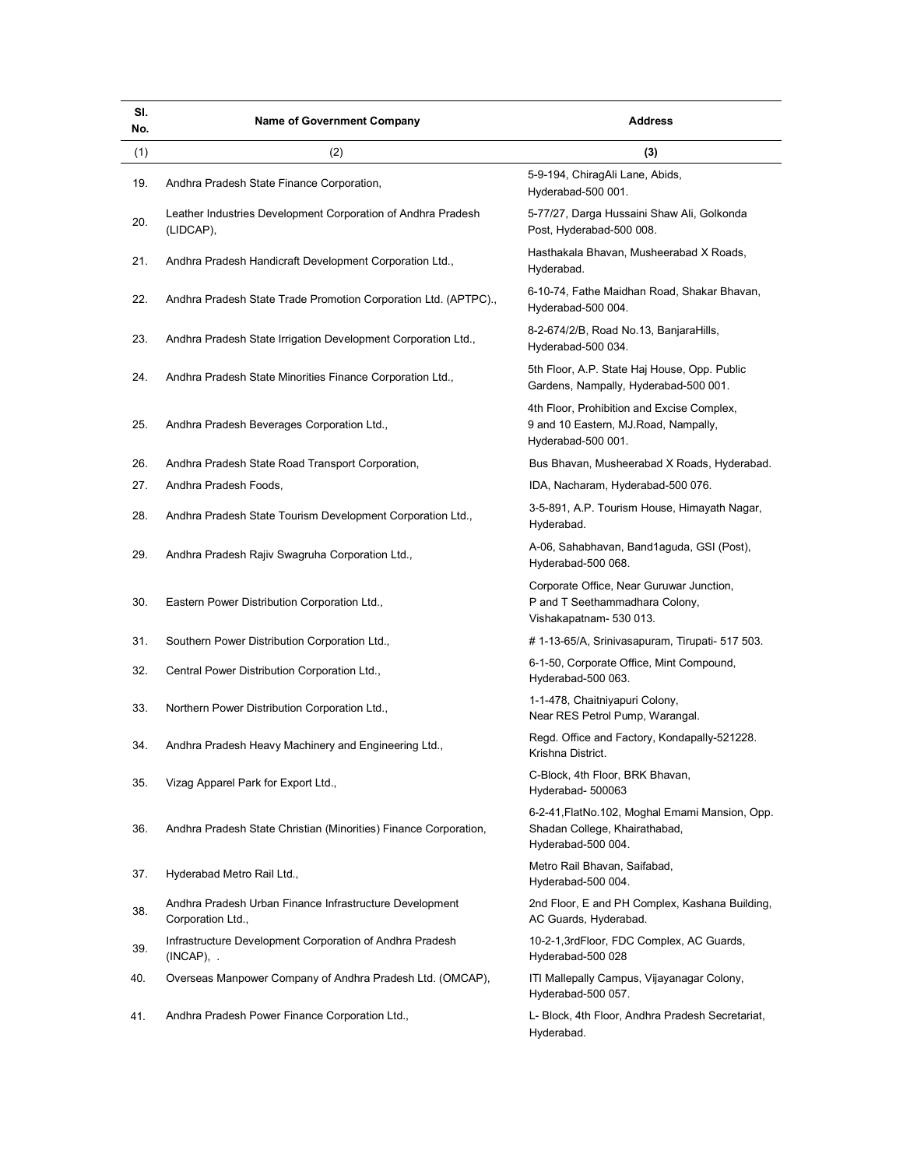| SI.<br>No. | <b>Name of Government Company</b>                                            | <b>Address</b>                                                                                           |
|------------|------------------------------------------------------------------------------|----------------------------------------------------------------------------------------------------------|
| (1)        | (2)                                                                          | (3)                                                                                                      |
| 19.        | Andhra Pradesh State Finance Corporation,                                    | 5-9-194, ChiragAli Lane, Abids,<br>Hyderabad-500 001.                                                    |
| 20.        | Leather Industries Development Corporation of Andhra Pradesh<br>(LIDCAP),    | 5-77/27, Darga Hussaini Shaw Ali, Golkonda<br>Post, Hyderabad-500 008.                                   |
| 21.        | Andhra Pradesh Handicraft Development Corporation Ltd.,                      | Hasthakala Bhavan, Musheerabad X Roads,<br>Hyderabad.                                                    |
| 22.        | Andhra Pradesh State Trade Promotion Corporation Ltd. (APTPC).,              | 6-10-74, Fathe Maidhan Road, Shakar Bhavan,<br>Hyderabad-500 004.                                        |
| 23.        | Andhra Pradesh State Irrigation Development Corporation Ltd.,                | 8-2-674/2/B, Road No.13, BanjaraHills,<br>Hyderabad-500 034.                                             |
| 24.        | Andhra Pradesh State Minorities Finance Corporation Ltd.,                    | 5th Floor, A.P. State Haj House, Opp. Public<br>Gardens, Nampally, Hyderabad-500 001.                    |
| 25.        | Andhra Pradesh Beverages Corporation Ltd.,                                   | 4th Floor, Prohibition and Excise Complex,<br>9 and 10 Eastern, MJ.Road, Nampally,<br>Hyderabad-500 001. |
| 26.        | Andhra Pradesh State Road Transport Corporation,                             | Bus Bhavan, Musheerabad X Roads, Hyderabad.                                                              |
| 27.        | Andhra Pradesh Foods,                                                        | IDA, Nacharam, Hyderabad-500 076.                                                                        |
| 28.        | Andhra Pradesh State Tourism Development Corporation Ltd.,                   | 3-5-891, A.P. Tourism House, Himayath Nagar,<br>Hyderabad.                                               |
| 29.        | Andhra Pradesh Rajiv Swagruha Corporation Ltd.,                              | A-06, Sahabhavan, Band1aguda, GSI (Post),<br>Hyderabad-500 068.                                          |
| 30.        | Eastern Power Distribution Corporation Ltd.,                                 | Corporate Office, Near Guruwar Junction,<br>P and T Seethammadhara Colony,<br>Vishakapatnam- 530 013.    |
| 31.        | Southern Power Distribution Corporation Ltd.,                                | # 1-13-65/A, Srinivasapuram, Tirupati- 517 503.                                                          |
| 32.        | Central Power Distribution Corporation Ltd.,                                 | 6-1-50, Corporate Office, Mint Compound,<br>Hyderabad-500 063.                                           |
| 33.        | Northern Power Distribution Corporation Ltd.,                                | 1-1-478, Chaitniyapuri Colony,<br>Near RES Petrol Pump, Warangal.                                        |
| 34.        | Andhra Pradesh Heavy Machinery and Engineering Ltd.,                         | Regd. Office and Factory, Kondapally-521228.<br>Krishna District.                                        |
| 35.        | Vizag Apparel Park for Export Ltd.,                                          | C-Block, 4th Floor, BRK Bhavan,<br>Hyderabad- 500063                                                     |
| 36.        | Andhra Pradesh State Christian (Minorities) Finance Corporation,             | 6-2-41, FlatNo. 102, Moghal Emami Mansion, Opp.<br>Shadan College, Khairathabad,<br>Hyderabad-500 004.   |
| 37.        | Hyderabad Metro Rail Ltd.,                                                   | Metro Rail Bhavan, Saifabad,<br>Hyderabad-500 004.                                                       |
| 38.        | Andhra Pradesh Urban Finance Infrastructure Development<br>Corporation Ltd., | 2nd Floor, E and PH Complex, Kashana Building,<br>AC Guards, Hyderabad.                                  |
| 39.        | Infrastructure Development Corporation of Andhra Pradesh<br>$(INCAP)$ , .    | 10-2-1,3rdFloor, FDC Complex, AC Guards,<br>Hyderabad-500 028                                            |
| 40.        | Overseas Manpower Company of Andhra Pradesh Ltd. (OMCAP),                    | ITI Mallepally Campus, Vijayanagar Colony,<br>Hyderabad-500 057.                                         |
| 41.        | Andhra Pradesh Power Finance Corporation Ltd.,                               | L- Block, 4th Floor, Andhra Pradesh Secretariat,<br>Hyderabad.                                           |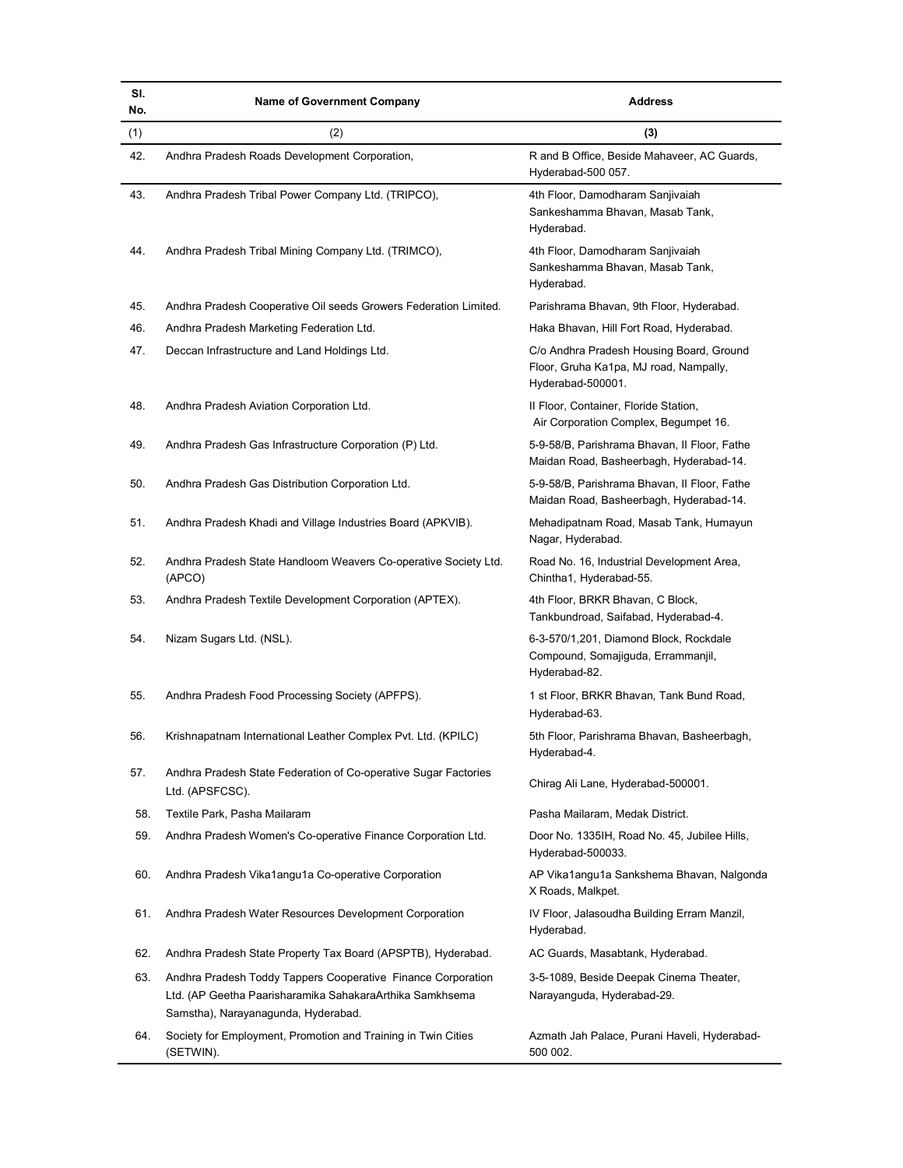| SI.<br>No. | <b>Name of Government Company</b>                                                               | <b>Address</b>                                                                                          |
|------------|-------------------------------------------------------------------------------------------------|---------------------------------------------------------------------------------------------------------|
| (1)        | (2)                                                                                             | (3)                                                                                                     |
| 42.        | Andhra Pradesh Roads Development Corporation,                                                   | R and B Office, Beside Mahaveer, AC Guards,<br>Hyderabad-500 057.                                       |
| 43.        | Andhra Pradesh Tribal Power Company Ltd. (TRIPCO),                                              | 4th Floor, Damodharam Sanjivaiah<br>Sankeshamma Bhavan, Masab Tank,<br>Hyderabad.                       |
| 44.        | Andhra Pradesh Tribal Mining Company Ltd. (TRIMCO),                                             | 4th Floor, Damodharam Sanjivaiah<br>Sankeshamma Bhavan, Masab Tank,<br>Hyderabad.                       |
| 45.        | Andhra Pradesh Cooperative Oil seeds Growers Federation Limited.                                | Parishrama Bhavan, 9th Floor, Hyderabad.                                                                |
| 46.        | Andhra Pradesh Marketing Federation Ltd.                                                        | Haka Bhavan, Hill Fort Road, Hyderabad.                                                                 |
| 47.        | Deccan Infrastructure and Land Holdings Ltd.                                                    | C/o Andhra Pradesh Housing Board, Ground<br>Floor, Gruha Ka1pa, MJ road, Nampally,<br>Hyderabad-500001. |
| 48.        | Andhra Pradesh Aviation Corporation Ltd.                                                        | II Floor, Container, Floride Station,<br>Air Corporation Complex, Begumpet 16.                          |
| 49.        | Andhra Pradesh Gas Infrastructure Corporation (P) Ltd.                                          | 5-9-58/B, Parishrama Bhavan, Il Floor, Fathe<br>Maidan Road, Basheerbagh, Hyderabad-14.                 |
| 50.        | Andhra Pradesh Gas Distribution Corporation Ltd.                                                | 5-9-58/B, Parishrama Bhavan, Il Floor, Fathe<br>Maidan Road, Basheerbagh, Hyderabad-14.                 |
| 51.        | Andhra Pradesh Khadi and Village Industries Board (APKVIB).                                     | Mehadipatnam Road, Masab Tank, Humayun<br>Nagar, Hyderabad.                                             |
| 52.        | Andhra Pradesh State Handloom Weavers Co-operative Society Ltd.<br>(APCO)                       | Road No. 16, Industrial Development Area,<br>Chintha1, Hyderabad-55.                                    |
| 53.        | Andhra Pradesh Textile Development Corporation (APTEX).                                         | 4th Floor, BRKR Bhavan, C Block,<br>Tankbundroad, Saifabad, Hyderabad-4.                                |
| 54.        | Nizam Sugars Ltd. (NSL).                                                                        | 6-3-570/1,201, Diamond Block, Rockdale<br>Compound, Somajiguda, Errammanjil,<br>Hyderabad-82.           |
| 55.        | Andhra Pradesh Food Processing Society (APFPS).                                                 | 1 st Floor, BRKR Bhavan, Tank Bund Road,<br>Hyderabad-63.                                               |
| 56.        | Krishnapatnam International Leather Complex Pvt. Ltd. (KPILC)                                   | 5th Floor, Parishrama Bhavan, Basheerbagh,<br>Hyderabad-4.                                              |
| 57.        | Andhra Pradesh State Federation of Co-operative Sugar Factories<br>Ltd. (APSFCSC).              | Chirag Ali Lane, Hyderabad-500001.                                                                      |
| 58.        | Textile Park, Pasha Mailaram                                                                    | Pasha Mailaram, Medak District.                                                                         |
| 59.        | Andhra Pradesh Women's Co-operative Finance Corporation Ltd.                                    | Door No. 1335IH, Road No. 45, Jubilee Hills,<br>Hyderabad-500033.                                       |
| 60.        | Andhra Pradesh Vika1angu1a Co-operative Corporation                                             | AP Vika1angu1a Sankshema Bhavan, Nalgonda<br>X Roads, Malkpet.                                          |
| 61.        | Andhra Pradesh Water Resources Development Corporation                                          | IV Floor, Jalasoudha Building Erram Manzil,<br>Hyderabad.                                               |
| 62.        | Andhra Pradesh State Property Tax Board (APSPTB), Hyderabad.                                    | AC Guards, Masabtank, Hyderabad.                                                                        |
| 63.        | Andhra Pradesh Toddy Tappers Cooperative Finance Corporation                                    | 3-5-1089, Beside Deepak Cinema Theater,                                                                 |
|            | Ltd. (AP Geetha Paarisharamika SahakaraArthika Samkhsema<br>Samstha), Narayanagunda, Hyderabad. | Narayanguda, Hyderabad-29.                                                                              |
| 64.        | Society for Employment, Promotion and Training in Twin Cities<br>(SETWIN).                      | Azmath Jah Palace, Purani Haveli, Hyderabad-<br>500 002.                                                |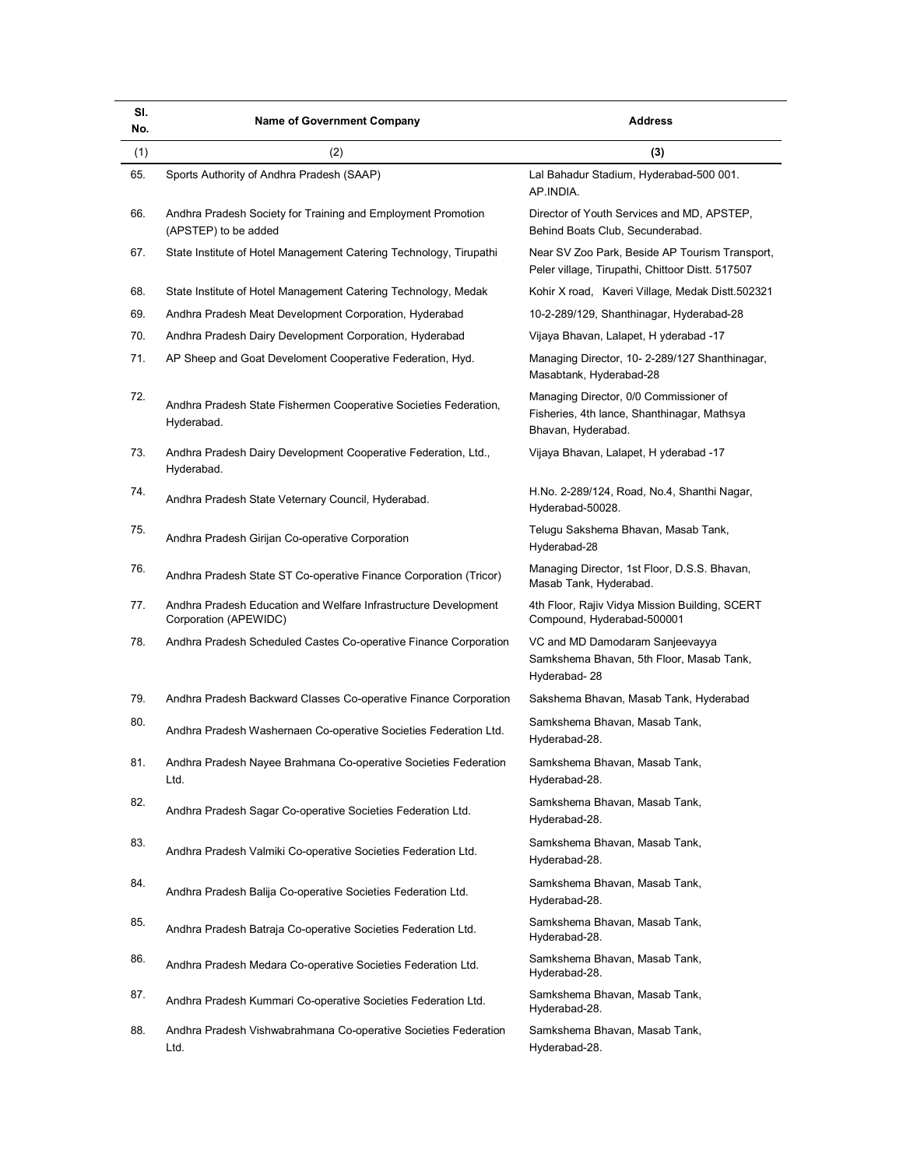| SI.<br>No. | <b>Name of Government Company</b>                                                        | <b>Address</b>                                                                                              |
|------------|------------------------------------------------------------------------------------------|-------------------------------------------------------------------------------------------------------------|
| (1)        | (2)                                                                                      | (3)                                                                                                         |
| 65.        | Sports Authority of Andhra Pradesh (SAAP)                                                | Lal Bahadur Stadium, Hyderabad-500 001.<br>AP.INDIA.                                                        |
| 66.        | Andhra Pradesh Society for Training and Employment Promotion<br>(APSTEP) to be added     | Director of Youth Services and MD, APSTEP,<br>Behind Boats Club, Secunderabad.                              |
| 67.        | State Institute of Hotel Management Catering Technology, Tirupathi                       | Near SV Zoo Park, Beside AP Tourism Transport,<br>Peler village, Tirupathi, Chittoor Distt. 517507          |
| 68.        | State Institute of Hotel Management Catering Technology, Medak                           | Kohir X road, Kaveri Village, Medak Distt.502321                                                            |
| 69.        | Andhra Pradesh Meat Development Corporation, Hyderabad                                   | 10-2-289/129, Shanthinagar, Hyderabad-28                                                                    |
| 70.        | Andhra Pradesh Dairy Development Corporation, Hyderabad                                  | Vijaya Bhavan, Lalapet, H yderabad -17                                                                      |
| 71.        | AP Sheep and Goat Develoment Cooperative Federation, Hyd.                                | Managing Director, 10-2-289/127 Shanthinagar,<br>Masabtank, Hyderabad-28                                    |
| 72.        | Andhra Pradesh State Fishermen Cooperative Societies Federation,<br>Hyderabad.           | Managing Director, 0/0 Commissioner of<br>Fisheries, 4th lance, Shanthinagar, Mathsya<br>Bhavan, Hyderabad. |
| 73.        | Andhra Pradesh Dairy Development Cooperative Federation, Ltd.,<br>Hyderabad.             | Vijaya Bhavan, Lalapet, H yderabad -17                                                                      |
| 74.        | Andhra Pradesh State Veternary Council, Hyderabad.                                       | H.No. 2-289/124, Road, No.4, Shanthi Nagar,<br>Hyderabad-50028.                                             |
| 75.        | Andhra Pradesh Girijan Co-operative Corporation                                          | Telugu Sakshema Bhavan, Masab Tank,<br>Hyderabad-28                                                         |
| 76.        | Andhra Pradesh State ST Co-operative Finance Corporation (Tricor)                        | Managing Director, 1st Floor, D.S.S. Bhavan,<br>Masab Tank, Hyderabad.                                      |
| 77.        | Andhra Pradesh Education and Welfare Infrastructure Development<br>Corporation (APEWIDC) | 4th Floor, Rajiv Vidya Mission Building, SCERT<br>Compound, Hyderabad-500001                                |
| 78.        | Andhra Pradesh Scheduled Castes Co-operative Finance Corporation                         | VC and MD Damodaram Sanjeevayya<br>Samkshema Bhavan, 5th Floor, Masab Tank,<br>Hyderabad-28                 |
| 79.        | Andhra Pradesh Backward Classes Co-operative Finance Corporation                         | Sakshema Bhavan, Masab Tank, Hyderabad                                                                      |
| 80.        | Andhra Pradesh Washernaen Co-operative Societies Federation Ltd.                         | Samkshema Bhavan, Masab Tank,<br>Hyderabad-28.                                                              |
|            | Andhra Pradesh Nayee Brahmana Co-operative Societies Federation<br>Ltd.                  | Samkshema Bhavan, Masab Tank,<br>Hyderabad-28.                                                              |
| 82.        | Andhra Pradesh Sagar Co-operative Societies Federation Ltd.                              | Samkshema Bhavan, Masab Tank,<br>Hyderabad-28.                                                              |
| 83.        | Andhra Pradesh Valmiki Co-operative Societies Federation Ltd.                            | Samkshema Bhavan, Masab Tank,<br>Hyderabad-28.                                                              |
| 84.        | Andhra Pradesh Balija Co-operative Societies Federation Ltd.                             | Samkshema Bhavan, Masab Tank,<br>Hyderabad-28.                                                              |
| 85.        | Andhra Pradesh Batraja Co-operative Societies Federation Ltd.                            | Samkshema Bhavan, Masab Tank,<br>Hyderabad-28.                                                              |
| 86.        | Andhra Pradesh Medara Co-operative Societies Federation Ltd.                             | Samkshema Bhavan, Masab Tank,<br>Hyderabad-28.                                                              |
| 87.        | Andhra Pradesh Kummari Co-operative Societies Federation Ltd.                            | Samkshema Bhavan, Masab Tank,<br>Hyderabad-28.                                                              |
| 88.        | Andhra Pradesh Vishwabrahmana Co-operative Societies Federation<br>Ltd.                  | Samkshema Bhavan, Masab Tank,<br>Hyderabad-28.                                                              |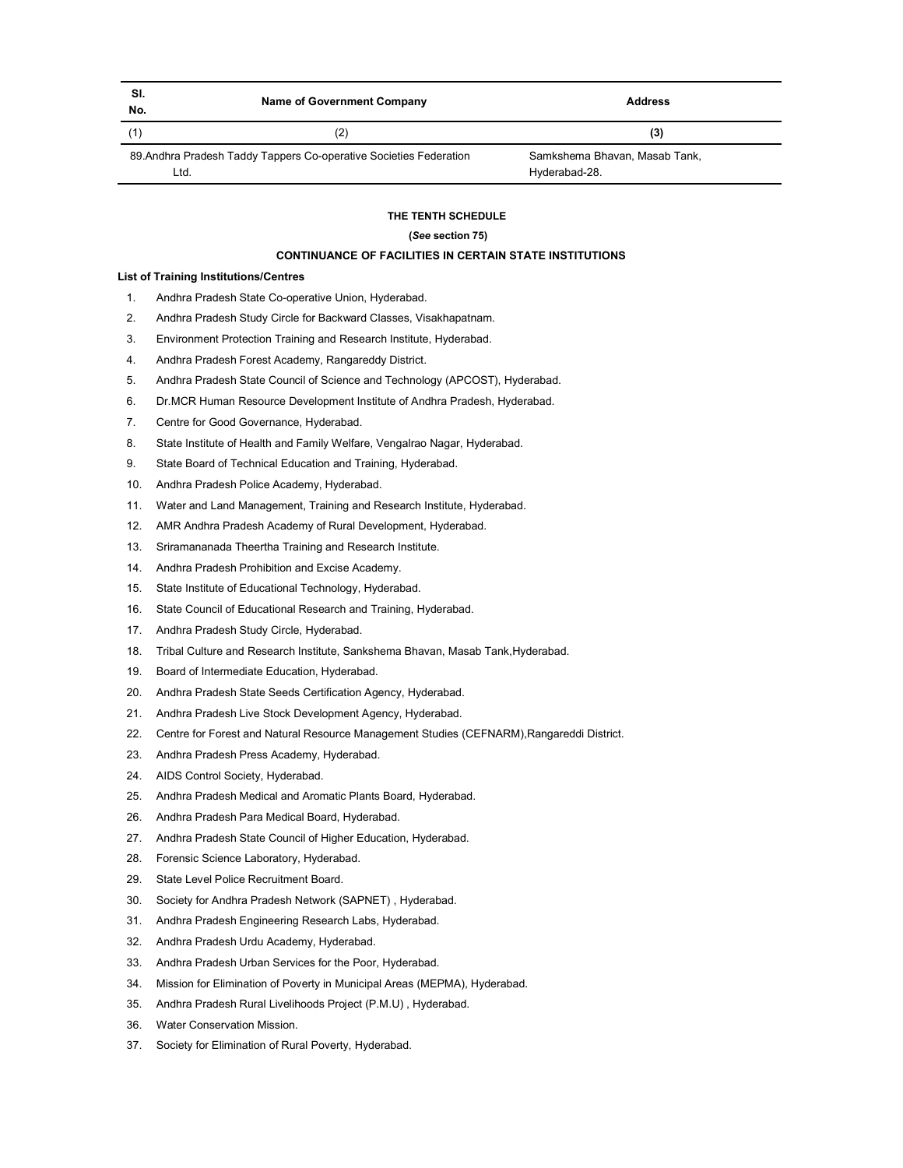| SI.<br>No. | Name of Government Company                                         | <b>Address</b>                                 |
|------------|--------------------------------------------------------------------|------------------------------------------------|
|            | (2)                                                                | (3)                                            |
| Ltd.       | 89. Andhra Pradesh Taddy Tappers Co-operative Societies Federation | Samkshema Bhavan, Masab Tank,<br>Hyderabad-28. |

### THE TENTH SCHEDULE

# (See section 75)

# CONTINUANCE OF FACILITIES IN CERTAIN STATE INSTITUTIONS

# List of Training Institutions/Centres

- 1. Andhra Pradesh State Co-operative Union, Hyderabad.
- 2. Andhra Pradesh Study Circle for Backward Classes, Visakhapatnam.
- 3. Environment Protection Training and Research Institute, Hyderabad.
- 4. Andhra Pradesh Forest Academy, Rangareddy District.
- 5. Andhra Pradesh State Council of Science and Technology (APCOST), Hyderabad.
- 6. Dr.MCR Human Resource Development Institute of Andhra Pradesh, Hyderabad.
- 7. Centre for Good Governance, Hyderabad.
- 8. State Institute of Health and Family Welfare, Vengalrao Nagar, Hyderabad.
- 9. State Board of Technical Education and Training, Hyderabad.
- 10. Andhra Pradesh Police Academy, Hyderabad.
- 11. Water and Land Management, Training and Research Institute, Hyderabad.
- 12. AMR Andhra Pradesh Academy of Rural Development, Hyderabad.
- 13. Sriramananada Theertha Training and Research Institute.
- 14. Andhra Pradesh Prohibition and Excise Academy.
- 15. State Institute of Educational Technology, Hyderabad.
- 16. State Council of Educational Research and Training, Hyderabad.
- 17. Andhra Pradesh Study Circle, Hyderabad.
- 18. Tribal Culture and Research Institute, Sankshema Bhavan, Masab Tank,Hyderabad.
- 19. Board of Intermediate Education, Hyderabad.
- 20. Andhra Pradesh State Seeds Certification Agency, Hyderabad.
- 21. Andhra Pradesh Live Stock Development Agency, Hyderabad.
- 22. Centre for Forest and Natural Resource Management Studies (CEFNARM),Rangareddi District.
- 23. Andhra Pradesh Press Academy, Hyderabad.
- 24. AIDS Control Society, Hyderabad.
- 25. Andhra Pradesh Medical and Aromatic Plants Board, Hyderabad.
- 26. Andhra Pradesh Para Medical Board, Hyderabad.
- 27. Andhra Pradesh State Council of Higher Education, Hyderabad.
- 28. Forensic Science Laboratory, Hyderabad.
- 29. State Level Police Recruitment Board.
- 30. Society for Andhra Pradesh Network (SAPNET) , Hyderabad.
- 31. Andhra Pradesh Engineering Research Labs, Hyderabad.
- 32. Andhra Pradesh Urdu Academy, Hyderabad.
- 33. Andhra Pradesh Urban Services for the Poor, Hyderabad.
- 34. Mission for Elimination of Poverty in Municipal Areas (MEPMA), Hyderabad.
- 35. Andhra Pradesh Rural Livelihoods Project (P.M.U) , Hyderabad.
- 36. Water Conservation Mission.
- 37. Society for Elimination of Rural Poverty, Hyderabad.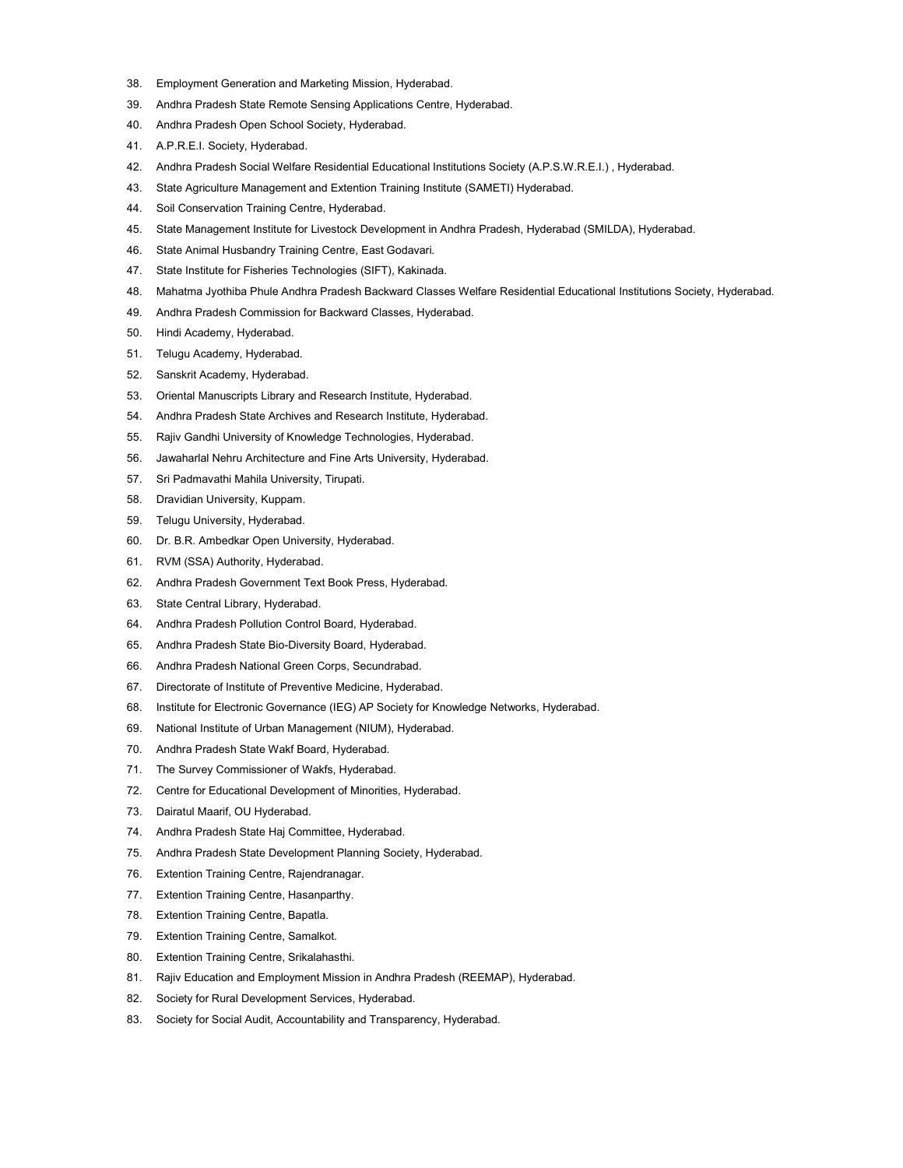- 38. Employment Generation and Marketing Mission, Hyderabad.
- 39. Andhra Pradesh State Remote Sensing Applications Centre, Hyderabad.
- 40. Andhra Pradesh Open School Society, Hyderabad.
- 41. A.P.R.E.I. Society, Hyderabad.
- 42. Andhra Pradesh Social Welfare Residential Educational Institutions Society (A.P.S.W.R.E.I.) , Hyderabad.
- 43. State Agriculture Management and Extention Training Institute (SAMETI) Hyderabad.
- 44. Soil Conservation Training Centre, Hyderabad.
- 45. State Management Institute for Livestock Development in Andhra Pradesh, Hyderabad (SMILDA), Hyderabad.
- 46. State Animal Husbandry Training Centre, East Godavari.
- 47. State Institute for Fisheries Technologies (SIFT), Kakinada.
- 48. Mahatma Jyothiba Phule Andhra Pradesh Backward Classes Welfare Residential Educational Institutions Society, Hyderabad.
- 49. Andhra Pradesh Commission for Backward Classes, Hyderabad.
- 50. Hindi Academy, Hyderabad.
- 51. Telugu Academy, Hyderabad.
- 52. Sanskrit Academy, Hyderabad.
- 53. Oriental Manuscripts Library and Research Institute, Hyderabad.
- 54. Andhra Pradesh State Archives and Research Institute, Hyderabad.
- 55. Rajiv Gandhi University of Knowledge Technologies, Hyderabad.
- 56. Jawaharlal Nehru Architecture and Fine Arts University, Hyderabad.
- 57. Sri Padmavathi Mahila University, Tirupati.
- 58. Dravidian University, Kuppam.
- 59. Telugu University, Hyderabad.
- 60. Dr. B.R. Ambedkar Open University, Hyderabad.
- 61. RVM (SSA) Authority, Hyderabad.
- 62. Andhra Pradesh Government Text Book Press, Hyderabad.
- 63. State Central Library, Hyderabad.
- 64. Andhra Pradesh Pollution Control Board, Hyderabad.
- 65. Andhra Pradesh State Bio-Diversity Board, Hyderabad.
- 66. Andhra Pradesh National Green Corps, Secundrabad.
- 67. Directorate of Institute of Preventive Medicine, Hyderabad.
- 68. Institute for Electronic Governance (IEG) AP Society for Knowledge Networks, Hyderabad.
- 69. National Institute of Urban Management (NIUM), Hyderabad.
- 70. Andhra Pradesh State Wakf Board, Hyderabad.
- 71. The Survey Commissioner of Wakfs, Hyderabad.
- 72. Centre for Educational Development of Minorities, Hyderabad.
- 73. Dairatul Maarif, OU Hyderabad.
- 74. Andhra Pradesh State Haj Committee, Hyderabad.
- 75. Andhra Pradesh State Development Planning Society, Hyderabad.
- 76. Extention Training Centre, Rajendranagar.
- 77. Extention Training Centre, Hasanparthy.
- 78. Extention Training Centre, Bapatla.
- 79. Extention Training Centre, Samalkot.
- 80. Extention Training Centre, Srikalahasthi.
- 81. Rajiv Education and Employment Mission in Andhra Pradesh (REEMAP), Hyderabad.
- 82. Society for Rural Development Services, Hyderabad.
- 83. Society for Social Audit, Accountability and Transparency, Hyderabad.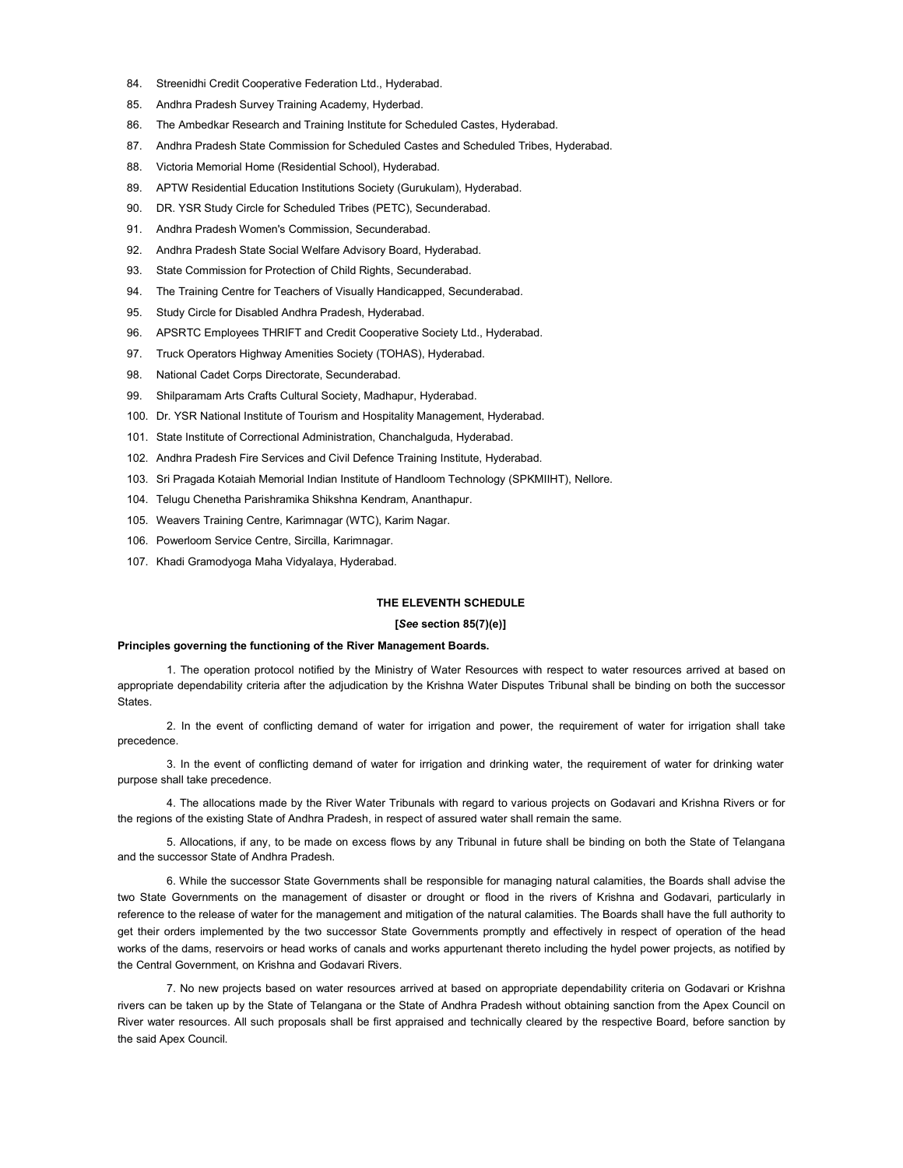- 84. Streenidhi Credit Cooperative Federation Ltd., Hyderabad.
- 85. Andhra Pradesh Survey Training Academy, Hyderbad.
- 86. The Ambedkar Research and Training Institute for Scheduled Castes, Hyderabad.
- 87. Andhra Pradesh State Commission for Scheduled Castes and Scheduled Tribes, Hyderabad.
- 88. Victoria Memorial Home (Residential School), Hyderabad.
- 89. APTW Residential Education Institutions Society (Gurukulam), Hyderabad.
- 90. DR. YSR Study Circle for Scheduled Tribes (PETC), Secunderabad.
- 91. Andhra Pradesh Women's Commission, Secunderabad.
- 92. Andhra Pradesh State Social Welfare Advisory Board, Hyderabad.
- 93. State Commission for Protection of Child Rights, Secunderabad.
- 94. The Training Centre for Teachers of Visually Handicapped, Secunderabad.
- 95. Study Circle for Disabled Andhra Pradesh, Hyderabad.
- 96. APSRTC Employees THRIFT and Credit Cooperative Society Ltd., Hyderabad.
- 97. Truck Operators Highway Amenities Society (TOHAS), Hyderabad.
- 98. National Cadet Corps Directorate, Secunderabad.
- 99. Shilparamam Arts Crafts Cultural Society, Madhapur, Hyderabad.
- 100. Dr. YSR National Institute of Tourism and Hospitality Management, Hyderabad.
- 101. State Institute of Correctional Administration, Chanchalguda, Hyderabad.
- 102. Andhra Pradesh Fire Services and Civil Defence Training Institute, Hyderabad.
- 103. Sri Pragada Kotaiah Memorial Indian Institute of Handloom Technology (SPKMIIHT), Nellore.
- 104. Telugu Chenetha Parishramika Shikshna Kendram, Ananthapur.
- 105. Weavers Training Centre, Karimnagar (WTC), Karim Nagar.
- 106. Powerloom Service Centre, Sircilla, Karimnagar.
- 107. Khadi Gramodyoga Maha Vidyalaya, Hyderabad.

# THE ELEVENTH SCHEDULE

# [See section 85(7)(e)]

#### Principles governing the functioning of the River Management Boards.

1. The operation protocol notified by the Ministry of Water Resources with respect to water resources arrived at based on appropriate dependability criteria after the adjudication by the Krishna Water Disputes Tribunal shall be binding on both the successor States.

2. In the event of conflicting demand of water for irrigation and power, the requirement of water for irrigation shall take precedence.

3. In the event of conflicting demand of water for irrigation and drinking water, the requirement of water for drinking water purpose shall take precedence.

4. The allocations made by the River Water Tribunals with regard to various projects on Godavari and Krishna Rivers or for the regions of the existing State of Andhra Pradesh, in respect of assured water shall remain the same.

5. Allocations, if any, to be made on excess flows by any Tribunal in future shall be binding on both the State of Telangana and the successor State of Andhra Pradesh.

6. While the successor State Governments shall be responsible for managing natural calamities, the Boards shall advise the two State Governments on the management of disaster or drought or flood in the rivers of Krishna and Godavari, particularly in reference to the release of water for the management and mitigation of the natural calamities. The Boards shall have the full authority to get their orders implemented by the two successor State Governments promptly and effectively in respect of operation of the head works of the dams, reservoirs or head works of canals and works appurtenant thereto including the hydel power projects, as notified by the Central Government, on Krishna and Godavari Rivers.

7. No new projects based on water resources arrived at based on appropriate dependability criteria on Godavari or Krishna rivers can be taken up by the State of Telangana or the State of Andhra Pradesh without obtaining sanction from the Apex Council on River water resources. All such proposals shall be first appraised and technically cleared by the respective Board, before sanction by the said Apex Council.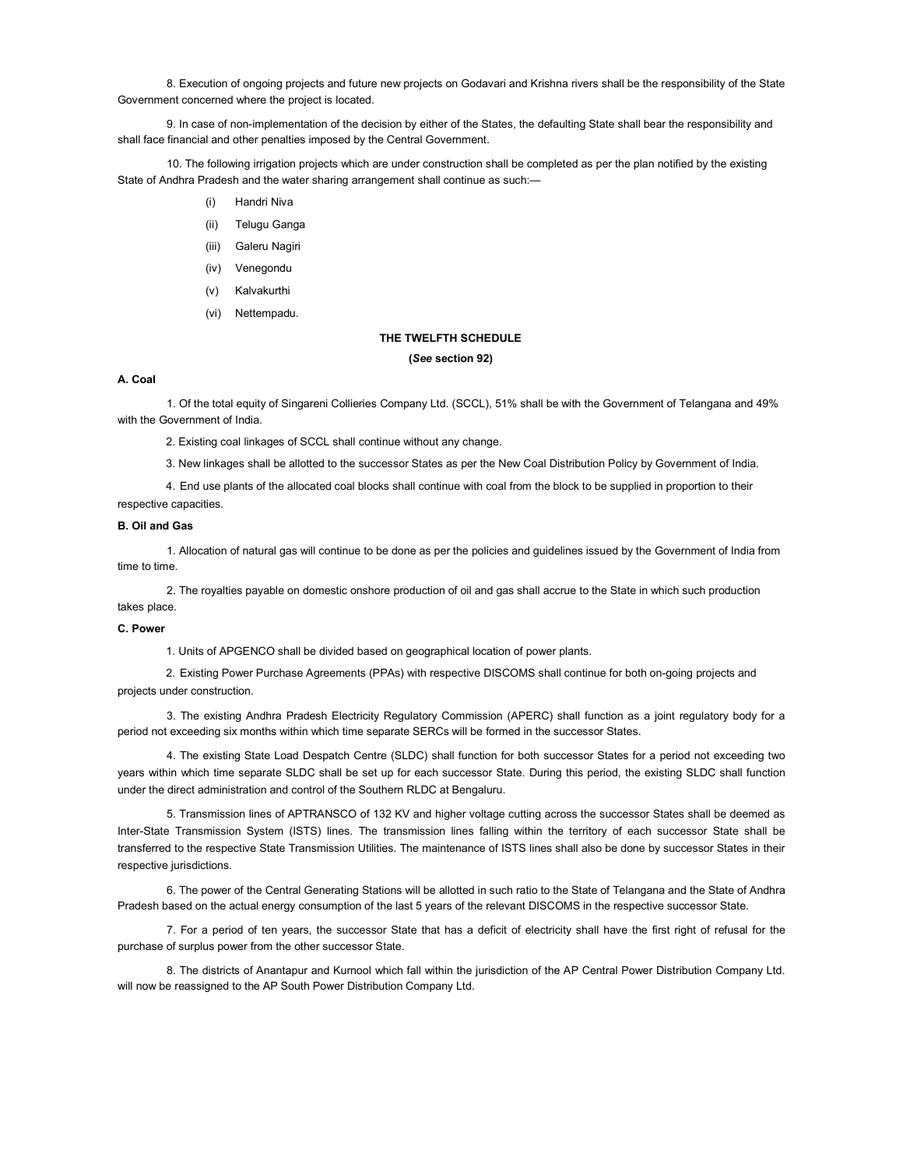8. Execution of ongoing projects and future new projects on Godavari and Krishna rivers shall be the responsibility of the State Government concerned where the project is located.

9. In case of non-implementation of the decision by either of the States, the defaulting State shall bear the responsibility and shall face financial and other penalties imposed by the Central Government.

10. The following irrigation projects which are under construction shall be completed as per the plan notified by the existing State of Andhra Pradesh and the water sharing arrangement shall continue as such:—

- (i) Handri Niva
- (ii) Telugu Ganga
- (iii) Galeru Nagiri
- (iv) Venegondu
- (v) Kalvakurthi
- (vi) Nettempadu.

# THE TWELFTH SCHEDULE

(See section 92)

# A. Coal

1. Of the total equity of Singareni Collieries Company Ltd. (SCCL), 51% shall be with the Government of Telangana and 49% with the Government of India.

2. Existing coal linkages of SCCL shall continue without any change.

3. New linkages shall be allotted to the successor States as per the New Coal Distribution Policy by Government of India.

4. End use plants of the allocated coal blocks shall continue with coal from the block to be supplied in proportion to their respective capacities.

# B. Oil and Gas

1. Allocation of natural gas will continue to be done as per the policies and guidelines issued by the Government of India from time to time.

2. The royalties payable on domestic onshore production of oil and gas shall accrue to the State in which such production takes place.

# C. Power

1. Units of APGENCO shall be divided based on geographical location of power plants.

2. Existing Power Purchase Agreements (PPAs) with respective DISCOMS shall continue for both on-going projects and projects under construction.

3. The existing Andhra Pradesh Electricity Regulatory Commission (APERC) shall function as a joint regulatory body for a period not exceeding six months within which time separate SERCs will be formed in the successor States.

4. The existing State Load Despatch Centre (SLDC) shall function for both successor States for a period not exceeding two years within which time separate SLDC shall be set up for each successor State. During this period, the existing SLDC shall function under the direct administration and control of the Southern RLDC at Bengaluru.

5. Transmission lines of APTRANSCO of 132 KV and higher voltage cutting across the successor States shall be deemed as Inter-State Transmission System (ISTS) lines. The transmission lines falling within the territory of each successor State shall be transferred to the respective State Transmission Utilities. The maintenance of ISTS lines shall also be done by successor States in their respective jurisdictions.

6. The power of the Central Generating Stations will be allotted in such ratio to the State of Telangana and the State of Andhra Pradesh based on the actual energy consumption of the last 5 years of the relevant DISCOMS in the respective successor State.

7. For a period of ten years, the successor State that has a deficit of electricity shall have the first right of refusal for the purchase of surplus power from the other successor State.

8. The districts of Anantapur and Kurnool which fall within the jurisdiction of the AP Central Power Distribution Company Ltd. will now be reassigned to the AP South Power Distribution Company Ltd.